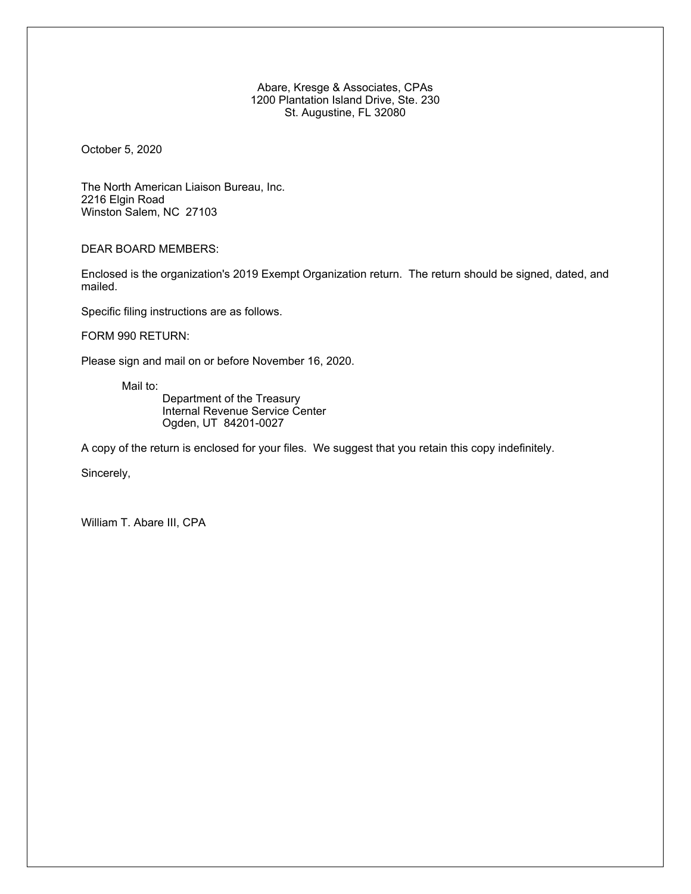Abare, Kresge & Associates, CPAs 1200 Plantation Island Drive, Ste. 230 St. Augustine, FL 32080

October 5, 2020

The North American Liaison Bureau, Inc. 2216 Elgin Road Winston Salem, NC 27103

DEAR BOARD MEMBERS:

Enclosed is the organization's 2019 Exempt Organization return. The return should be signed, dated, and mailed.

Specific filing instructions are as follows.

FORM 990 RETURN:

Please sign and mail on or before November 16, 2020.

Mail to:

Department of the Treasury Internal Revenue Service Center Ogden, UT 84201-0027

A copy of the return is enclosed for your files. We suggest that you retain this copy indefinitely.

Sincerely,

William T. Abare III, CPA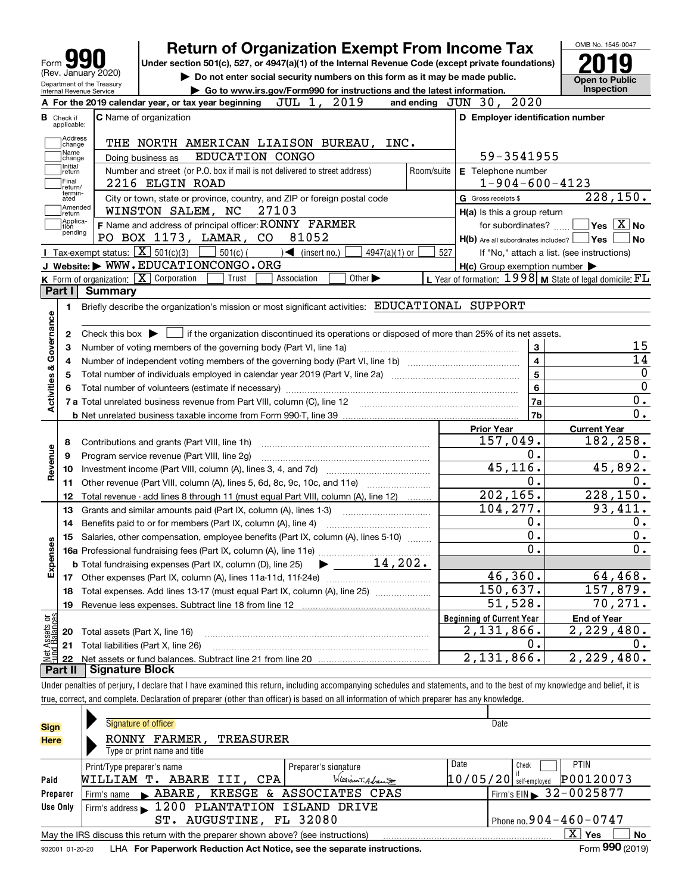|                                                                 | <b>Return of Organization Exempt From Income Tax</b>                                                                                                                                                                                                                                                                     |            |                                                     | OMB No. 1545-0047                                           |
|-----------------------------------------------------------------|--------------------------------------------------------------------------------------------------------------------------------------------------------------------------------------------------------------------------------------------------------------------------------------------------------------------------|------------|-----------------------------------------------------|-------------------------------------------------------------|
| Form                                                            | Under section 501(c), 527, or 4947(a)(1) of the Internal Revenue Code (except private foundations)                                                                                                                                                                                                                       |            |                                                     |                                                             |
| (Rev. January 2020)                                             | Do not enter social security numbers on this form as it may be made public.                                                                                                                                                                                                                                              |            |                                                     | <b>Open to Public</b>                                       |
| Department of the Treasury<br>Internal Revenue Service          | Go to www.irs.gov/Form990 for instructions and the latest information.                                                                                                                                                                                                                                                   |            |                                                     | Inspection                                                  |
|                                                                 | JUL 1, 2019<br>A For the 2019 calendar year, or tax year beginning                                                                                                                                                                                                                                                       |            | and ending JUN 30, 2020                             |                                                             |
| <b>B</b> Check if                                               | <b>C</b> Name of organization                                                                                                                                                                                                                                                                                            |            | D Employer identification number                    |                                                             |
| applicable:                                                     |                                                                                                                                                                                                                                                                                                                          |            |                                                     |                                                             |
| Address<br>change                                               | THE NORTH AMERICAN LIAISON BUREAU, INC.                                                                                                                                                                                                                                                                                  |            |                                                     |                                                             |
| Name<br>change                                                  | EDUCATION CONGO<br>Doing business as                                                                                                                                                                                                                                                                                     |            | 59-3541955                                          |                                                             |
| Initial<br>return                                               | Number and street (or P.O. box if mail is not delivered to street address)                                                                                                                                                                                                                                               | Room/suite | E Telephone number                                  |                                                             |
| Final<br>return/                                                | 2216 ELGIN ROAD                                                                                                                                                                                                                                                                                                          |            | $1 - 904 - 600 - 4123$                              |                                                             |
| termin-<br>ated                                                 | City or town, state or province, country, and ZIP or foreign postal code                                                                                                                                                                                                                                                 |            | G Gross receipts \$                                 | $\overline{228}$ , 150.                                     |
| Amended<br> return                                              | WINSTON SALEM, NC<br>27103                                                                                                                                                                                                                                                                                               |            | H(a) Is this a group return                         |                                                             |
| Applica-<br>tion                                                | F Name and address of principal officer: RONNY FARMER                                                                                                                                                                                                                                                                    |            | for subordinates?                                   | $\blacksquare$ Yes $\overline{X}$ No                        |
| pending                                                         | PO BOX 1173, LAMAR, CO<br>81052                                                                                                                                                                                                                                                                                          |            | $H(b)$ Are all subordinates included? $\Box$ Yes    | No                                                          |
| Tax-exempt status: $\boxed{\mathbf{X}}$ 501(c)(3)               | $501(c)$ (<br>4947(a)(1) or<br>$\mathcal{A}$ (insert no.)                                                                                                                                                                                                                                                                | 527        |                                                     | If "No," attach a list. (see instructions)                  |
|                                                                 | J Website: WWW.EDUCATIONCONGO.ORG                                                                                                                                                                                                                                                                                        |            | $H(c)$ Group exemption number $\blacktriangleright$ |                                                             |
| <b>K</b> Form of organization: $\boxed{\mathbf{X}}$ Corporation | Other $\blacktriangleright$<br>Trust<br>Association                                                                                                                                                                                                                                                                      |            |                                                     | L Year of formation: $1998$ M State of legal domicile: $FL$ |
| Part I<br><b>Summary</b>                                        |                                                                                                                                                                                                                                                                                                                          |            |                                                     |                                                             |
| 1.                                                              | Briefly describe the organization's mission or most significant activities: EDUCATIONAL SUPPORT                                                                                                                                                                                                                          |            |                                                     |                                                             |
| Governance                                                      |                                                                                                                                                                                                                                                                                                                          |            |                                                     |                                                             |
| 2                                                               | Check this box $\triangleright$ $\blacksquare$ if the organization discontinued its operations or disposed of more than 25% of its net assets.                                                                                                                                                                           |            |                                                     |                                                             |
| з                                                               | Number of voting members of the governing body (Part VI, line 1a)                                                                                                                                                                                                                                                        |            | $\mathbf{3}$                                        | 15                                                          |
| 4                                                               |                                                                                                                                                                                                                                                                                                                          |            | $\overline{\mathbf{4}}$                             | 14                                                          |
| 5                                                               |                                                                                                                                                                                                                                                                                                                          |            | 5                                                   | $\boldsymbol{0}$                                            |
| <b>Activities &amp;</b><br>6                                    |                                                                                                                                                                                                                                                                                                                          |            | 6                                                   | $\overline{0}$                                              |
|                                                                 | 7 a Total unrelated business revenue from Part VIII, column (C), line 12                                                                                                                                                                                                                                                 |            | 7a                                                  | 0.                                                          |
|                                                                 |                                                                                                                                                                                                                                                                                                                          |            | 7b                                                  | $\overline{0}$ .                                            |
|                                                                 |                                                                                                                                                                                                                                                                                                                          |            | <b>Prior Year</b>                                   | <b>Current Year</b>                                         |
| 8                                                               | Contributions and grants (Part VIII, line 1h)                                                                                                                                                                                                                                                                            |            | 157,049.                                            | 182,258.                                                    |
| 9                                                               | Program service revenue (Part VIII, line 2g)                                                                                                                                                                                                                                                                             |            | О.                                                  | 0.                                                          |
| 10                                                              |                                                                                                                                                                                                                                                                                                                          |            | 45, 116.                                            | 45,892.                                                     |
| Revenue<br>11                                                   | Other revenue (Part VIII, column (A), lines 5, 6d, 8c, 9c, 10c, and 11e)                                                                                                                                                                                                                                                 |            | $0$ .                                               | 0.                                                          |
| 12                                                              | Total revenue - add lines 8 through 11 (must equal Part VIII, column (A), line 12)                                                                                                                                                                                                                                       |            | 202, 165.                                           | 228, 150.                                                   |
| 13                                                              | Grants and similar amounts paid (Part IX, column (A), lines 1-3) <i>manoronononononon</i>                                                                                                                                                                                                                                |            | 104, 277.                                           | 93,411.                                                     |
| 14                                                              | Benefits paid to or for members (Part IX, column (A), line 4)                                                                                                                                                                                                                                                            |            | О.                                                  | 0.                                                          |
| 15                                                              | Salaries, other compensation, employee benefits (Part IX, column (A), lines 5-10)                                                                                                                                                                                                                                        |            | 0.                                                  | 0.                                                          |
| w                                                               |                                                                                                                                                                                                                                                                                                                          |            | Ο.                                                  | 0.                                                          |
| Expense                                                         | 14,202.<br><b>b</b> Total fundraising expenses (Part IX, column (D), line 25)                                                                                                                                                                                                                                            |            |                                                     |                                                             |
|                                                                 |                                                                                                                                                                                                                                                                                                                          |            | 46,360.                                             | 64,468.                                                     |
|                                                                 |                                                                                                                                                                                                                                                                                                                          |            |                                                     | 157,879.                                                    |
| 17                                                              |                                                                                                                                                                                                                                                                                                                          |            |                                                     |                                                             |
| 18                                                              | Total expenses. Add lines 13-17 (must equal Part IX, column (A), line 25)                                                                                                                                                                                                                                                |            | 150,637.                                            |                                                             |
| 19                                                              |                                                                                                                                                                                                                                                                                                                          |            | 51,528.                                             |                                                             |
|                                                                 |                                                                                                                                                                                                                                                                                                                          |            | <b>Beginning of Current Year</b>                    | <b>End of Year</b>                                          |
| 20                                                              | Total assets (Part X, line 16)                                                                                                                                                                                                                                                                                           |            | 2,131,866.                                          | 70,271.<br>2,229,480.                                       |
| 21                                                              | Total liabilities (Part X, line 26)                                                                                                                                                                                                                                                                                      |            | О.                                                  | 0.                                                          |
| 22                                                              |                                                                                                                                                                                                                                                                                                                          |            | 2,131,866.                                          | 2,229,480.                                                  |
| <b>Signature Block</b>                                          |                                                                                                                                                                                                                                                                                                                          |            |                                                     |                                                             |
| : Assets or<br>d Balances<br>Part II                            | Under penalties of perjury, I declare that I have examined this return, including accompanying schedules and statements, and to the best of my knowledge and belief, it is<br>true, correct, and complete. Declaration of preparer (other than officer) is based on all information of which preparer has any knowledge. |            |                                                     |                                                             |

| <b>Sign</b>     | Signature of officer                                                              | Date                                  |  |  |  |  |  |  |
|-----------------|-----------------------------------------------------------------------------------|---------------------------------------|--|--|--|--|--|--|
| <b>Here</b>     | RONNY FARMER,<br><b>TREASURER</b>                                                 |                                       |  |  |  |  |  |  |
|                 | Type or print name and title                                                      |                                       |  |  |  |  |  |  |
|                 | Print/Type preparer's name<br>Preparer's signature                                | Date<br><b>PTIN</b><br>Check          |  |  |  |  |  |  |
| Paid            | WilliamT. Advancer<br>ABARE III, CPA<br>WILLIAM T.                                | P00120073<br>$10/05/20$ self-employed |  |  |  |  |  |  |
| Preparer        | ABARE, KRESGE & ASSOCIATES CPAS<br>Firm's name                                    | $'$ Firm's EIN 32-0025877             |  |  |  |  |  |  |
| Use Only        | Firm's address 1200 PLANTATION ISLAND DRIVE                                       |                                       |  |  |  |  |  |  |
|                 | ST. AUGUSTINE, FL 32080                                                           | Phone no. $904 - 460 - 0747$          |  |  |  |  |  |  |
|                 | May the IRS discuss this return with the preparer shown above? (see instructions) | x.<br><b>No</b><br><b>Yes</b>         |  |  |  |  |  |  |
| 932001 01-20-20 | LHA For Paperwork Reduction Act Notice, see the separate instructions.            | Form 990 (2019)                       |  |  |  |  |  |  |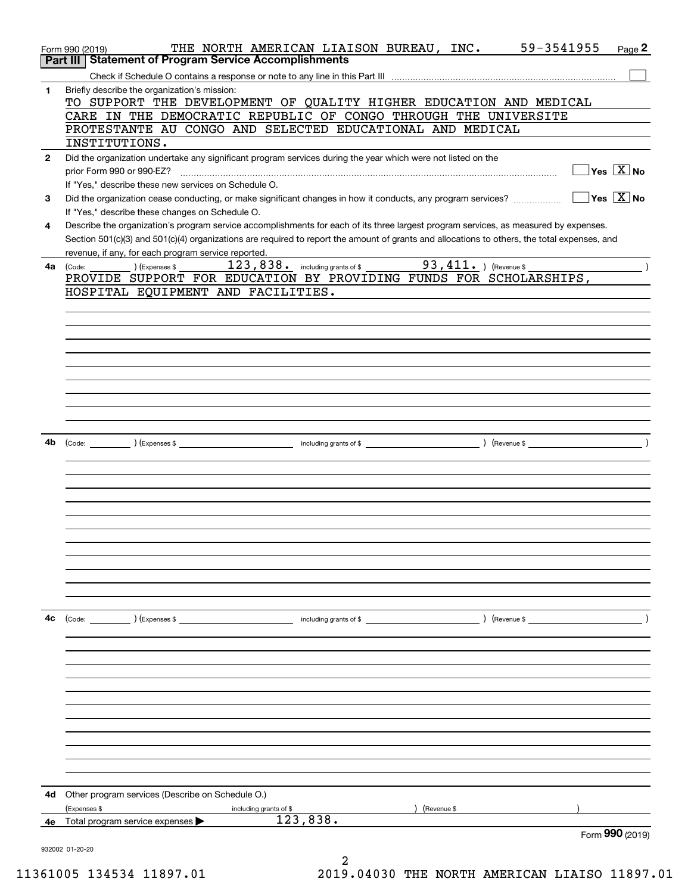|              | 59-3541955<br>THE NORTH AMERICAN LIAISON BUREAU, INC.<br>Page 2<br>Form 990 (2019)                                                           |
|--------------|----------------------------------------------------------------------------------------------------------------------------------------------|
|              | Part III   Statement of Program Service Accomplishments                                                                                      |
|              |                                                                                                                                              |
| 1            | Briefly describe the organization's mission:                                                                                                 |
|              | TO SUPPORT THE DEVELOPMENT OF QUALITY HIGHER EDUCATION AND MEDICAL                                                                           |
|              | CARE IN THE DEMOCRATIC REPUBLIC OF CONGO THROUGH THE UNIVERSITE                                                                              |
|              | PROTESTANTE AU CONGO AND SELECTED EDUCATIONAL AND MEDICAL                                                                                    |
|              | INSTITUTIONS.                                                                                                                                |
| $\mathbf{2}$ | Did the organization undertake any significant program services during the year which were not listed on the                                 |
|              | $\boxed{\phantom{1}}$ Yes $\boxed{\text{X}}$ No                                                                                              |
|              | If "Yes," describe these new services on Schedule O.                                                                                         |
| 3            | $\Box$ Yes $\Box$ No<br>Did the organization cease conducting, or make significant changes in how it conducts, any program services?         |
|              | If "Yes," describe these changes on Schedule O.                                                                                              |
| 4            | Describe the organization's program service accomplishments for each of its three largest program services, as measured by expenses.         |
|              | Section 501(c)(3) and 501(c)(4) organizations are required to report the amount of grants and allocations to others, the total expenses, and |
|              | revenue, if any, for each program service reported.                                                                                          |
| 4a           | 123,838. including grants of \$ 93,411. ) (Revenue \$<br>$(\textsf{Expenses $ } \_\_$<br>(Code:                                              |
|              | PROVIDE SUPPORT FOR EDUCATION BY PROVIDING FUNDS FOR SCHOLARSHIPS,                                                                           |
|              | HOSPITAL EQUIPMENT AND FACILITIES.                                                                                                           |
|              |                                                                                                                                              |
|              |                                                                                                                                              |
|              |                                                                                                                                              |
|              |                                                                                                                                              |
|              |                                                                                                                                              |
|              |                                                                                                                                              |
|              |                                                                                                                                              |
|              |                                                                                                                                              |
|              |                                                                                                                                              |
|              |                                                                                                                                              |
|              |                                                                                                                                              |
| 4b           |                                                                                                                                              |
|              |                                                                                                                                              |
|              |                                                                                                                                              |
|              |                                                                                                                                              |
|              |                                                                                                                                              |
|              |                                                                                                                                              |
|              |                                                                                                                                              |
|              |                                                                                                                                              |
|              |                                                                                                                                              |
|              |                                                                                                                                              |
|              |                                                                                                                                              |
|              |                                                                                                                                              |
|              |                                                                                                                                              |
| 4с           | $($ Revenue \$ $\qquad \qquad$                                                                                                               |
|              |                                                                                                                                              |
|              |                                                                                                                                              |
|              |                                                                                                                                              |
|              |                                                                                                                                              |
|              |                                                                                                                                              |
|              |                                                                                                                                              |
|              |                                                                                                                                              |
|              |                                                                                                                                              |
|              |                                                                                                                                              |
|              |                                                                                                                                              |
|              |                                                                                                                                              |
|              |                                                                                                                                              |
|              |                                                                                                                                              |
| 4d           | Other program services (Describe on Schedule O.)                                                                                             |
|              | (Revenue \$<br>(Expenses \$<br>including grants of \$                                                                                        |
| 4е           | 123,838.<br>Total program service expenses                                                                                                   |
|              | Form 990 (2019)                                                                                                                              |
|              | 932002 01-20-20                                                                                                                              |
|              |                                                                                                                                              |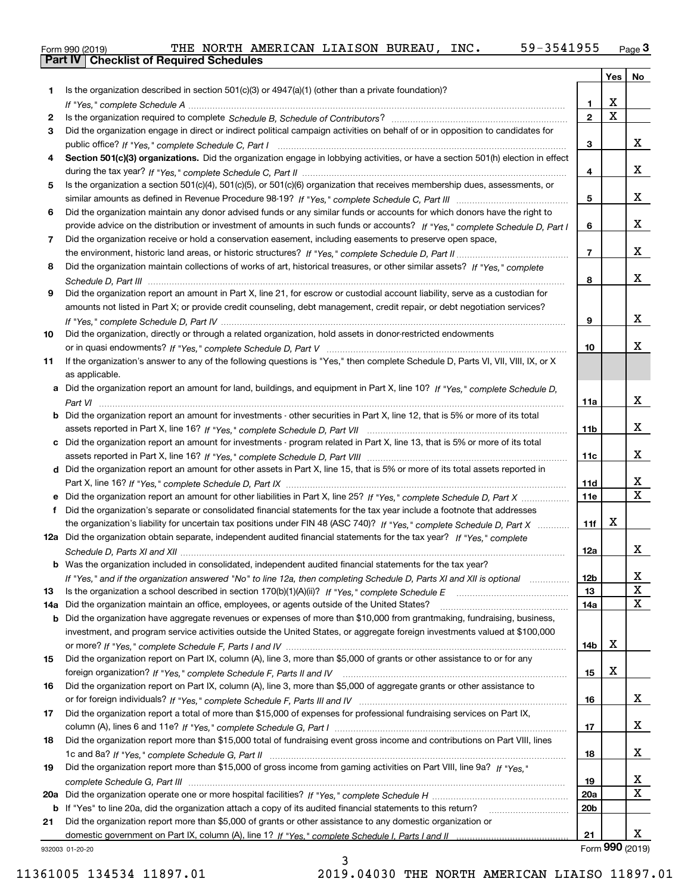| Form 990 (2019) |                                                  |  | THE NORTH AMERICAN LIAISON BUREAU, |  | INC. | 59-3541955 | Page $3$ |
|-----------------|--------------------------------------------------|--|------------------------------------|--|------|------------|----------|
|                 | <b>Part IV   Checklist of Required Schedules</b> |  |                                    |  |      |            |          |

|     |                                                                                                                                       |                 | Yes   No                |                         |
|-----|---------------------------------------------------------------------------------------------------------------------------------------|-----------------|-------------------------|-------------------------|
| 1.  | Is the organization described in section $501(c)(3)$ or $4947(a)(1)$ (other than a private foundation)?                               |                 |                         |                         |
|     |                                                                                                                                       | 1.              | X                       |                         |
| 2   |                                                                                                                                       | $\overline{2}$  | $\overline{\mathbf{x}}$ |                         |
| 3   | Did the organization engage in direct or indirect political campaign activities on behalf of or in opposition to candidates for       |                 |                         |                         |
|     |                                                                                                                                       | 3               |                         | x                       |
| 4   | Section 501(c)(3) organizations. Did the organization engage in lobbying activities, or have a section 501(h) election in effect      |                 |                         |                         |
|     |                                                                                                                                       | 4               |                         | x                       |
| 5   | Is the organization a section 501(c)(4), 501(c)(5), or 501(c)(6) organization that receives membership dues, assessments, or          |                 |                         |                         |
|     |                                                                                                                                       | 5               |                         | X                       |
| 6   | Did the organization maintain any donor advised funds or any similar funds or accounts for which donors have the right to             |                 |                         | x                       |
|     | provide advice on the distribution or investment of amounts in such funds or accounts? If "Yes," complete Schedule D, Part I          | 6               |                         |                         |
| 7   | Did the organization receive or hold a conservation easement, including easements to preserve open space,                             | $\overline{7}$  |                         | x                       |
|     |                                                                                                                                       |                 |                         |                         |
| 8   | Did the organization maintain collections of works of art, historical treasures, or other similar assets? If "Yes," complete          | 8               |                         | X                       |
| 9   | Did the organization report an amount in Part X, line 21, for escrow or custodial account liability, serve as a custodian for         |                 |                         |                         |
|     | amounts not listed in Part X; or provide credit counseling, debt management, credit repair, or debt negotiation services?             |                 |                         |                         |
|     |                                                                                                                                       | 9               |                         | x                       |
| 10  | Did the organization, directly or through a related organization, hold assets in donor-restricted endowments                          |                 |                         |                         |
|     |                                                                                                                                       | 10              |                         | х                       |
| 11  | If the organization's answer to any of the following questions is "Yes," then complete Schedule D, Parts VI, VII, VIII, IX, or X      |                 |                         |                         |
|     | as applicable.                                                                                                                        |                 |                         |                         |
|     | a Did the organization report an amount for land, buildings, and equipment in Part X, line 10? If "Yes," complete Schedule D.         |                 |                         |                         |
|     |                                                                                                                                       | 11a             |                         | х                       |
|     | <b>b</b> Did the organization report an amount for investments - other securities in Part X, line 12, that is 5% or more of its total |                 |                         |                         |
|     |                                                                                                                                       | 11b             |                         | x                       |
|     | c Did the organization report an amount for investments - program related in Part X, line 13, that is 5% or more of its total         |                 |                         |                         |
|     |                                                                                                                                       | 11c             |                         | x                       |
|     | d Did the organization report an amount for other assets in Part X, line 15, that is 5% or more of its total assets reported in       |                 |                         |                         |
|     |                                                                                                                                       | 11d             |                         | x                       |
|     |                                                                                                                                       | 11e             |                         | $\overline{\mathbf{X}}$ |
| f   | Did the organization's separate or consolidated financial statements for the tax year include a footnote that addresses               |                 |                         |                         |
|     | the organization's liability for uncertain tax positions under FIN 48 (ASC 740)? If "Yes," complete Schedule D, Part X                | 11f             | х                       |                         |
|     | 12a Did the organization obtain separate, independent audited financial statements for the tax year? If "Yes," complete               |                 |                         |                         |
|     |                                                                                                                                       | 12a             |                         | x                       |
|     | <b>b</b> Was the organization included in consolidated, independent audited financial statements for the tax year?                    |                 |                         |                         |
|     | If "Yes," and if the organization answered "No" to line 12a, then completing Schedule D, Parts XI and XII is optional                 | 12 <sub>b</sub> |                         | 4                       |
| 13  |                                                                                                                                       | 13              |                         | X                       |
| 14a | Did the organization maintain an office, employees, or agents outside of the United States?                                           | 14a             |                         | X                       |
|     | <b>b</b> Did the organization have aggregate revenues or expenses of more than \$10,000 from grantmaking, fundraising, business,      |                 |                         |                         |
|     | investment, and program service activities outside the United States, or aggregate foreign investments valued at \$100,000            |                 |                         |                         |
|     |                                                                                                                                       | 14b             | х                       |                         |
| 15  | Did the organization report on Part IX, column (A), line 3, more than \$5,000 of grants or other assistance to or for any             |                 |                         |                         |
|     |                                                                                                                                       | 15              | X                       |                         |
| 16  | Did the organization report on Part IX, column (A), line 3, more than \$5,000 of aggregate grants or other assistance to              |                 |                         |                         |
|     |                                                                                                                                       | 16              |                         | X                       |
| 17  | Did the organization report a total of more than \$15,000 of expenses for professional fundraising services on Part IX,               |                 |                         |                         |
|     |                                                                                                                                       | 17              |                         | X                       |
| 18  | Did the organization report more than \$15,000 total of fundraising event gross income and contributions on Part VIII, lines          |                 |                         |                         |
|     |                                                                                                                                       | 18              |                         | X                       |
| 19  | Did the organization report more than \$15,000 of gross income from gaming activities on Part VIII, line 9a? If "Yes."                |                 |                         |                         |
|     |                                                                                                                                       | 19              |                         | x                       |
|     |                                                                                                                                       | 20a             |                         | $\mathbf x$             |
|     | b If "Yes" to line 20a, did the organization attach a copy of its audited financial statements to this return?                        | 20 <sub>b</sub> |                         |                         |
| 21  | Did the organization report more than \$5,000 of grants or other assistance to any domestic organization or                           |                 |                         |                         |
|     |                                                                                                                                       | 21              |                         | x                       |
|     | 932003 01-20-20                                                                                                                       |                 |                         | Form 990 (2019)         |

3

932003 01-20-20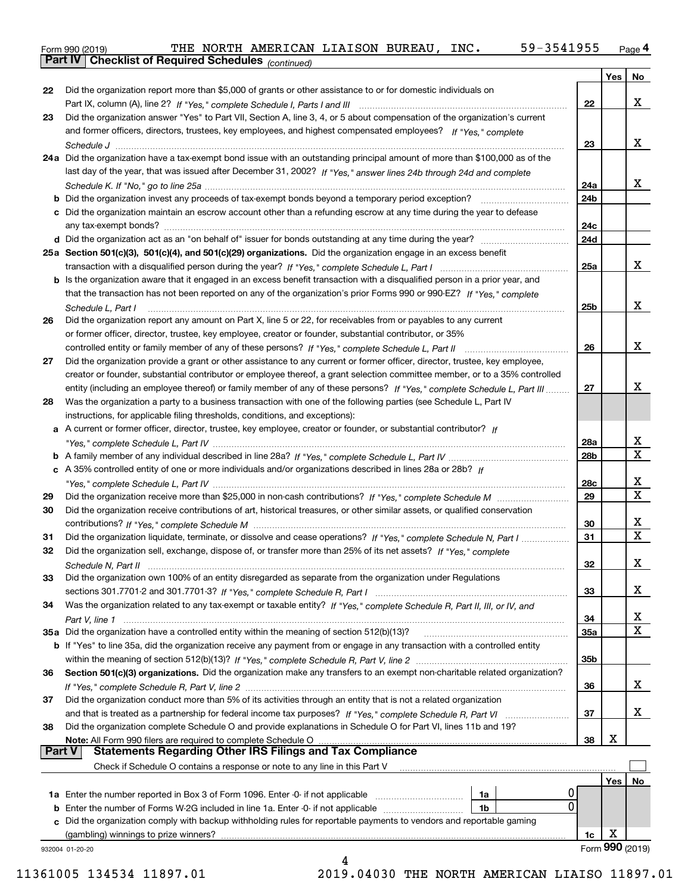Form 990 (2019) THE NORTH AMERICAN LIAISON BUREAU,INC**.** 59-3541955 <sub>Page</sub> 4<br>**Part IV | Checklist of Required Schedules** <sub>(continued)</sub>

*(continued)*

|               |                                                                                                                                     |     | Yes | No                      |
|---------------|-------------------------------------------------------------------------------------------------------------------------------------|-----|-----|-------------------------|
| 22            | Did the organization report more than \$5,000 of grants or other assistance to or for domestic individuals on                       |     |     |                         |
|               |                                                                                                                                     | 22  |     | x                       |
| 23            | Did the organization answer "Yes" to Part VII, Section A, line 3, 4, or 5 about compensation of the organization's current          |     |     |                         |
|               | and former officers, directors, trustees, key employees, and highest compensated employees? If "Yes." complete                      |     |     |                         |
|               |                                                                                                                                     | 23  |     | x                       |
|               | 24a Did the organization have a tax-exempt bond issue with an outstanding principal amount of more than \$100,000 as of the         |     |     |                         |
|               | last day of the year, that was issued after December 31, 2002? If "Yes," answer lines 24b through 24d and complete                  |     |     |                         |
|               |                                                                                                                                     | 24a |     | x                       |
|               | <b>b</b> Did the organization invest any proceeds of tax-exempt bonds beyond a temporary period exception?                          | 24b |     |                         |
|               | c Did the organization maintain an escrow account other than a refunding escrow at any time during the year to defease              |     |     |                         |
|               |                                                                                                                                     | 24c |     |                         |
|               |                                                                                                                                     | 24d |     |                         |
|               | 25a Section 501(c)(3), 501(c)(4), and 501(c)(29) organizations. Did the organization engage in an excess benefit                    |     |     |                         |
|               |                                                                                                                                     | 25a |     | X                       |
|               | <b>b</b> Is the organization aware that it engaged in an excess benefit transaction with a disqualified person in a prior year, and |     |     |                         |
|               | that the transaction has not been reported on any of the organization's prior Forms 990 or 990-EZ? If "Yes," complete               |     |     |                         |
|               | Schedule L, Part I                                                                                                                  | 25b |     | x                       |
| 26            | Did the organization report any amount on Part X, line 5 or 22, for receivables from or payables to any current                     |     |     |                         |
|               | or former officer, director, trustee, key employee, creator or founder, substantial contributor, or 35%                             |     |     |                         |
|               | controlled entity or family member of any of these persons? If "Yes," complete Schedule L, Part II                                  | 26  |     | X                       |
| 27            | Did the organization provide a grant or other assistance to any current or former officer, director, trustee, key employee,         |     |     |                         |
|               | creator or founder, substantial contributor or employee thereof, a grant selection committee member, or to a 35% controlled         |     |     |                         |
|               | entity (including an employee thereof) or family member of any of these persons? If "Yes," complete Schedule L, Part III            | 27  |     | x                       |
| 28            | Was the organization a party to a business transaction with one of the following parties (see Schedule L, Part IV                   |     |     |                         |
|               | instructions, for applicable filing thresholds, conditions, and exceptions):                                                        |     |     |                         |
| a             | A current or former officer, director, trustee, key employee, creator or founder, or substantial contributor? If                    |     |     |                         |
|               |                                                                                                                                     | 28a |     | x                       |
|               |                                                                                                                                     | 28b |     | $\overline{\mathbf{X}}$ |
|               | c A 35% controlled entity of one or more individuals and/or organizations described in lines 28a or 28b? If                         |     |     |                         |
|               |                                                                                                                                     | 28c |     | x                       |
| 29            |                                                                                                                                     | 29  |     | $\overline{\mathbf{x}}$ |
| 30            | Did the organization receive contributions of art, historical treasures, or other similar assets, or qualified conservation         |     |     |                         |
|               |                                                                                                                                     | 30  |     | x                       |
| 31            | Did the organization liquidate, terminate, or dissolve and cease operations? If "Yes," complete Schedule N, Part I                  | 31  |     | $\overline{\mathbf{x}}$ |
| 32            | Did the organization sell, exchange, dispose of, or transfer more than 25% of its net assets? If "Yes," complete                    |     |     |                         |
|               |                                                                                                                                     | 32  |     | х                       |
| 33            | Did the organization own 100% of an entity disregarded as separate from the organization under Regulations                          |     |     |                         |
|               |                                                                                                                                     | 33  |     | x                       |
| 34            | Was the organization related to any tax-exempt or taxable entity? If "Yes," complete Schedule R, Part II, III, or IV, and           |     |     |                         |
|               |                                                                                                                                     | 34  |     | х                       |
|               | 35a Did the organization have a controlled entity within the meaning of section 512(b)(13)?                                         | 35a |     | $\mathbf X$             |
|               | b If "Yes" to line 35a, did the organization receive any payment from or engage in any transaction with a controlled entity         |     |     |                         |
|               |                                                                                                                                     | 35b |     |                         |
| 36            | Section 501(c)(3) organizations. Did the organization make any transfers to an exempt non-charitable related organization?          |     |     |                         |
|               |                                                                                                                                     | 36  |     | x                       |
| 37            | Did the organization conduct more than 5% of its activities through an entity that is not a related organization                    |     |     |                         |
|               |                                                                                                                                     | 37  |     | x                       |
| 38            | Did the organization complete Schedule O and provide explanations in Schedule O for Part VI, lines 11b and 19?                      |     |     |                         |
|               | Note: All Form 990 filers are required to complete Schedule O                                                                       | 38  | x   |                         |
| <b>Part V</b> | <b>Statements Regarding Other IRS Filings and Tax Compliance</b>                                                                    |     |     |                         |
|               | Check if Schedule O contains a response or note to any line in this Part V                                                          |     |     |                         |
|               |                                                                                                                                     |     | Yes | No                      |
|               | 0<br>1a                                                                                                                             |     |     |                         |
| b             | 0<br>Enter the number of Forms W-2G included in line 1a. Enter -0- if not applicable<br>1b                                          |     |     |                         |
|               | c Did the organization comply with backup withholding rules for reportable payments to vendors and reportable gaming                |     |     |                         |
|               |                                                                                                                                     | 1c  | х   |                         |
|               | 932004 01-20-20                                                                                                                     |     |     | Form 990 (2019)         |
|               | 4                                                                                                                                   |     |     |                         |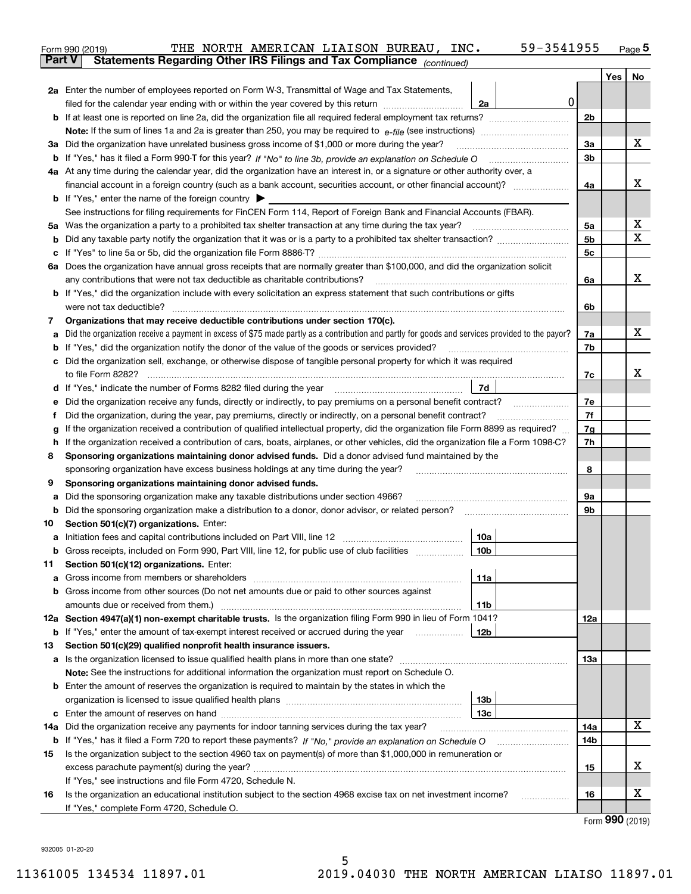|               | THE NORTH AMERICAN LIAISON BUREAU, INC.<br>Form 990 (2019)                                                                                                                                                                                       | 59-3541955      |                |     | <u>Page</u> 5               |
|---------------|--------------------------------------------------------------------------------------------------------------------------------------------------------------------------------------------------------------------------------------------------|-----------------|----------------|-----|-----------------------------|
| <b>Part V</b> | Statements Regarding Other IRS Filings and Tax Compliance (continued)                                                                                                                                                                            |                 |                |     |                             |
|               |                                                                                                                                                                                                                                                  |                 |                | Yes | No                          |
|               | 2a Enter the number of employees reported on Form W-3, Transmittal of Wage and Tax Statements,                                                                                                                                                   |                 |                |     |                             |
|               | filed for the calendar year ending with or within the year covered by this return <i>[[[[[[[[[[[[[[]]]]</i> ]]                                                                                                                                   | 0 <br>2a        |                |     |                             |
|               |                                                                                                                                                                                                                                                  |                 | 2b             |     |                             |
|               |                                                                                                                                                                                                                                                  |                 |                |     |                             |
|               | 3a Did the organization have unrelated business gross income of \$1,000 or more during the year?                                                                                                                                                 |                 | 3a             |     | х                           |
|               |                                                                                                                                                                                                                                                  |                 | 3 <sub>b</sub> |     |                             |
|               | 4a At any time during the calendar year, did the organization have an interest in, or a signature or other authority over, a                                                                                                                     |                 |                |     |                             |
|               |                                                                                                                                                                                                                                                  |                 | 4a             |     | х                           |
|               | <b>b</b> If "Yes," enter the name of the foreign country $\blacktriangleright$                                                                                                                                                                   |                 |                |     |                             |
|               | See instructions for filing requirements for FinCEN Form 114, Report of Foreign Bank and Financial Accounts (FBAR).                                                                                                                              |                 |                |     |                             |
|               |                                                                                                                                                                                                                                                  |                 | 5a             |     | x                           |
|               |                                                                                                                                                                                                                                                  |                 | 5 <sub>b</sub> |     | Χ                           |
|               |                                                                                                                                                                                                                                                  |                 | 5c             |     |                             |
|               | 6a Does the organization have annual gross receipts that are normally greater than \$100,000, and did the organization solicit                                                                                                                   |                 |                |     |                             |
|               |                                                                                                                                                                                                                                                  |                 | 6a             |     | x                           |
|               | <b>b</b> If "Yes," did the organization include with every solicitation an express statement that such contributions or gifts                                                                                                                    |                 |                |     |                             |
|               |                                                                                                                                                                                                                                                  |                 | 6b             |     |                             |
| 7             | Organizations that may receive deductible contributions under section 170(c).                                                                                                                                                                    |                 |                |     |                             |
| a             | Did the organization receive a payment in excess of \$75 made partly as a contribution and partly for goods and services provided to the payor?                                                                                                  |                 | 7a             |     | х                           |
|               | <b>b</b> If "Yes," did the organization notify the donor of the value of the goods or services provided?                                                                                                                                         |                 | 7b             |     |                             |
|               | c Did the organization sell, exchange, or otherwise dispose of tangible personal property for which it was required                                                                                                                              |                 |                |     |                             |
|               |                                                                                                                                                                                                                                                  |                 | 7c             |     | х                           |
|               | d If "Yes," indicate the number of Forms 8282 filed during the year manufactured in the second of the second structure of Forms 8282 filed during the year manufactured in the Second Structure of the Second Structure of the                   | 7d              |                |     |                             |
| е             | Did the organization receive any funds, directly or indirectly, to pay premiums on a personal benefit contract?                                                                                                                                  |                 | 7e<br>7f       |     |                             |
| f             | Did the organization, during the year, pay premiums, directly or indirectly, on a personal benefit contract?<br>If the organization received a contribution of qualified intellectual property, did the organization file Form 8899 as required? |                 | 7g             |     |                             |
| g             | h If the organization received a contribution of cars, boats, airplanes, or other vehicles, did the organization file a Form 1098-C?                                                                                                             |                 | 7h             |     |                             |
| 8             | Sponsoring organizations maintaining donor advised funds. Did a donor advised fund maintained by the                                                                                                                                             |                 |                |     |                             |
|               | sponsoring organization have excess business holdings at any time during the year?                                                                                                                                                               |                 | 8              |     |                             |
| 9             | Sponsoring organizations maintaining donor advised funds.                                                                                                                                                                                        |                 |                |     |                             |
| а             | Did the sponsoring organization make any taxable distributions under section 4966?                                                                                                                                                               |                 | 9a             |     |                             |
|               |                                                                                                                                                                                                                                                  |                 | 9b             |     |                             |
| 10            | Section 501(c)(7) organizations. Enter:                                                                                                                                                                                                          |                 |                |     |                             |
| а             |                                                                                                                                                                                                                                                  | 10a             |                |     |                             |
|               | Gross receipts, included on Form 990, Part VIII, line 12, for public use of club facilities                                                                                                                                                      | 10b             |                |     |                             |
| 11            | Section 501(c)(12) organizations. Enter:                                                                                                                                                                                                         |                 |                |     |                             |
| а             | Gross income from members or shareholders                                                                                                                                                                                                        | 11a             |                |     |                             |
|               | b Gross income from other sources (Do not net amounts due or paid to other sources against                                                                                                                                                       |                 |                |     |                             |
|               | amounts due or received from them.)                                                                                                                                                                                                              | 11b             |                |     |                             |
|               | 12a Section 4947(a)(1) non-exempt charitable trusts. Is the organization filing Form 990 in lieu of Form 1041?                                                                                                                                   |                 | 12a            |     |                             |
|               | <b>b</b> If "Yes," enter the amount of tax-exempt interest received or accrued during the year                                                                                                                                                   | 12b             |                |     |                             |
| 13            | Section 501(c)(29) qualified nonprofit health insurance issuers.                                                                                                                                                                                 |                 |                |     |                             |
|               | a Is the organization licensed to issue qualified health plans in more than one state?                                                                                                                                                           |                 | 13а            |     |                             |
|               | Note: See the instructions for additional information the organization must report on Schedule O.                                                                                                                                                |                 |                |     |                             |
|               | <b>b</b> Enter the amount of reserves the organization is required to maintain by the states in which the                                                                                                                                        |                 |                |     |                             |
|               |                                                                                                                                                                                                                                                  | 13b             |                |     |                             |
|               |                                                                                                                                                                                                                                                  | 13 <sub>c</sub> |                |     |                             |
| 14a           | Did the organization receive any payments for indoor tanning services during the tax year?                                                                                                                                                       |                 | 14a            |     | x                           |
|               | <b>b</b> If "Yes," has it filed a Form 720 to report these payments? If "No," provide an explanation on Schedule O                                                                                                                               |                 | 14b            |     |                             |
| 15            | Is the organization subject to the section 4960 tax on payment(s) of more than \$1,000,000 in remuneration or                                                                                                                                    |                 |                |     | X.                          |
|               |                                                                                                                                                                                                                                                  |                 | 15             |     |                             |
|               | If "Yes," see instructions and file Form 4720, Schedule N.<br>Is the organization an educational institution subject to the section 4968 excise tax on net investment income?                                                                    |                 | 16             |     | х                           |
| 16            | If "Yes," complete Form 4720, Schedule O.                                                                                                                                                                                                        |                 |                |     |                             |
|               |                                                                                                                                                                                                                                                  |                 |                |     | $E_{\text{orm}}$ 990 (2010) |

Form (2019) **990**

932005 01-20-20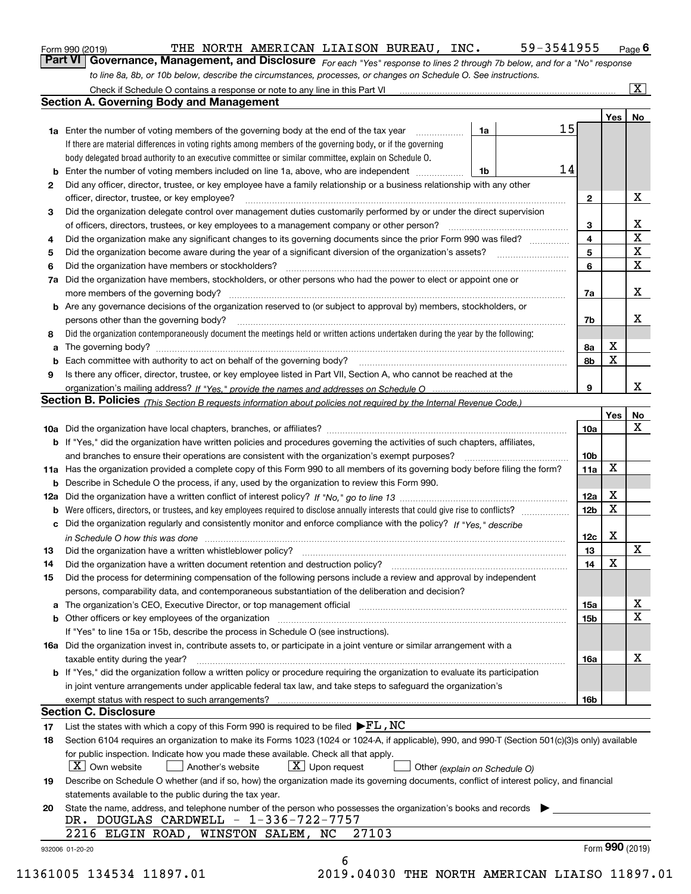|  | Form 990 (2019) |
|--|-----------------|
|  |                 |

# THE NORTH AMERICAN LIAISON BUREAU, INC. 59-3541955

*For each "Yes" response to lines 2 through 7b below, and for a "No" response to line 8a, 8b, or 10b below, describe the circumstances, processes, or changes on Schedule O. See instructions.* Form 990 (2019) **THE NORTH AMERICAN LIAISON BUREAU, INC.** 59-3541955 Page 6<br>**Part VI Governance, Management, and Disclosure** *For each "Yes" response to lines 2 through 7b below, and for a "No" response* 

|    |                                                                                                                                                                               |    |    |                 | Yes             | No                      |
|----|-------------------------------------------------------------------------------------------------------------------------------------------------------------------------------|----|----|-----------------|-----------------|-------------------------|
|    | <b>1a</b> Enter the number of voting members of the governing body at the end of the tax year                                                                                 | 1a | 15 |                 |                 |                         |
|    | If there are material differences in voting rights among members of the governing body, or if the governing                                                                   |    |    |                 |                 |                         |
|    | body delegated broad authority to an executive committee or similar committee, explain on Schedule O.                                                                         |    |    |                 |                 |                         |
| b  | Enter the number of voting members included on line 1a, above, who are independent <i>manumum</i>                                                                             | 1b | 14 |                 |                 |                         |
| 2  | Did any officer, director, trustee, or key employee have a family relationship or a business relationship with any other                                                      |    |    |                 |                 |                         |
|    | officer, director, trustee, or key employee?                                                                                                                                  |    |    | $\mathbf{2}$    |                 | X                       |
| 3  | Did the organization delegate control over management duties customarily performed by or under the direct supervision                                                         |    |    |                 |                 |                         |
|    |                                                                                                                                                                               |    |    | 3               |                 | X                       |
| 4  | Did the organization make any significant changes to its governing documents since the prior Form 990 was filed?                                                              |    |    | 4               |                 | $\overline{\mathbf{x}}$ |
| 5  |                                                                                                                                                                               |    |    | 5               |                 | $\mathbf X$             |
| 6  | Did the organization have members or stockholders?                                                                                                                            |    |    | 6               |                 | X                       |
| 7a | Did the organization have members, stockholders, or other persons who had the power to elect or appoint one or                                                                |    |    |                 |                 |                         |
|    |                                                                                                                                                                               |    |    | 7a              |                 | x                       |
|    | <b>b</b> Are any governance decisions of the organization reserved to (or subject to approval by) members, stockholders, or                                                   |    |    |                 |                 |                         |
|    | persons other than the governing body?                                                                                                                                        |    |    | 7b              |                 | х                       |
| 8  | Did the organization contemporaneously document the meetings held or written actions undertaken during the year by the following:                                             |    |    |                 |                 |                         |
|    |                                                                                                                                                                               |    |    |                 | X               |                         |
| a  |                                                                                                                                                                               |    |    | 8a<br>8b        | X               |                         |
| b  |                                                                                                                                                                               |    |    |                 |                 |                         |
| 9  | Is there any officer, director, trustee, or key employee listed in Part VII, Section A, who cannot be reached at the                                                          |    |    |                 |                 | x                       |
|    |                                                                                                                                                                               |    |    | 9               |                 |                         |
|    | <b>Section B. Policies</b> (This Section B requests information about policies not required by the Internal Revenue Code.)                                                    |    |    |                 |                 |                         |
|    |                                                                                                                                                                               |    |    |                 | Yes             | No                      |
|    |                                                                                                                                                                               |    |    | 10a             |                 | X                       |
|    | <b>b</b> If "Yes," did the organization have written policies and procedures governing the activities of such chapters, affiliates,                                           |    |    |                 |                 |                         |
|    |                                                                                                                                                                               |    |    | 10 <sub>b</sub> |                 |                         |
|    | 11a Has the organization provided a complete copy of this Form 990 to all members of its governing body before filing the form?                                               |    |    | 11a             | X               |                         |
|    | <b>b</b> Describe in Schedule O the process, if any, used by the organization to review this Form 990.                                                                        |    |    |                 |                 |                         |
|    |                                                                                                                                                                               |    |    | 12a             | X               |                         |
| b  |                                                                                                                                                                               |    |    | 12b             | X               |                         |
|    | c Did the organization regularly and consistently monitor and enforce compliance with the policy? If "Yes." describe                                                          |    |    |                 |                 |                         |
|    | in Schedule O how this was done manufactured and continuum control of the Schedule O how this was done manufactured and continuum control of the Schedule O how this was done |    |    | 12c             | Χ               |                         |
| 13 |                                                                                                                                                                               |    |    | 13              |                 | X                       |
| 14 | Did the organization have a written document retention and destruction policy? manufactured and the organization have a written document retention and destruction policy?    |    |    | 14              | X               |                         |
| 15 | Did the process for determining compensation of the following persons include a review and approval by independent                                                            |    |    |                 |                 |                         |
|    | persons, comparability data, and contemporaneous substantiation of the deliberation and decision?                                                                             |    |    |                 |                 |                         |
|    |                                                                                                                                                                               |    |    | 15a             |                 | X                       |
|    |                                                                                                                                                                               |    |    | 15 <sub>b</sub> |                 | $\mathbf X$             |
|    | If "Yes" to line 15a or 15b, describe the process in Schedule O (see instructions).                                                                                           |    |    |                 |                 |                         |
|    | 16a Did the organization invest in, contribute assets to, or participate in a joint venture or similar arrangement with a                                                     |    |    |                 |                 |                         |
|    | taxable entity during the year?                                                                                                                                               |    |    | 16a             |                 | X                       |
|    | b If "Yes," did the organization follow a written policy or procedure requiring the organization to evaluate its participation                                                |    |    |                 |                 |                         |
|    | in joint venture arrangements under applicable federal tax law, and take steps to safeguard the organization's                                                                |    |    |                 |                 |                         |
|    | exempt status with respect to such arrangements?                                                                                                                              |    |    | 16b             |                 |                         |
|    | <b>Section C. Disclosure</b>                                                                                                                                                  |    |    |                 |                 |                         |
| 17 | List the states with which a copy of this Form 990 is required to be filed $\blacktriangleright$ FL , NC                                                                      |    |    |                 |                 |                         |
| 18 | Section 6104 requires an organization to make its Forms 1023 (1024 or 1024-A, if applicable), 990, and 990-T (Section 501(c)(3)s only) available                              |    |    |                 |                 |                         |
|    | for public inspection. Indicate how you made these available. Check all that apply.                                                                                           |    |    |                 |                 |                         |
|    | $\boxed{\text{X}}$ Upon request<br>$\mid$ $\rm X \mid$ Own website<br>Another's website                                                                                       |    |    |                 |                 |                         |
|    | Other (explain on Schedule O)                                                                                                                                                 |    |    |                 |                 |                         |
| 19 | Describe on Schedule O whether (and if so, how) the organization made its governing documents, conflict of interest policy, and financial                                     |    |    |                 |                 |                         |
|    | statements available to the public during the tax year.                                                                                                                       |    |    |                 |                 |                         |
| 20 | State the name, address, and telephone number of the person who possesses the organization's books and records                                                                |    |    |                 |                 |                         |
|    | DR. DOUGLAS CARDWELL - 1-336-722-7757                                                                                                                                         |    |    |                 |                 |                         |
|    | 27103<br>2216 ELGIN ROAD, WINSTON SALEM, NC                                                                                                                                   |    |    |                 |                 |                         |
|    | 932006 01-20-20                                                                                                                                                               |    |    |                 | Form 990 (2019) |                         |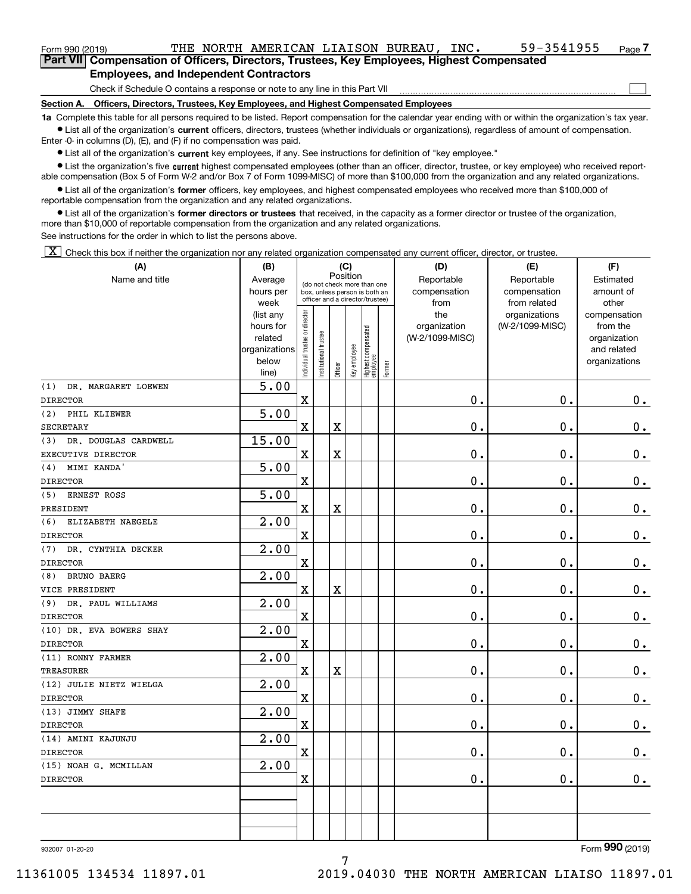$\mathcal{L}^{\text{max}}$ 

| Form 990 (2019) |                                                                                            |  | THE NORTH AMERICAN LIAISON BUREAU. |  | INC. | 59-3541955 | Page 7 |
|-----------------|--------------------------------------------------------------------------------------------|--|------------------------------------|--|------|------------|--------|
|                 | Part VII Compensation of Officers, Directors, Trustees, Key Employees, Highest Compensated |  |                                    |  |      |            |        |
|                 | <b>Employees, and Independent Contractors</b>                                              |  |                                    |  |      |            |        |

Check if Schedule O contains a response or note to any line in this Part VII

**Section A. Officers, Directors, Trustees, Key Employees, and Highest Compensated Employees**

**1a**  Complete this table for all persons required to be listed. Report compensation for the calendar year ending with or within the organization's tax year. **•** List all of the organization's current officers, directors, trustees (whether individuals or organizations), regardless of amount of compensation.

Enter -0- in columns (D), (E), and (F) if no compensation was paid.

 $\bullet$  List all of the organization's  $\,$ current key employees, if any. See instructions for definition of "key employee."

**•** List the organization's five current highest compensated employees (other than an officer, director, trustee, or key employee) who received reportable compensation (Box 5 of Form W-2 and/or Box 7 of Form 1099-MISC) of more than \$100,000 from the organization and any related organizations.

**•** List all of the organization's former officers, key employees, and highest compensated employees who received more than \$100,000 of reportable compensation from the organization and any related organizations.

**former directors or trustees**  ¥ List all of the organization's that received, in the capacity as a former director or trustee of the organization, more than \$10,000 of reportable compensation from the organization and any related organizations.

See instructions for the order in which to list the persons above.

 $\boxed{\textbf{X}}$  Check this box if neither the organization nor any related organization compensated any current officer, director, or trustee.

| (A)                         | (B)                    |                               |                                                                  |                         | (C)          |                                   |        | (D)                             | (E)             | (F)                      |  |  |  |  |
|-----------------------------|------------------------|-------------------------------|------------------------------------------------------------------|-------------------------|--------------|-----------------------------------|--------|---------------------------------|-----------------|--------------------------|--|--|--|--|
| Name and title              | Average                |                               | (do not check more than one                                      |                         | Position     |                                   |        | Reportable                      | Reportable      | Estimated                |  |  |  |  |
|                             | hours per              |                               | box, unless person is both an<br>officer and a director/trustee) |                         |              |                                   |        | compensation                    | compensation    | amount of                |  |  |  |  |
|                             | week                   |                               |                                                                  |                         |              |                                   |        | from                            | from related    | other                    |  |  |  |  |
|                             | (list any<br>hours for |                               |                                                                  |                         |              |                                   |        | the                             | organizations   | compensation<br>from the |  |  |  |  |
|                             | related                |                               |                                                                  |                         |              |                                   |        | organization<br>(W-2/1099-MISC) | (W-2/1099-MISC) | organization             |  |  |  |  |
|                             | organizations          |                               |                                                                  |                         |              |                                   |        |                                 |                 | and related              |  |  |  |  |
|                             | below                  | ndividual trustee or director | nstitutional trustee                                             |                         | Key employee |                                   |        |                                 |                 | organizations            |  |  |  |  |
|                             | line)                  |                               |                                                                  | Officer                 |              | Highest compensated<br>  employee | Former |                                 |                 |                          |  |  |  |  |
| (1)<br>DR. MARGARET LOEWEN  | 5.00                   |                               |                                                                  |                         |              |                                   |        |                                 |                 |                          |  |  |  |  |
| <b>DIRECTOR</b>             |                        | $\mathbf x$                   |                                                                  |                         |              |                                   |        | 0.                              | $\mathbf 0$ .   | $0_{.}$                  |  |  |  |  |
| (2) PHIL KLIEWER            | 5.00                   |                               |                                                                  |                         |              |                                   |        |                                 |                 |                          |  |  |  |  |
| <b>SECRETARY</b>            |                        | $\mathbf X$                   |                                                                  | $\overline{\text{X}}$   |              |                                   |        | 0.                              | $\mathbf 0$ .   | $0\,.$                   |  |  |  |  |
| DR. DOUGLAS CARDWELL<br>(3) | 15.00                  |                               |                                                                  |                         |              |                                   |        |                                 |                 |                          |  |  |  |  |
| EXECUTIVE DIRECTOR          |                        | $\mathbf X$                   |                                                                  | $\overline{\textbf{X}}$ |              |                                   |        | $\mathbf 0$ .                   | $\mathbf 0$ .   | 0.                       |  |  |  |  |
| MIMI KANDA'<br>(4)          | 5.00                   |                               |                                                                  |                         |              |                                   |        |                                 |                 |                          |  |  |  |  |
| <b>DIRECTOR</b>             |                        | $\mathbf X$                   |                                                                  |                         |              |                                   |        | 0.                              | 0.              | $\mathbf 0$ .            |  |  |  |  |
| ERNEST ROSS<br>(5)          | 5.00                   |                               |                                                                  |                         |              |                                   |        |                                 |                 |                          |  |  |  |  |
| PRESIDENT                   |                        | $\mathbf x$                   |                                                                  | $\rm X$                 |              |                                   |        | 0.                              | $\mathbf 0$ .   | $\mathbf 0$ .            |  |  |  |  |
| ELIZABETH NAEGELE<br>(6)    | 2.00                   |                               |                                                                  |                         |              |                                   |        |                                 |                 |                          |  |  |  |  |
| <b>DIRECTOR</b>             |                        | X                             |                                                                  |                         |              |                                   |        | $\mathbf 0$ .                   | $\mathbf 0$ .   | $0$ .                    |  |  |  |  |
| DR. CYNTHIA DECKER<br>(7)   | 2.00                   |                               |                                                                  |                         |              |                                   |        |                                 |                 |                          |  |  |  |  |
| <b>DIRECTOR</b>             |                        | $\mathbf X$                   |                                                                  |                         |              |                                   |        | $\mathbf 0$ .                   | $\mathbf 0$ .   | $\mathbf 0$ .            |  |  |  |  |
| BRUNO BAERG<br>(8)          | 2.00                   |                               |                                                                  |                         |              |                                   |        |                                 |                 |                          |  |  |  |  |
| VICE PRESIDENT              |                        | $\mathbf X$                   |                                                                  | $\overline{\textbf{X}}$ |              |                                   |        | 0.                              | $\mathbf 0$ .   | $\mathbf 0$ .            |  |  |  |  |
| (9)<br>DR. PAUL WILLIAMS    | 2.00                   |                               |                                                                  |                         |              |                                   |        |                                 |                 |                          |  |  |  |  |
| <b>DIRECTOR</b>             |                        | $\mathbf X$                   |                                                                  |                         |              |                                   |        | 0.                              | 0.              | $\mathbf 0$ .            |  |  |  |  |
| (10) DR. EVA BOWERS SHAY    | 2.00                   |                               |                                                                  |                         |              |                                   |        |                                 |                 |                          |  |  |  |  |
| <b>DIRECTOR</b>             |                        | $\mathbf X$                   |                                                                  |                         |              |                                   |        | 0.                              | 0.              | $0$ .                    |  |  |  |  |
| (11) RONNY FARMER           | 2.00                   |                               |                                                                  |                         |              |                                   |        |                                 |                 |                          |  |  |  |  |
| <b>TREASURER</b>            |                        | $\mathbf X$                   |                                                                  | $\mathbf X$             |              |                                   |        | 0.                              | $\mathbf 0$ .   | $\mathbf 0$ .            |  |  |  |  |
| (12) JULIE NIETZ WIELGA     | 2.00                   |                               |                                                                  |                         |              |                                   |        |                                 |                 |                          |  |  |  |  |
| <b>DIRECTOR</b>             |                        | $\mathbf X$                   |                                                                  |                         |              |                                   |        | 0.                              | $\mathbf 0$ .   | $\mathbf 0$ .            |  |  |  |  |
| (13) JIMMY SHAFE            | $\overline{2.00}$      |                               |                                                                  |                         |              |                                   |        |                                 |                 |                          |  |  |  |  |
| <b>DIRECTOR</b>             |                        | X                             |                                                                  |                         |              |                                   |        | $\mathbf 0$ .                   | $\mathbf 0$ .   | $\mathbf 0$ .            |  |  |  |  |
| (14) AMINI KAJUNJU          | $\overline{2.00}$      |                               |                                                                  |                         |              |                                   |        |                                 |                 |                          |  |  |  |  |
| <b>DIRECTOR</b>             |                        | X                             |                                                                  |                         |              |                                   |        | 0.                              | 0.              | $\mathbf 0$ .            |  |  |  |  |
| (15) NOAH G. MCMILLAN       | 2.00                   |                               |                                                                  |                         |              |                                   |        |                                 |                 |                          |  |  |  |  |
| <b>DIRECTOR</b>             |                        | $\mathbf X$                   |                                                                  |                         |              |                                   |        | 0.                              | 0.              | 0.                       |  |  |  |  |
|                             |                        |                               |                                                                  |                         |              |                                   |        |                                 |                 |                          |  |  |  |  |
|                             |                        |                               |                                                                  |                         |              |                                   |        |                                 |                 |                          |  |  |  |  |
|                             |                        |                               |                                                                  |                         |              |                                   |        |                                 |                 |                          |  |  |  |  |
|                             |                        |                               |                                                                  |                         |              |                                   |        |                                 |                 |                          |  |  |  |  |

932007 01-20-20

Form (2019) **990**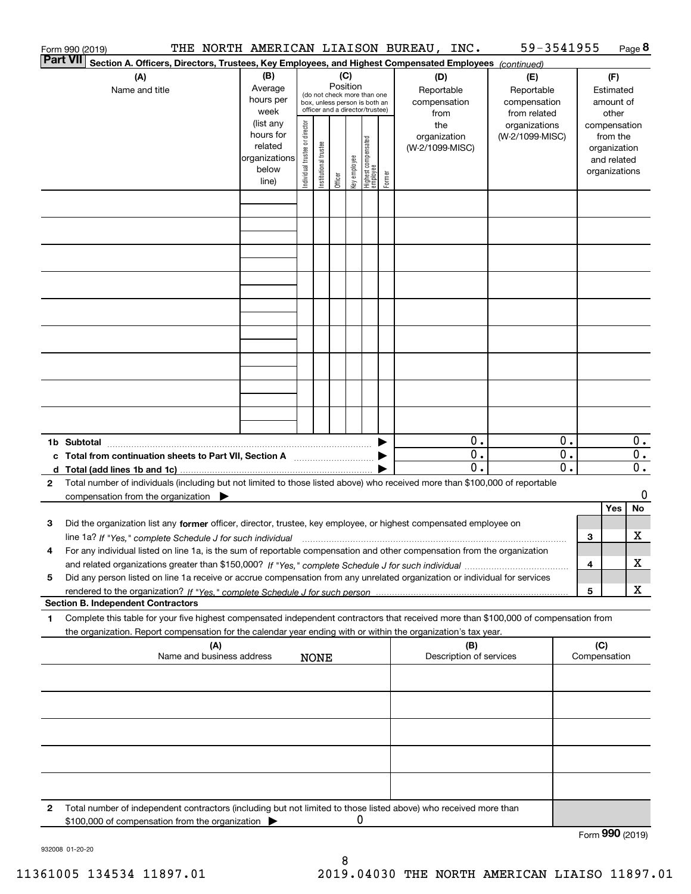|   | Form 990 (2019)                                                                                                                                                                                                                                                        | THE NORTH AMERICAN LIAISON BUREAU, INC.                                      |                                |                       |          |              |                                                                        |        |                                                |                                    | 59-3541955                                       |                                                            |     |                                                                                   | Page 8                                        |
|---|------------------------------------------------------------------------------------------------------------------------------------------------------------------------------------------------------------------------------------------------------------------------|------------------------------------------------------------------------------|--------------------------------|-----------------------|----------|--------------|------------------------------------------------------------------------|--------|------------------------------------------------|------------------------------------|--------------------------------------------------|------------------------------------------------------------|-----|-----------------------------------------------------------------------------------|-----------------------------------------------|
|   | <b>Part VII</b><br>Section A. Officers, Directors, Trustees, Key Employees, and Highest Compensated Employees (continued)                                                                                                                                              |                                                                              |                                |                       |          |              |                                                                        |        |                                                |                                    |                                                  |                                                            |     |                                                                                   |                                               |
|   | (A)<br>Name and title                                                                                                                                                                                                                                                  | (B)<br>Average<br>hours per                                                  |                                |                       | Position | (C)          | (do not check more than one<br>box, unless person is both an           |        | (D)<br>Reportable<br>compensation              |                                    | (E)<br>Reportable<br>compensation                |                                                            |     | (F)<br>Estimated<br>amount of                                                     |                                               |
|   |                                                                                                                                                                                                                                                                        | week<br>(list any<br>hours for<br>related<br>organizations<br>below<br>line) | Individual trustee or director | Institutional trustee | Officer  | key employee | officer and a director/trustee)<br>  Highest compensated<br>  employee | Former | from<br>the<br>organization<br>(W-2/1099-MISC) |                                    | from related<br>organizations<br>(W-2/1099-MISC) |                                                            |     | other<br>compensation<br>from the<br>organization<br>and related<br>organizations |                                               |
|   |                                                                                                                                                                                                                                                                        |                                                                              |                                |                       |          |              |                                                                        |        |                                                |                                    |                                                  |                                                            |     |                                                                                   |                                               |
|   |                                                                                                                                                                                                                                                                        |                                                                              |                                |                       |          |              |                                                                        |        |                                                |                                    |                                                  |                                                            |     |                                                                                   |                                               |
|   |                                                                                                                                                                                                                                                                        |                                                                              |                                |                       |          |              |                                                                        |        |                                                |                                    |                                                  |                                                            |     |                                                                                   |                                               |
|   |                                                                                                                                                                                                                                                                        |                                                                              |                                |                       |          |              |                                                                        |        |                                                |                                    |                                                  |                                                            |     |                                                                                   |                                               |
|   |                                                                                                                                                                                                                                                                        |                                                                              |                                |                       |          |              |                                                                        |        |                                                |                                    |                                                  |                                                            |     |                                                                                   |                                               |
|   |                                                                                                                                                                                                                                                                        |                                                                              |                                |                       |          |              |                                                                        |        |                                                |                                    |                                                  |                                                            |     |                                                                                   |                                               |
|   |                                                                                                                                                                                                                                                                        |                                                                              |                                |                       |          |              |                                                                        |        |                                                |                                    |                                                  |                                                            |     |                                                                                   |                                               |
|   |                                                                                                                                                                                                                                                                        |                                                                              |                                |                       |          |              |                                                                        |        |                                                |                                    |                                                  |                                                            |     |                                                                                   |                                               |
|   | 1b Subtotal                                                                                                                                                                                                                                                            |                                                                              |                                |                       |          |              |                                                                        |        |                                                | 0.                                 |                                                  | 0.                                                         |     |                                                                                   | $0$ .                                         |
|   | c Total from continuation sheets to Part VII, Section A                                                                                                                                                                                                                |                                                                              |                                |                       |          |              |                                                                        |        |                                                | $\mathbf{0}$ .<br>$\overline{0}$ . |                                                  | $\overline{\overline{0}}$ .<br>$\overline{\mathfrak{0}}$ . |     |                                                                                   | $\overline{0}$ .<br>$\overline{\mathbf{0}}$ . |
| 2 | Total number of individuals (including but not limited to those listed above) who received more than \$100,000 of reportable<br>compensation from the organization $\blacktriangleright$                                                                               |                                                                              |                                |                       |          |              |                                                                        |        |                                                |                                    |                                                  |                                                            |     |                                                                                   | 0                                             |
| з | Did the organization list any former officer, director, trustee, key employee, or highest compensated employee on                                                                                                                                                      |                                                                              |                                |                       |          |              |                                                                        |        |                                                |                                    |                                                  |                                                            |     | Yes                                                                               | No                                            |
| 4 | line 1a? If "Yes," complete Schedule J for such individual matches contained and the 1a? If "Yes," complete Schedule J for such individual<br>For any individual listed on line 1a, is the sum of reportable compensation and other compensation from the organization |                                                                              |                                |                       |          |              |                                                                        |        |                                                |                                    |                                                  |                                                            | 3   |                                                                                   | х                                             |
| 5 | Did any person listed on line 1a receive or accrue compensation from any unrelated organization or individual for services                                                                                                                                             |                                                                              |                                |                       |          |              |                                                                        |        |                                                |                                    |                                                  |                                                            | 4   |                                                                                   | х                                             |
|   | <b>Section B. Independent Contractors</b>                                                                                                                                                                                                                              |                                                                              |                                |                       |          |              |                                                                        |        |                                                |                                    |                                                  |                                                            | 5   |                                                                                   | X                                             |
| 1 | Complete this table for your five highest compensated independent contractors that received more than \$100,000 of compensation from                                                                                                                                   |                                                                              |                                |                       |          |              |                                                                        |        |                                                |                                    |                                                  |                                                            |     |                                                                                   |                                               |
|   | the organization. Report compensation for the calendar year ending with or within the organization's tax year.<br>(A)<br>Name and business address                                                                                                                     |                                                                              |                                | <b>NONE</b>           |          |              |                                                                        |        |                                                | (B)<br>Description of services     |                                                  |                                                            | (C) | Compensation                                                                      |                                               |
|   |                                                                                                                                                                                                                                                                        |                                                                              |                                |                       |          |              |                                                                        |        |                                                |                                    |                                                  |                                                            |     |                                                                                   |                                               |
|   |                                                                                                                                                                                                                                                                        |                                                                              |                                |                       |          |              |                                                                        |        |                                                |                                    |                                                  |                                                            |     |                                                                                   |                                               |
|   |                                                                                                                                                                                                                                                                        |                                                                              |                                |                       |          |              |                                                                        |        |                                                |                                    |                                                  |                                                            |     |                                                                                   |                                               |
|   |                                                                                                                                                                                                                                                                        |                                                                              |                                |                       |          |              |                                                                        |        |                                                |                                    |                                                  |                                                            |     |                                                                                   |                                               |
|   |                                                                                                                                                                                                                                                                        |                                                                              |                                |                       |          |              |                                                                        |        |                                                |                                    |                                                  |                                                            |     |                                                                                   |                                               |
| 2 | Total number of independent contractors (including but not limited to those listed above) who received more than<br>\$100,000 of compensation from the organization                                                                                                    |                                                                              |                                |                       |          | 0            |                                                                        |        |                                                |                                    |                                                  |                                                            |     |                                                                                   |                                               |
|   |                                                                                                                                                                                                                                                                        |                                                                              |                                |                       |          |              |                                                                        |        |                                                |                                    |                                                  |                                                            |     | Form 990 (2019)                                                                   |                                               |

932008 01-20-20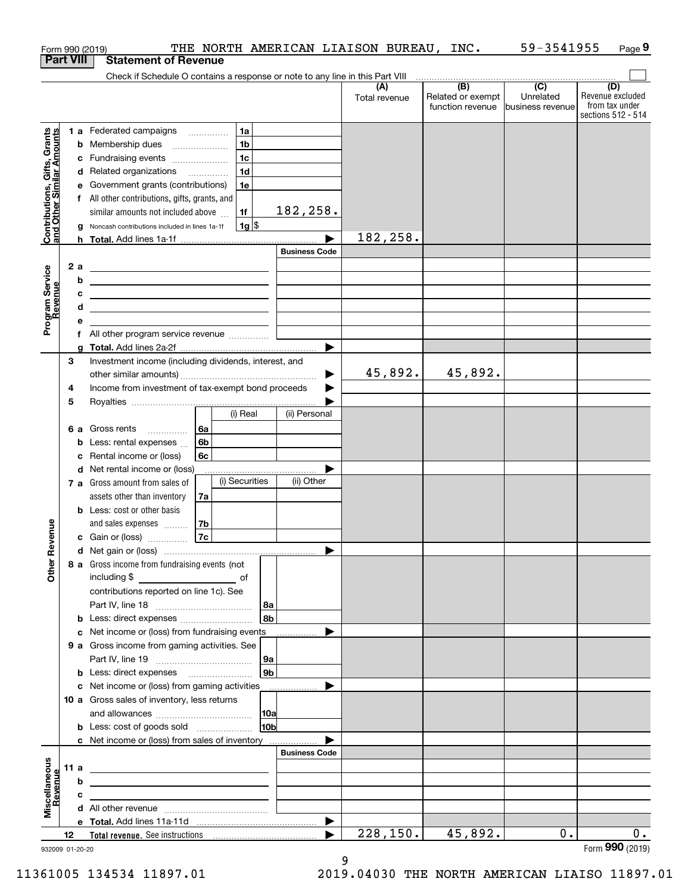|                                                           |      |    | THE NORTH AMERICAN LIAISON BUREAU, INC.<br>Form 990 (2019)                                                                                                                           |                       |                      |                                                                                               | 59-3541955                    | Page 9                                                          |
|-----------------------------------------------------------|------|----|--------------------------------------------------------------------------------------------------------------------------------------------------------------------------------------|-----------------------|----------------------|-----------------------------------------------------------------------------------------------|-------------------------------|-----------------------------------------------------------------|
| <b>Part VIII</b>                                          |      |    | <b>Statement of Revenue</b>                                                                                                                                                          |                       |                      |                                                                                               |                               |                                                                 |
|                                                           |      |    | Check if Schedule O contains a response or note to any line in this Part VIII                                                                                                        |                       |                      | $\begin{array}{c c c c c c} \hline \text{ } & \text{(B)} & \text{(C)} & \text{ } \end{array}$ |                               |                                                                 |
|                                                           |      |    |                                                                                                                                                                                      |                       | (A)<br>Total revenue | Related or exempt<br>function revenue                                                         | Unrelated<br>business revenue | (D)<br>Revenue excluded<br>from tax under<br>sections 512 - 514 |
|                                                           |      |    | 1 a Federated campaigns<br>1a                                                                                                                                                        |                       |                      |                                                                                               |                               |                                                                 |
|                                                           |      |    | 1 <sub>b</sub><br><b>b</b> Membership dues                                                                                                                                           |                       |                      |                                                                                               |                               |                                                                 |
|                                                           |      |    | 1 <sub>c</sub><br>c Fundraising events                                                                                                                                               |                       |                      |                                                                                               |                               |                                                                 |
|                                                           |      |    | 1 <sub>d</sub><br>d Related organizations                                                                                                                                            |                       |                      |                                                                                               |                               |                                                                 |
|                                                           |      |    | e Government grants (contributions)<br>1e                                                                                                                                            |                       |                      |                                                                                               |                               |                                                                 |
|                                                           |      |    | f All other contributions, gifts, grants, and                                                                                                                                        |                       |                      |                                                                                               |                               |                                                                 |
|                                                           |      |    | 1f<br>similar amounts not included above                                                                                                                                             | 182,258.              |                      |                                                                                               |                               |                                                                 |
| Contributions, Gifts, Grants<br>and Other Similar Amounts |      |    | $1g$ \$<br>g Noncash contributions included in lines 1a-1f                                                                                                                           |                       | 182,258.             |                                                                                               |                               |                                                                 |
|                                                           |      |    |                                                                                                                                                                                      | <b>Business Code</b>  |                      |                                                                                               |                               |                                                                 |
|                                                           |      | 2a |                                                                                                                                                                                      |                       |                      |                                                                                               |                               |                                                                 |
| Program Service<br>Revenue                                |      | b  | <u> 1989 - Johann Stoff, deutscher Stoffen und der Stoffen und der Stoffen und der Stoffen und der Stoffen und der</u><br><u> 1989 - Johann Stein, mars an de Brasilia (b. 1989)</u> |                       |                      |                                                                                               |                               |                                                                 |
|                                                           |      | с  | <u> 1989 - Andrea Stadt Britain, amerikansk politik (</u>                                                                                                                            |                       |                      |                                                                                               |                               |                                                                 |
|                                                           |      | d  | <u> 1989 - Johann Barn, amerikansk politiker (</u>                                                                                                                                   |                       |                      |                                                                                               |                               |                                                                 |
|                                                           |      | е  |                                                                                                                                                                                      |                       |                      |                                                                                               |                               |                                                                 |
|                                                           |      |    | f All other program service revenue                                                                                                                                                  |                       |                      |                                                                                               |                               |                                                                 |
|                                                           |      |    |                                                                                                                                                                                      |                       |                      |                                                                                               |                               |                                                                 |
|                                                           | 3    |    | Investment income (including dividends, interest, and                                                                                                                                |                       |                      |                                                                                               |                               |                                                                 |
|                                                           |      |    |                                                                                                                                                                                      |                       | 45,892.              | 45,892.                                                                                       |                               |                                                                 |
|                                                           | 4    |    | Income from investment of tax-exempt bond proceeds                                                                                                                                   |                       |                      |                                                                                               |                               |                                                                 |
|                                                           | 5    |    | (i) Real                                                                                                                                                                             | (ii) Personal         |                      |                                                                                               |                               |                                                                 |
|                                                           |      |    | 6 a Gross rents<br>6а                                                                                                                                                                |                       |                      |                                                                                               |                               |                                                                 |
|                                                           |      |    | 6 <sub>b</sub><br><b>b</b> Less: rental expenses $\ldots$                                                                                                                            |                       |                      |                                                                                               |                               |                                                                 |
|                                                           |      |    | c Rental income or (loss)<br>6с                                                                                                                                                      |                       |                      |                                                                                               |                               |                                                                 |
|                                                           |      |    | d Net rental income or (loss)                                                                                                                                                        |                       |                      |                                                                                               |                               |                                                                 |
|                                                           |      |    | (i) Securities<br>7 a Gross amount from sales of                                                                                                                                     | (ii) Other            |                      |                                                                                               |                               |                                                                 |
|                                                           |      |    | assets other than inventory<br>7a                                                                                                                                                    |                       |                      |                                                                                               |                               |                                                                 |
|                                                           |      |    | <b>b</b> Less: cost or other basis                                                                                                                                                   |                       |                      |                                                                                               |                               |                                                                 |
|                                                           |      |    | 7b<br>and sales expenses                                                                                                                                                             |                       |                      |                                                                                               |                               |                                                                 |
| evenue                                                    |      |    | 7c<br>c Gain or (loss)                                                                                                                                                               |                       |                      |                                                                                               |                               |                                                                 |
| Œ<br>Other                                                |      |    | 8 a Gross income from fundraising events (not                                                                                                                                        |                       |                      |                                                                                               |                               |                                                                 |
|                                                           |      |    | including \$<br><u>of</u> of                                                                                                                                                         |                       |                      |                                                                                               |                               |                                                                 |
|                                                           |      |    | contributions reported on line 1c). See                                                                                                                                              |                       |                      |                                                                                               |                               |                                                                 |
|                                                           |      |    |                                                                                                                                                                                      | 8a                    |                      |                                                                                               |                               |                                                                 |
|                                                           |      |    | <b>b</b> Less: direct expenses                                                                                                                                                       | 8b                    |                      |                                                                                               |                               |                                                                 |
|                                                           |      |    | c Net income or (loss) from fundraising events<br>9 a Gross income from gaming activities. See                                                                                       |                       |                      |                                                                                               |                               |                                                                 |
|                                                           |      |    |                                                                                                                                                                                      | 9a                    |                      |                                                                                               |                               |                                                                 |
|                                                           |      |    | <b>b</b> Less: direct expenses <b>manually</b>                                                                                                                                       | 9 <sub>b</sub>        |                      |                                                                                               |                               |                                                                 |
|                                                           |      |    | c Net income or (loss) from gaming activities                                                                                                                                        |                       |                      |                                                                                               |                               |                                                                 |
|                                                           |      |    | 10 a Gross sales of inventory, less returns                                                                                                                                          |                       |                      |                                                                                               |                               |                                                                 |
|                                                           |      |    |                                                                                                                                                                                      | 10a                   |                      |                                                                                               |                               |                                                                 |
|                                                           |      |    |                                                                                                                                                                                      | 10 <sub>b</sub>       |                      |                                                                                               |                               |                                                                 |
|                                                           |      |    | c Net income or (loss) from sales of inventory                                                                                                                                       |                       |                      |                                                                                               |                               |                                                                 |
|                                                           |      |    |                                                                                                                                                                                      | <b>Business Code</b>  |                      |                                                                                               |                               |                                                                 |
|                                                           | 11 a |    | <u> 1989 - Andrea Stadt Britain, amerikansk politiker (</u>                                                                                                                          |                       |                      |                                                                                               |                               |                                                                 |
|                                                           |      | b  | <u> 1989 - Andrea Stadt, fransk politiker (d. 1989)</u>                                                                                                                              |                       |                      |                                                                                               |                               |                                                                 |
| Miscellaneous<br>Revenue                                  |      | c  | the control of the control of the control of the control of the control of                                                                                                           |                       |                      |                                                                                               |                               |                                                                 |
|                                                           |      |    |                                                                                                                                                                                      | $\blacktriangleright$ |                      |                                                                                               |                               |                                                                 |
|                                                           | 12   |    |                                                                                                                                                                                      |                       | 228, 150.            | 45,892.                                                                                       | 0.                            | $0$ .                                                           |
| 932009 01-20-20                                           |      |    |                                                                                                                                                                                      |                       |                      |                                                                                               |                               | Form 990 (2019)                                                 |

932009 01-20-20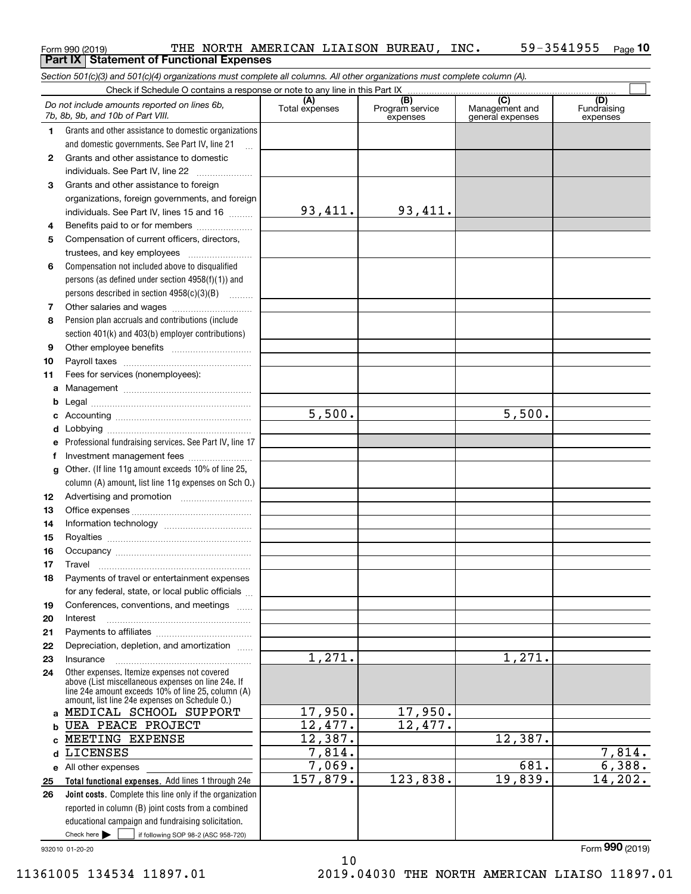|              | Do not include amounts reported on lines 6b,<br>7b, 8b, 9b, and 10b of Part VIII.                                    | (A)<br>Total expenses | (B)<br>Program service<br>expenses | $\overline{C}$<br>Management and<br>general expenses | (D)<br>Fundraising<br>expenses |  |
|--------------|----------------------------------------------------------------------------------------------------------------------|-----------------------|------------------------------------|------------------------------------------------------|--------------------------------|--|
| 1            | Grants and other assistance to domestic organizations<br>and domestic governments. See Part IV, line 21<br>$\ddotsc$ |                       |                                    |                                                      |                                |  |
| $\mathbf{2}$ | Grants and other assistance to domestic                                                                              |                       |                                    |                                                      |                                |  |
|              | individuals. See Part IV, line 22<br>$\overline{\phantom{a}}$                                                        |                       |                                    |                                                      |                                |  |
| 3            | Grants and other assistance to foreign                                                                               |                       |                                    |                                                      |                                |  |
|              | organizations, foreign governments, and foreign                                                                      |                       |                                    |                                                      |                                |  |
|              | individuals. See Part IV, lines 15 and 16                                                                            | 93,411.               | 93,411.                            |                                                      |                                |  |
| 4            | Benefits paid to or for members                                                                                      |                       |                                    |                                                      |                                |  |
| 5            | Compensation of current officers, directors,                                                                         |                       |                                    |                                                      |                                |  |
|              | trustees, and key employees                                                                                          |                       |                                    |                                                      |                                |  |
| 6            | Compensation not included above to disqualified                                                                      |                       |                                    |                                                      |                                |  |
|              | persons (as defined under section $4958(f)(1)$ ) and                                                                 |                       |                                    |                                                      |                                |  |
|              | persons described in section $4958(c)(3)(B)$                                                                         |                       |                                    |                                                      |                                |  |
| 7            |                                                                                                                      |                       |                                    |                                                      |                                |  |
| 8            | Pension plan accruals and contributions (include                                                                     |                       |                                    |                                                      |                                |  |
|              | section 401(k) and 403(b) employer contributions)                                                                    |                       |                                    |                                                      |                                |  |
| 9            |                                                                                                                      |                       |                                    |                                                      |                                |  |
| 10           |                                                                                                                      |                       |                                    |                                                      |                                |  |
| 11           | Fees for services (nonemployees):                                                                                    |                       |                                    |                                                      |                                |  |
| а            |                                                                                                                      |                       |                                    |                                                      |                                |  |
| b            |                                                                                                                      |                       |                                    |                                                      |                                |  |
| c            |                                                                                                                      | 5,500.                |                                    | 5,500.                                               |                                |  |
| d            |                                                                                                                      |                       |                                    |                                                      |                                |  |
| е            | Professional fundraising services. See Part IV, line 17                                                              |                       |                                    |                                                      |                                |  |
| f            | Investment management fees                                                                                           |                       |                                    |                                                      |                                |  |
| g            | Other. (If line 11g amount exceeds 10% of line 25,                                                                   |                       |                                    |                                                      |                                |  |
|              | column (A) amount, list line 11g expenses on Sch 0.)                                                                 |                       |                                    |                                                      |                                |  |
| 12           | Advertising and promotion <i></i>                                                                                    |                       |                                    |                                                      |                                |  |
| 13           |                                                                                                                      |                       |                                    |                                                      |                                |  |
| 14           |                                                                                                                      |                       |                                    |                                                      |                                |  |
| 15           |                                                                                                                      |                       |                                    |                                                      |                                |  |
| 16           |                                                                                                                      |                       |                                    |                                                      |                                |  |
| 17           | Travel                                                                                                               |                       |                                    |                                                      |                                |  |
| 18           | Payments of travel or entertainment expenses                                                                         |                       |                                    |                                                      |                                |  |
|              | for any federal, state, or local public officials                                                                    |                       |                                    |                                                      |                                |  |
| 19           | Conferences, conventions, and meetings                                                                               |                       |                                    |                                                      |                                |  |
| 20           | Interest                                                                                                             |                       |                                    |                                                      |                                |  |
| 21<br>22     | Depreciation, depletion, and amortization                                                                            |                       |                                    |                                                      |                                |  |
| 23           | Insurance                                                                                                            | 1,271.                |                                    | 1,271.                                               |                                |  |
| 24           | Other expenses. Itemize expenses not covered                                                                         |                       |                                    |                                                      |                                |  |
|              | above (List miscellaneous expenses on line 24e. If<br>line 24e amount exceeds 10% of line 25, column (A)             |                       |                                    |                                                      |                                |  |
|              | amount, list line 24e expenses on Schedule O.)                                                                       |                       |                                    |                                                      |                                |  |
|              | a MEDICAL SCHOOL SUPPORT                                                                                             | 17,950.               | 17,950.                            |                                                      |                                |  |
| b            | <b>UEA PEACE PROJECT</b>                                                                                             | 12,477.               | 12,477.                            |                                                      |                                |  |
| C.           | MEETING EXPENSE                                                                                                      | 12,387.               |                                    | 12,387.                                              |                                |  |
| d            | LICENSES                                                                                                             | 7,814.                |                                    |                                                      | 7,814.                         |  |
|              | e All other expenses                                                                                                 | 7,069.                |                                    | 681.                                                 | 6,388.                         |  |
| 25           | Total functional expenses. Add lines 1 through 24e                                                                   | 157,879.              | 123,838.                           | 19,839.                                              | 14,202.                        |  |

10

**Total functional expenses.**  Add lines 1 through 24e **Joint costs.** Complete this line only if the organization **e** All other expenses **25 26**reported in column (B) joint costs from a combined 7,069. 157,879.

Check here  $\bullet$  if following SOP 98-2 (ASC 958-720)

educational campaign and fundraising solicitation.

932010 01-20-20

Check here  $\blacktriangleright$ 

Form (2019) **990**

11361005 134534 11897.01 2019.04030 THE NORTH AMERICAN LIAISO 11897.01

### $_{\rm Form}$  990 (2019) THE NORTH AMERICAN LIAISON BUREAU, INC.  $_{\rm J}$  59-3541955  $_{\rm Page}$ **10 Part IX Statement of Functional Expenses**

*Section 501(c)(3) and 501(c)(4) organizations must complete all columns. All other organizations must complete column (A).*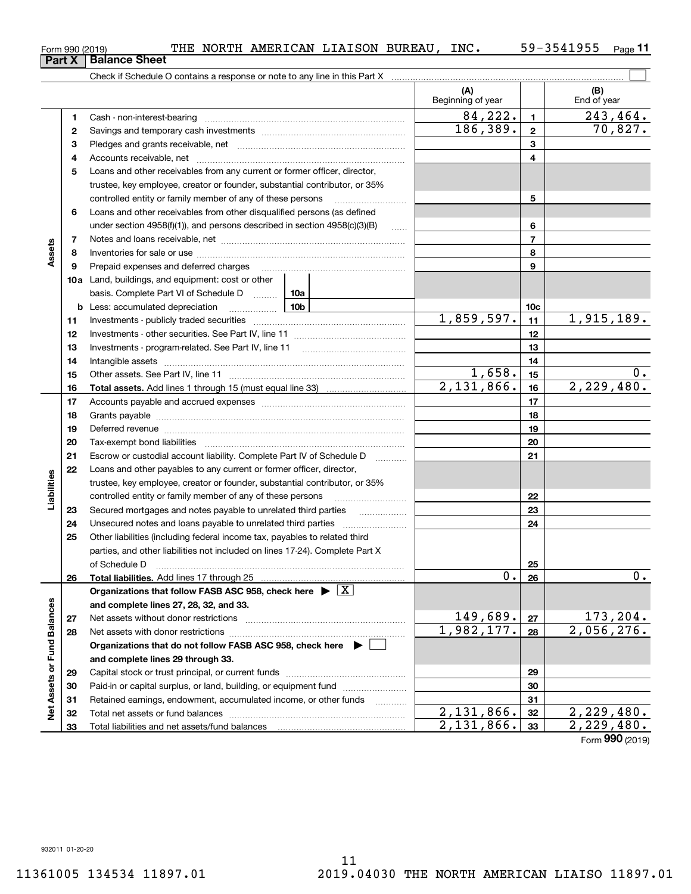Cash - non-interest-bearing ~~~~~~~~~~~~~~~~~~~~~~~~~ Savings and temporary cash investments ~~~~~~~~~~~~~~~~~~ Pledges and grants receivable, net  $\ldots$  **multimes contained and grants receivable**, net **multimes contained and grants receivable**, net **multimes contained and grants receivable** Accounts receivable, net

Check if Schedule O contains a response or note to any line in this Part X

|                      | 4  | Accounts receivable, net                                                              |     |                          | 4   |                          |  |
|----------------------|----|---------------------------------------------------------------------------------------|-----|--------------------------|-----|--------------------------|--|
|                      | 5  | Loans and other receivables from any current or former officer, director,             |     |                          |     |                          |  |
|                      |    | trustee, key employee, creator or founder, substantial contributor, or 35%            |     |                          |     |                          |  |
|                      |    | controlled entity or family member of any of these persons                            |     | 5                        |     |                          |  |
|                      | 6  | Loans and other receivables from other disqualified persons (as defined               |     |                          |     |                          |  |
|                      |    | under section $4958(f)(1)$ , and persons described in section $4958(c)(3)(B)$         |     | 6                        |     |                          |  |
|                      | 7  |                                                                                       |     | $\overline{\phantom{a}}$ |     |                          |  |
| Assets               | 8  |                                                                                       |     |                          | 8   |                          |  |
|                      | 9  | Prepaid expenses and deferred charges                                                 |     |                          | 9   |                          |  |
|                      |    | <b>10a</b> Land, buildings, and equipment: cost or other                              |     |                          |     |                          |  |
|                      |    | basis. Complete Part VI of Schedule D                                                 | 10a |                          |     |                          |  |
|                      |    | <b>b</b> Less: accumulated depreciation<br>. 1                                        | 10b |                          | 10c |                          |  |
|                      | 11 |                                                                                       |     | 1,859,597.               | 11  | 1,915,189.               |  |
|                      | 12 |                                                                                       |     |                          | 12  |                          |  |
|                      | 13 | Investments - program-related. See Part IV, line 11                                   |     |                          | 13  |                          |  |
|                      | 14 |                                                                                       |     |                          | 14  |                          |  |
|                      | 15 |                                                                                       |     | 1,658.                   | 15  | 0.                       |  |
|                      | 16 | <b>Total assets.</b> Add lines 1 through 15 (must equal line 33) <i></i>              |     | $2,131,866$ .            | 16  | 2,229,480.               |  |
|                      | 17 |                                                                                       |     | 17                       |     |                          |  |
|                      | 18 |                                                                                       |     | 18                       |     |                          |  |
|                      | 19 |                                                                                       |     | 19                       |     |                          |  |
|                      | 20 |                                                                                       |     | 20                       |     |                          |  |
|                      | 21 | Escrow or custodial account liability. Complete Part IV of Schedule D                 |     | 21                       |     |                          |  |
|                      | 22 | Loans and other payables to any current or former officer, director,                  |     |                          |     |                          |  |
| Liabilities          |    | trustee, key employee, creator or founder, substantial contributor, or 35%            |     |                          |     |                          |  |
|                      |    | controlled entity or family member of any of these persons                            |     |                          | 22  |                          |  |
|                      | 23 | Secured mortgages and notes payable to unrelated third parties                        |     |                          | 23  |                          |  |
|                      | 24 |                                                                                       |     |                          | 24  |                          |  |
|                      | 25 | Other liabilities (including federal income tax, payables to related third            |     |                          |     |                          |  |
|                      |    | parties, and other liabilities not included on lines 17-24). Complete Part X          |     |                          |     |                          |  |
|                      |    | of Schedule D                                                                         |     |                          | 25  |                          |  |
|                      | 26 | Total liabilities. Add lines 17 through 25                                            |     | 0.                       | 26  | $0$ .                    |  |
|                      |    | Organizations that follow FASB ASC 958, check here $\triangleright \lfloor X \rfloor$ |     |                          |     |                          |  |
|                      |    | and complete lines 27, 28, 32, and 33.                                                |     |                          |     |                          |  |
|                      | 27 |                                                                                       |     | 149,689.                 | 27  | 173,204.                 |  |
|                      | 28 |                                                                                       |     | 1,982,177.               | 28  | 2,056,276.               |  |
| <b>Fund Balances</b> |    | Organizations that do not follow FASB ASC 958, check here $\blacktriangleright$       |     |                          |     |                          |  |
|                      |    | and complete lines 29 through 33.                                                     |     |                          |     |                          |  |
|                      | 29 |                                                                                       |     |                          | 29  |                          |  |
| Net Assets or        | 30 | Paid-in or capital surplus, or land, building, or equipment fund                      |     |                          | 30  |                          |  |
|                      | 31 | Retained earnings, endowment, accumulated income, or other funds                      | .   | 2,131,866.               | 31  | 2,229,480.               |  |
|                      | 32 | Total net assets or fund balances                                                     |     |                          |     |                          |  |
|                      | 33 | Total liabilities and net assets/fund balances                                        |     | 2,131,866.               | 33  | $\overline{2,229,480}$ . |  |
|                      |    |                                                                                       |     |                          |     | Form 990 (2019)          |  |

 $_{\rm Form}$  990 (2019) THE NORTH AMERICAN LIAISON BUREAU, INC.  $_{\rm J}$  59-3541955  $_{\rm Page}$ **11 Part X** | Balance Sheet

**(A) (B)**

 $\mathcal{L}^{\text{max}}$ 

(B)<br>End of year

Beginning of year | | End of year

**123**

 $84,222.$  1 243,464.

186,389. 70,827.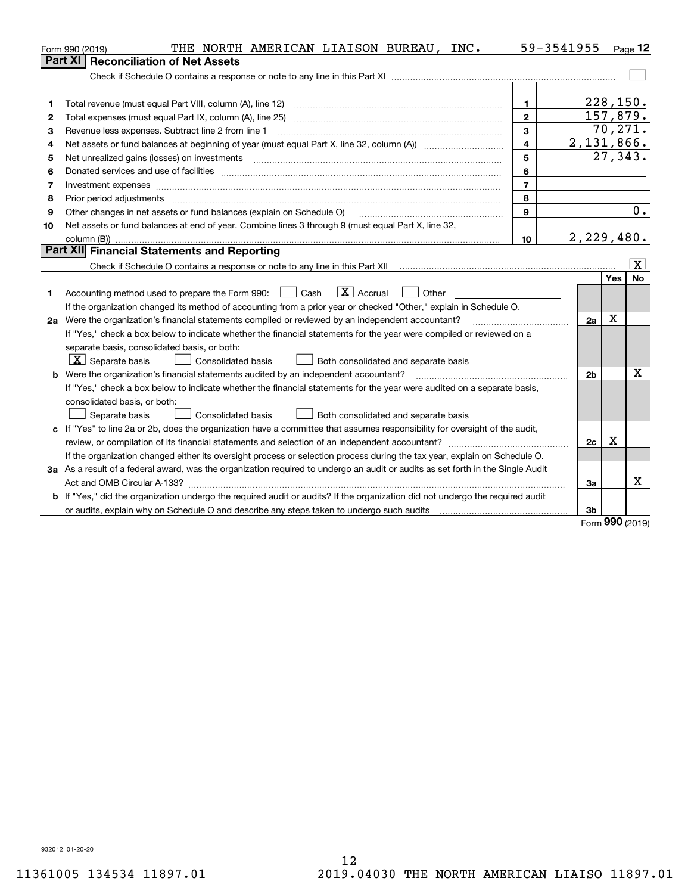|    | THE NORTH AMERICAN LIAISON BUREAU, INC.<br>Form 990 (2019)                                                                      |                | 59-3541955     |            | $Page$ 12              |
|----|---------------------------------------------------------------------------------------------------------------------------------|----------------|----------------|------------|------------------------|
|    | Part XI<br><b>Reconciliation of Net Assets</b>                                                                                  |                |                |            |                        |
|    |                                                                                                                                 |                |                |            |                        |
|    |                                                                                                                                 |                |                |            |                        |
| 1  | Total revenue (must equal Part VIII, column (A), line 12)                                                                       | 1.             |                | 228, 150.  |                        |
| 2  |                                                                                                                                 | $\mathbf{2}$   | 157,879.       |            |                        |
| 3  | Revenue less expenses. Subtract line 2 from line 1                                                                              | 3              |                | 70,271.    |                        |
| 4  |                                                                                                                                 | $\overline{4}$ | 2,131,866.     |            |                        |
| 5  |                                                                                                                                 | 5              |                |            | $\overline{27}$ , 343. |
| 6  |                                                                                                                                 | 6              |                |            |                        |
| 7  | Investment expenses www.communication.com/www.communication.com/www.communication.com/www.com                                   | $\overline{7}$ |                |            |                        |
| 8  | Prior period adjustments                                                                                                        | 8              |                |            |                        |
| 9  | Other changes in net assets or fund balances (explain on Schedule O)                                                            | $\mathbf{Q}$   |                |            | 0.                     |
| 10 | Net assets or fund balances at end of year. Combine lines 3 through 9 (must equal Part X, line 32,                              |                |                |            |                        |
|    |                                                                                                                                 | 10             | 2,229,480.     |            |                        |
|    | Part XII Financial Statements and Reporting                                                                                     |                |                |            |                        |
|    |                                                                                                                                 |                |                |            | x                      |
|    |                                                                                                                                 |                |                | <b>Yes</b> | <b>No</b>              |
| 1  | $\boxed{\mathbf{X}}$ Accrual<br>Accounting method used to prepare the Form 990: <u>June</u> Cash<br>Other                       |                |                |            |                        |
|    | If the organization changed its method of accounting from a prior year or checked "Other," explain in Schedule O.               |                |                |            |                        |
|    | 2a Were the organization's financial statements compiled or reviewed by an independent accountant?                              |                | 2a             | X          |                        |
|    | If "Yes," check a box below to indicate whether the financial statements for the year were compiled or reviewed on a            |                |                |            |                        |
|    | separate basis, consolidated basis, or both:                                                                                    |                |                |            |                        |
|    | $X$ Separate basis<br>Consolidated basis<br>Both consolidated and separate basis                                                |                |                |            |                        |
|    | <b>b</b> Were the organization's financial statements audited by an independent accountant?                                     |                | 2 <sub>b</sub> |            | x                      |
|    | If "Yes," check a box below to indicate whether the financial statements for the year were audited on a separate basis,         |                |                |            |                        |
|    | consolidated basis, or both:                                                                                                    |                |                |            |                        |
|    | <b>Consolidated basis</b><br>Separate basis<br>Both consolidated and separate basis                                             |                |                |            |                        |
|    | c If "Yes" to line 2a or 2b, does the organization have a committee that assumes responsibility for oversight of the audit,     |                |                |            |                        |
|    | review, or compilation of its financial statements and selection of an independent accountant?                                  |                | 2c             | x          |                        |
|    | If the organization changed either its oversight process or selection process during the tax year, explain on Schedule O.       |                |                |            |                        |
|    | 3a As a result of a federal award, was the organization required to undergo an audit or audits as set forth in the Single Audit |                |                |            |                        |
|    |                                                                                                                                 |                | За             |            | х                      |
|    | b If "Yes," did the organization undergo the required audit or audits? If the organization did not undergo the required audit   |                |                |            |                        |
|    |                                                                                                                                 |                | 3b             | <u>nnn</u> |                        |

Form (2019) **990**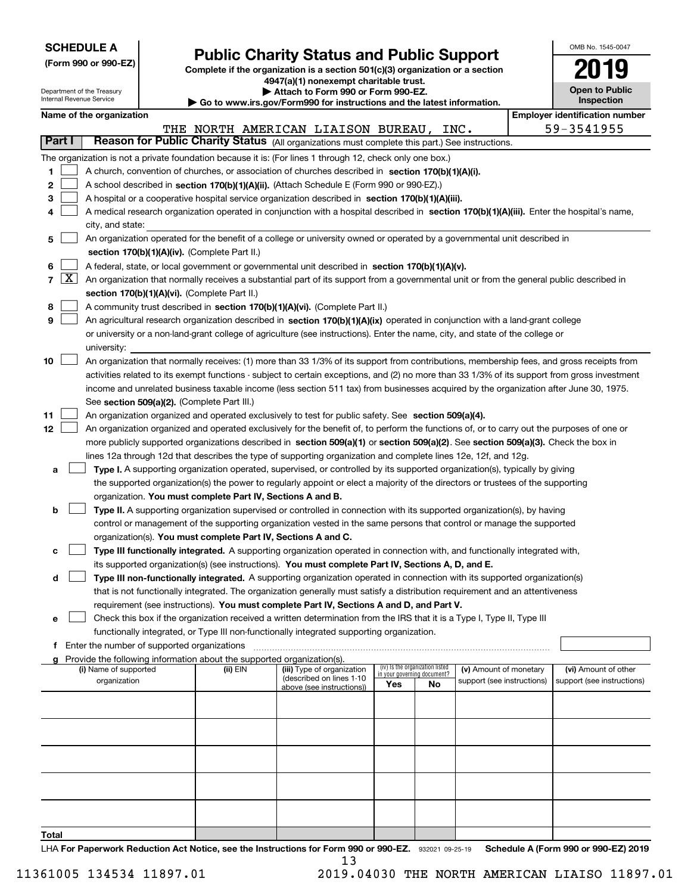| <b>SCHEDULE A</b> |
|-------------------|
|-------------------|

Department of the Treasury

**(Form 990 or 990-EZ)**

# **Public Charity Status and Public Support**

**Complete if the organization is a section 501(c)(3) organization or a section 4947(a)(1) nonexempt charitable trust. | Attach to Form 990 or Form 990-EZ.** 

|  |  | o www.irs.gov/Form990 for instructions and the latest information. |  |  |
|--|--|--------------------------------------------------------------------|--|--|
|  |  |                                                                    |  |  |

| OMB No. 1545-0047     |
|-----------------------|
| 2019                  |
| <b>Open to Public</b> |

 $\overline{\phantom{a}}$ 

| Internal Revenue Service<br>$\blacktriangleright$ Go to www.irs.gov/Form990 for instructions and the latest information. |                  |                                                                                                                                            |                                             |                                                                                    |                                                                                                                                               | <b>Inspection</b>                  |                                 |                            |  |  |                            |  |
|--------------------------------------------------------------------------------------------------------------------------|------------------|--------------------------------------------------------------------------------------------------------------------------------------------|---------------------------------------------|------------------------------------------------------------------------------------|-----------------------------------------------------------------------------------------------------------------------------------------------|------------------------------------|---------------------------------|----------------------------|--|--|----------------------------|--|
|                                                                                                                          |                  | Name of the organization                                                                                                                   |                                             |                                                                                    | <b>Employer identification number</b>                                                                                                         |                                    |                                 |                            |  |  |                            |  |
|                                                                                                                          |                  |                                                                                                                                            |                                             |                                                                                    | THE NORTH AMERICAN LIAISON BUREAU, INC.                                                                                                       |                                    |                                 |                            |  |  | 59-3541955                 |  |
| Part I                                                                                                                   |                  |                                                                                                                                            |                                             |                                                                                    | Reason for Public Charity Status (All organizations must complete this part.) See instructions.                                               |                                    |                                 |                            |  |  |                            |  |
|                                                                                                                          |                  |                                                                                                                                            |                                             |                                                                                    | The organization is not a private foundation because it is: (For lines 1 through 12, check only one box.)                                     |                                    |                                 |                            |  |  |                            |  |
| 1.                                                                                                                       |                  |                                                                                                                                            |                                             |                                                                                    | A church, convention of churches, or association of churches described in section 170(b)(1)(A)(i).                                            |                                    |                                 |                            |  |  |                            |  |
| 2                                                                                                                        |                  |                                                                                                                                            |                                             |                                                                                    | A school described in section 170(b)(1)(A)(ii). (Attach Schedule E (Form 990 or 990-EZ).)                                                     |                                    |                                 |                            |  |  |                            |  |
| 3                                                                                                                        |                  |                                                                                                                                            |                                             |                                                                                    | A hospital or a cooperative hospital service organization described in section 170(b)(1)(A)(iii).                                             |                                    |                                 |                            |  |  |                            |  |
| 4                                                                                                                        |                  | A medical research organization operated in conjunction with a hospital described in section 170(b)(1)(A)(iii). Enter the hospital's name, |                                             |                                                                                    |                                                                                                                                               |                                    |                                 |                            |  |  |                            |  |
|                                                                                                                          | city, and state: |                                                                                                                                            |                                             |                                                                                    |                                                                                                                                               |                                    |                                 |                            |  |  |                            |  |
| 5                                                                                                                        |                  |                                                                                                                                            |                                             |                                                                                    | An organization operated for the benefit of a college or university owned or operated by a governmental unit described in                     |                                    |                                 |                            |  |  |                            |  |
|                                                                                                                          |                  |                                                                                                                                            |                                             | section 170(b)(1)(A)(iv). (Complete Part II.)                                      |                                                                                                                                               |                                    |                                 |                            |  |  |                            |  |
| 6                                                                                                                        |                  |                                                                                                                                            |                                             |                                                                                    | A federal, state, or local government or governmental unit described in section 170(b)(1)(A)(v).                                              |                                    |                                 |                            |  |  |                            |  |
| 7                                                                                                                        |                  |                                                                                                                                            |                                             |                                                                                    | $X$ An organization that normally receives a substantial part of its support from a governmental unit or from the general public described in |                                    |                                 |                            |  |  |                            |  |
|                                                                                                                          |                  |                                                                                                                                            |                                             | section 170(b)(1)(A)(vi). (Complete Part II.)                                      |                                                                                                                                               |                                    |                                 |                            |  |  |                            |  |
| 8                                                                                                                        |                  |                                                                                                                                            |                                             |                                                                                    | A community trust described in section 170(b)(1)(A)(vi). (Complete Part II.)                                                                  |                                    |                                 |                            |  |  |                            |  |
| 9                                                                                                                        |                  |                                                                                                                                            |                                             |                                                                                    | An agricultural research organization described in section 170(b)(1)(A)(ix) operated in conjunction with a land-grant college                 |                                    |                                 |                            |  |  |                            |  |
|                                                                                                                          |                  |                                                                                                                                            |                                             |                                                                                    | or university or a non-land-grant college of agriculture (see instructions). Enter the name, city, and state of the college or                |                                    |                                 |                            |  |  |                            |  |
|                                                                                                                          |                  | university:                                                                                                                                |                                             |                                                                                    |                                                                                                                                               |                                    |                                 |                            |  |  |                            |  |
| 10                                                                                                                       |                  |                                                                                                                                            |                                             |                                                                                    | An organization that normally receives: (1) more than 33 1/3% of its support from contributions, membership fees, and gross receipts from     |                                    |                                 |                            |  |  |                            |  |
|                                                                                                                          |                  |                                                                                                                                            |                                             |                                                                                    | activities related to its exempt functions - subject to certain exceptions, and (2) no more than 33 1/3% of its support from gross investment |                                    |                                 |                            |  |  |                            |  |
|                                                                                                                          |                  |                                                                                                                                            |                                             |                                                                                    | income and unrelated business taxable income (less section 511 tax) from businesses acquired by the organization after June 30, 1975.         |                                    |                                 |                            |  |  |                            |  |
|                                                                                                                          |                  |                                                                                                                                            |                                             | See section 509(a)(2). (Complete Part III.)                                        |                                                                                                                                               |                                    |                                 |                            |  |  |                            |  |
| 11                                                                                                                       |                  |                                                                                                                                            |                                             |                                                                                    | An organization organized and operated exclusively to test for public safety. See section 509(a)(4).                                          |                                    |                                 |                            |  |  |                            |  |
| 12                                                                                                                       |                  |                                                                                                                                            |                                             |                                                                                    | An organization organized and operated exclusively for the benefit of, to perform the functions of, or to carry out the purposes of one or    |                                    |                                 |                            |  |  |                            |  |
|                                                                                                                          |                  |                                                                                                                                            |                                             |                                                                                    | more publicly supported organizations described in section 509(a)(1) or section 509(a)(2). See section 509(a)(3). Check the box in            |                                    |                                 |                            |  |  |                            |  |
|                                                                                                                          |                  |                                                                                                                                            |                                             |                                                                                    | lines 12a through 12d that describes the type of supporting organization and complete lines 12e, 12f, and 12g.                                |                                    |                                 |                            |  |  |                            |  |
| a                                                                                                                        |                  |                                                                                                                                            |                                             |                                                                                    | Type I. A supporting organization operated, supervised, or controlled by its supported organization(s), typically by giving                   |                                    |                                 |                            |  |  |                            |  |
|                                                                                                                          |                  |                                                                                                                                            |                                             |                                                                                    | the supported organization(s) the power to regularly appoint or elect a majority of the directors or trustees of the supporting               |                                    |                                 |                            |  |  |                            |  |
|                                                                                                                          |                  |                                                                                                                                            |                                             | organization. You must complete Part IV, Sections A and B.                         |                                                                                                                                               |                                    |                                 |                            |  |  |                            |  |
| b                                                                                                                        |                  |                                                                                                                                            |                                             |                                                                                    | Type II. A supporting organization supervised or controlled in connection with its supported organization(s), by having                       |                                    |                                 |                            |  |  |                            |  |
|                                                                                                                          |                  |                                                                                                                                            |                                             |                                                                                    | control or management of the supporting organization vested in the same persons that control or manage the supported                          |                                    |                                 |                            |  |  |                            |  |
|                                                                                                                          |                  |                                                                                                                                            |                                             | organization(s). You must complete Part IV, Sections A and C.                      |                                                                                                                                               |                                    |                                 |                            |  |  |                            |  |
| с                                                                                                                        |                  |                                                                                                                                            |                                             |                                                                                    | Type III functionally integrated. A supporting organization operated in connection with, and functionally integrated with,                    |                                    |                                 |                            |  |  |                            |  |
|                                                                                                                          |                  |                                                                                                                                            |                                             |                                                                                    | its supported organization(s) (see instructions). You must complete Part IV, Sections A, D, and E.                                            |                                    |                                 |                            |  |  |                            |  |
| d                                                                                                                        |                  |                                                                                                                                            |                                             |                                                                                    | Type III non-functionally integrated. A supporting organization operated in connection with its supported organization(s)                     |                                    |                                 |                            |  |  |                            |  |
|                                                                                                                          |                  |                                                                                                                                            |                                             |                                                                                    | that is not functionally integrated. The organization generally must satisfy a distribution requirement and an attentiveness                  |                                    |                                 |                            |  |  |                            |  |
|                                                                                                                          |                  |                                                                                                                                            |                                             |                                                                                    | requirement (see instructions). You must complete Part IV, Sections A and D, and Part V.                                                      |                                    |                                 |                            |  |  |                            |  |
| е                                                                                                                        |                  |                                                                                                                                            |                                             |                                                                                    | Check this box if the organization received a written determination from the IRS that it is a Type I, Type II, Type III                       |                                    |                                 |                            |  |  |                            |  |
|                                                                                                                          |                  |                                                                                                                                            |                                             |                                                                                    | functionally integrated, or Type III non-functionally integrated supporting organization.                                                     |                                    |                                 |                            |  |  |                            |  |
| f                                                                                                                        |                  |                                                                                                                                            | Enter the number of supported organizations |                                                                                    |                                                                                                                                               |                                    |                                 |                            |  |  |                            |  |
|                                                                                                                          |                  | (i) Name of supported                                                                                                                      |                                             | Provide the following information about the supported organization(s).<br>(ii) EIN | (iii) Type of organization                                                                                                                    |                                    | (iv) Is the organization listed | (v) Amount of monetary     |  |  | (vi) Amount of other       |  |
|                                                                                                                          |                  | organization                                                                                                                               |                                             |                                                                                    | (described on lines 1-10                                                                                                                      | in your governing document?<br>Yes | No                              | support (see instructions) |  |  | support (see instructions) |  |
|                                                                                                                          |                  |                                                                                                                                            |                                             |                                                                                    | above (see instructions))                                                                                                                     |                                    |                                 |                            |  |  |                            |  |
|                                                                                                                          |                  |                                                                                                                                            |                                             |                                                                                    |                                                                                                                                               |                                    |                                 |                            |  |  |                            |  |
|                                                                                                                          |                  |                                                                                                                                            |                                             |                                                                                    |                                                                                                                                               |                                    |                                 |                            |  |  |                            |  |
|                                                                                                                          |                  |                                                                                                                                            |                                             |                                                                                    |                                                                                                                                               |                                    |                                 |                            |  |  |                            |  |
|                                                                                                                          |                  |                                                                                                                                            |                                             |                                                                                    |                                                                                                                                               |                                    |                                 |                            |  |  |                            |  |
|                                                                                                                          |                  |                                                                                                                                            |                                             |                                                                                    |                                                                                                                                               |                                    |                                 |                            |  |  |                            |  |
|                                                                                                                          |                  |                                                                                                                                            |                                             |                                                                                    |                                                                                                                                               |                                    |                                 |                            |  |  |                            |  |
|                                                                                                                          |                  |                                                                                                                                            |                                             |                                                                                    |                                                                                                                                               |                                    |                                 |                            |  |  |                            |  |
|                                                                                                                          |                  |                                                                                                                                            |                                             |                                                                                    |                                                                                                                                               |                                    |                                 |                            |  |  |                            |  |
|                                                                                                                          |                  |                                                                                                                                            |                                             |                                                                                    |                                                                                                                                               |                                    |                                 |                            |  |  |                            |  |
|                                                                                                                          |                  |                                                                                                                                            |                                             |                                                                                    |                                                                                                                                               |                                    |                                 |                            |  |  |                            |  |
| Total                                                                                                                    |                  |                                                                                                                                            |                                             |                                                                                    |                                                                                                                                               |                                    |                                 |                            |  |  |                            |  |

LHA For Paperwork Reduction Act Notice, see the Instructions for Form 990 or 990-EZ. 932021 09-25-19 Schedule A (Form 990 or 990-EZ) 2019 13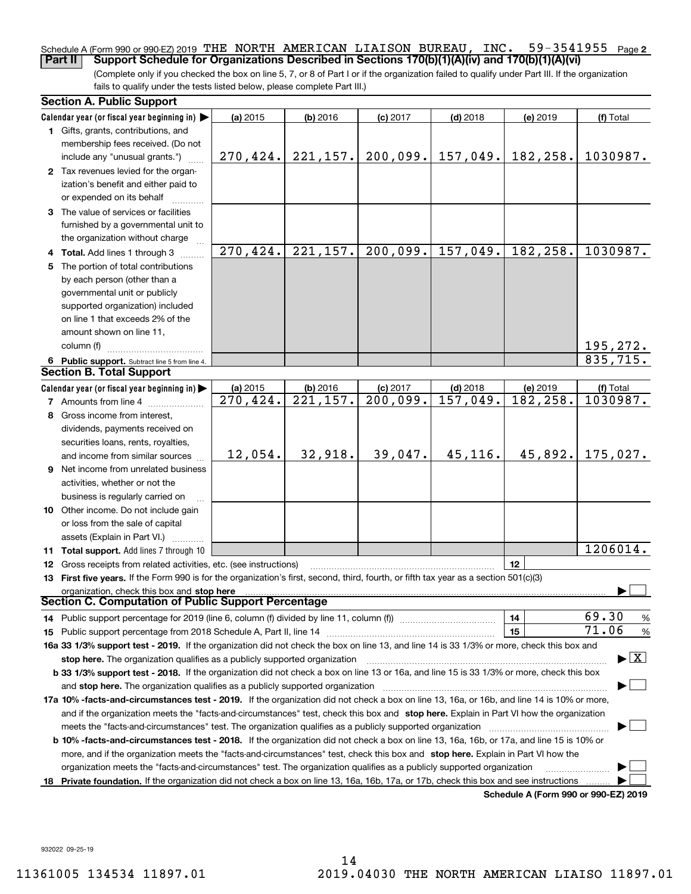### **2** Schedule A (Form 990 or 990-EZ) 2019 THE NORTH AMERICAN LIAISON BUREAU, INC.  $\,$  59-3541955  $\,$  Page **Part II Support Schedule for Organizations Described in Sections 170(b)(1)(A)(iv) and 170(b)(1)(A)(vi)**

(Complete only if you checked the box on line 5, 7, or 8 of Part I or if the organization failed to qualify under Part III. If the organization fails to qualify under the tests listed below, please complete Part III.)

|    | <b>Section A. Public Support</b>                                                                                                                                                                                               |                         |            |            |            |                                      |                                          |
|----|--------------------------------------------------------------------------------------------------------------------------------------------------------------------------------------------------------------------------------|-------------------------|------------|------------|------------|--------------------------------------|------------------------------------------|
|    | Calendar year (or fiscal year beginning in) $\blacktriangleright$                                                                                                                                                              | (a) 2015                | $(b)$ 2016 | $(c)$ 2017 | $(d)$ 2018 | (e) 2019                             | (f) Total                                |
|    | 1 Gifts, grants, contributions, and                                                                                                                                                                                            |                         |            |            |            |                                      |                                          |
|    | membership fees received. (Do not                                                                                                                                                                                              |                         |            |            |            |                                      |                                          |
|    | include any "unusual grants.")                                                                                                                                                                                                 | 270,424.                | 221, 157.  | 200,099.   | 157,049.   | 182,258.                             | 1030987.                                 |
|    | 2 Tax revenues levied for the organ-                                                                                                                                                                                           |                         |            |            |            |                                      |                                          |
|    | ization's benefit and either paid to                                                                                                                                                                                           |                         |            |            |            |                                      |                                          |
|    | or expended on its behalf                                                                                                                                                                                                      |                         |            |            |            |                                      |                                          |
|    | 3 The value of services or facilities                                                                                                                                                                                          |                         |            |            |            |                                      |                                          |
|    | furnished by a governmental unit to                                                                                                                                                                                            |                         |            |            |            |                                      |                                          |
|    | the organization without charge                                                                                                                                                                                                | $\overline{270, 424}$ . | 221, 157.  | 200,099.   | 157,049.   | 182,258.                             | 1030987.                                 |
|    | 4 Total. Add lines 1 through 3                                                                                                                                                                                                 |                         |            |            |            |                                      |                                          |
|    | 5 The portion of total contributions                                                                                                                                                                                           |                         |            |            |            |                                      |                                          |
|    | by each person (other than a                                                                                                                                                                                                   |                         |            |            |            |                                      |                                          |
|    | governmental unit or publicly                                                                                                                                                                                                  |                         |            |            |            |                                      |                                          |
|    | supported organization) included<br>on line 1 that exceeds 2% of the                                                                                                                                                           |                         |            |            |            |                                      |                                          |
|    | amount shown on line 11,                                                                                                                                                                                                       |                         |            |            |            |                                      |                                          |
|    | column (f)                                                                                                                                                                                                                     |                         |            |            |            |                                      | 195, 272.                                |
|    |                                                                                                                                                                                                                                |                         |            |            |            |                                      | 835,715.                                 |
|    | 6 Public support. Subtract line 5 from line 4.<br><b>Section B. Total Support</b>                                                                                                                                              |                         |            |            |            |                                      |                                          |
|    | Calendar year (or fiscal year beginning in) $\blacktriangleright$                                                                                                                                                              | (a) 2015                | (b) 2016   | $(c)$ 2017 | $(d)$ 2018 | (e) 2019                             | (f) Total                                |
|    | <b>7</b> Amounts from line 4                                                                                                                                                                                                   | 270, 424.               | 221,157.   | 200,099.   | 157,049.   | 182,258.                             | 1030987.                                 |
|    | 8 Gross income from interest,                                                                                                                                                                                                  |                         |            |            |            |                                      |                                          |
|    | dividends, payments received on                                                                                                                                                                                                |                         |            |            |            |                                      |                                          |
|    | securities loans, rents, royalties,                                                                                                                                                                                            |                         |            |            |            |                                      |                                          |
|    | and income from similar sources                                                                                                                                                                                                | 12,054.                 | 32,918.    | 39,047.    | 45,116.    | 45,892.                              | 175,027.                                 |
|    | 9 Net income from unrelated business                                                                                                                                                                                           |                         |            |            |            |                                      |                                          |
|    | activities, whether or not the                                                                                                                                                                                                 |                         |            |            |            |                                      |                                          |
|    | business is regularly carried on                                                                                                                                                                                               |                         |            |            |            |                                      |                                          |
|    | 10 Other income. Do not include gain                                                                                                                                                                                           |                         |            |            |            |                                      |                                          |
|    | or loss from the sale of capital                                                                                                                                                                                               |                         |            |            |            |                                      |                                          |
|    | assets (Explain in Part VI.)                                                                                                                                                                                                   |                         |            |            |            |                                      |                                          |
|    | 11 Total support. Add lines 7 through 10                                                                                                                                                                                       |                         |            |            |            |                                      | 1206014.                                 |
|    | <b>12</b> Gross receipts from related activities, etc. (see instructions)                                                                                                                                                      |                         |            |            |            | 12                                   |                                          |
|    | 13 First five years. If the Form 990 is for the organization's first, second, third, fourth, or fifth tax year as a section 501(c)(3)                                                                                          |                         |            |            |            |                                      |                                          |
|    | organization, check this box and stop here                                                                                                                                                                                     |                         |            |            |            |                                      |                                          |
|    | Section C. Computation of Public Support Percentage                                                                                                                                                                            |                         |            |            |            |                                      |                                          |
|    |                                                                                                                                                                                                                                |                         |            |            |            | 14                                   | 69.30<br>%                               |
|    |                                                                                                                                                                                                                                |                         |            |            |            | 15                                   | 71.06<br>$\%$                            |
|    | 16a 33 1/3% support test - 2019. If the organization did not check the box on line 13, and line 14 is 33 1/3% or more, check this box and                                                                                      |                         |            |            |            |                                      |                                          |
|    | stop here. The organization qualifies as a publicly supported organization                                                                                                                                                     |                         |            |            |            |                                      | $\blacktriangleright$ $\boxed{\text{X}}$ |
|    | b 33 1/3% support test - 2018. If the organization did not check a box on line 13 or 16a, and line 15 is 33 1/3% or more, check this box                                                                                       |                         |            |            |            |                                      |                                          |
|    | and stop here. The organization qualifies as a publicly supported organization manufactured content and stop here. The organization qualifies as a publicly supported organization manufactured and an analyzed of the state o |                         |            |            |            |                                      |                                          |
|    | 17a 10% -facts-and-circumstances test - 2019. If the organization did not check a box on line 13, 16a, or 16b, and line 14 is 10% or more,                                                                                     |                         |            |            |            |                                      |                                          |
|    | and if the organization meets the "facts-and-circumstances" test, check this box and stop here. Explain in Part VI how the organization                                                                                        |                         |            |            |            |                                      |                                          |
|    |                                                                                                                                                                                                                                |                         |            |            |            |                                      |                                          |
|    | <b>b 10% -facts-and-circumstances test - 2018.</b> If the organization did not check a box on line 13, 16a, 16b, or 17a, and line 15 is 10% or                                                                                 |                         |            |            |            |                                      |                                          |
|    | more, and if the organization meets the "facts-and-circumstances" test, check this box and stop here. Explain in Part VI how the                                                                                               |                         |            |            |            |                                      |                                          |
|    | organization meets the "facts-and-circumstances" test. The organization qualifies as a publicly supported organization                                                                                                         |                         |            |            |            |                                      |                                          |
| 18 | Private foundation. If the organization did not check a box on line 13, 16a, 16b, 17a, or 17b, check this box and see instructions                                                                                             |                         |            |            |            |                                      |                                          |
|    |                                                                                                                                                                                                                                |                         |            |            |            | Schedule A (Form 990 or 990-EZ) 2019 |                                          |

932022 09-25-19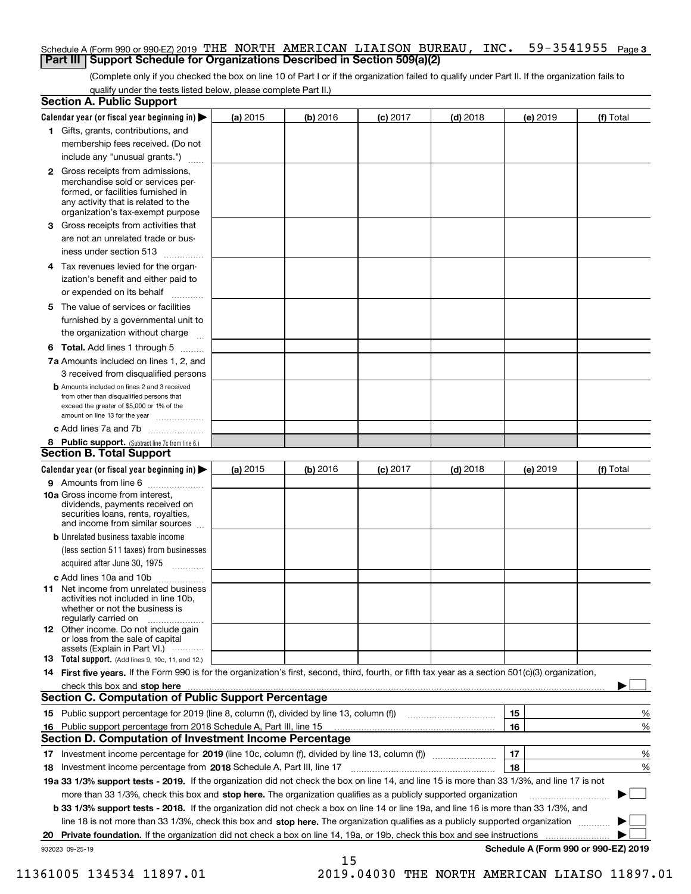# Schedule A (Form 990 or 990-EZ) 2019 THE NORTH AMERICAN LIAISON BUREAU , INC 59–3541955 <sub>Page</sub> 3 **Part III Support Schedule for Organizations Described in Section 509(a)(2)**

(Complete only if you checked the box on line 10 of Part I or if the organization failed to qualify under Part II. If the organization fails to qualify under the tests listed below, please complete Part II.)

|    | <b>Section A. Public Support</b>                                                                                                                                                                                                      |          |            |            |            |                                      |           |
|----|---------------------------------------------------------------------------------------------------------------------------------------------------------------------------------------------------------------------------------------|----------|------------|------------|------------|--------------------------------------|-----------|
|    | Calendar year (or fiscal year beginning in) $\blacktriangleright$                                                                                                                                                                     | (a) 2015 | $(b)$ 2016 | $(c)$ 2017 | $(d)$ 2018 | (e) 2019                             | (f) Total |
|    | 1 Gifts, grants, contributions, and                                                                                                                                                                                                   |          |            |            |            |                                      |           |
|    | membership fees received. (Do not                                                                                                                                                                                                     |          |            |            |            |                                      |           |
|    | include any "unusual grants.")                                                                                                                                                                                                        |          |            |            |            |                                      |           |
|    | 2 Gross receipts from admissions,<br>merchandise sold or services per-<br>formed, or facilities furnished in<br>any activity that is related to the<br>organization's tax-exempt purpose                                              |          |            |            |            |                                      |           |
|    | 3 Gross receipts from activities that<br>are not an unrelated trade or bus-                                                                                                                                                           |          |            |            |            |                                      |           |
|    | iness under section 513                                                                                                                                                                                                               |          |            |            |            |                                      |           |
|    | 4 Tax revenues levied for the organ-<br>ization's benefit and either paid to                                                                                                                                                          |          |            |            |            |                                      |           |
|    | or expended on its behalf<br>.                                                                                                                                                                                                        |          |            |            |            |                                      |           |
|    | 5 The value of services or facilities<br>furnished by a governmental unit to<br>the organization without charge                                                                                                                       |          |            |            |            |                                      |           |
|    | <b>6 Total.</b> Add lines 1 through 5                                                                                                                                                                                                 |          |            |            |            |                                      |           |
|    | 7a Amounts included on lines 1, 2, and<br>3 received from disqualified persons                                                                                                                                                        |          |            |            |            |                                      |           |
|    | <b>b</b> Amounts included on lines 2 and 3 received                                                                                                                                                                                   |          |            |            |            |                                      |           |
|    | from other than disqualified persons that<br>exceed the greater of \$5,000 or 1% of the<br>amount on line 13 for the year                                                                                                             |          |            |            |            |                                      |           |
|    | c Add lines 7a and 7b                                                                                                                                                                                                                 |          |            |            |            |                                      |           |
|    | 8 Public support. (Subtract line 7c from line 6.)                                                                                                                                                                                     |          |            |            |            |                                      |           |
|    | <b>Section B. Total Support</b>                                                                                                                                                                                                       |          |            |            |            |                                      |           |
|    | Calendar year (or fiscal year beginning in) $\blacktriangleright$                                                                                                                                                                     | (a) 2015 | (b) 2016   | $(c)$ 2017 | $(d)$ 2018 | (e) 2019                             | (f) Total |
|    | 9 Amounts from line 6                                                                                                                                                                                                                 |          |            |            |            |                                      |           |
|    | 10a Gross income from interest,<br>dividends, payments received on<br>securities loans, rents, royalties,<br>and income from similar sources                                                                                          |          |            |            |            |                                      |           |
|    | <b>b</b> Unrelated business taxable income                                                                                                                                                                                            |          |            |            |            |                                      |           |
|    | (less section 511 taxes) from businesses                                                                                                                                                                                              |          |            |            |            |                                      |           |
|    | acquired after June 30, 1975                                                                                                                                                                                                          |          |            |            |            |                                      |           |
|    | c Add lines 10a and 10b<br>11 Net income from unrelated business<br>activities not included in line 10b,<br>whether or not the business is<br>regularly carried on                                                                    |          |            |            |            |                                      |           |
|    | <b>12</b> Other income. Do not include gain<br>or loss from the sale of capital<br>assets (Explain in Part VI.)                                                                                                                       |          |            |            |            |                                      |           |
|    | 13 Total support. (Add lines 9, 10c, 11, and 12.)                                                                                                                                                                                     |          |            |            |            |                                      |           |
|    | 14 First five years. If the Form 990 is for the organization's first, second, third, fourth, or fifth tax year as a section 501(c)(3) organization,                                                                                   |          |            |            |            |                                      |           |
|    | check this box and stop here manufactured and control the state of the state of the state of the state of the state of the state of the state of the state of the state of the state of the state of the state of the state of        |          |            |            |            |                                      |           |
|    | <b>Section C. Computation of Public Support Percentage</b>                                                                                                                                                                            |          |            |            |            |                                      |           |
|    | 15 Public support percentage for 2019 (line 8, column (f), divided by line 13, column (f))                                                                                                                                            |          |            |            |            | 15                                   | %         |
|    | 16 Public support percentage from 2018 Schedule A, Part III, line 15                                                                                                                                                                  |          |            |            |            | 16                                   | %         |
|    | <b>Section D. Computation of Investment Income Percentage</b>                                                                                                                                                                         |          |            |            |            |                                      |           |
|    | 17 Investment income percentage for 2019 (line 10c, column (f), divided by line 13, column (f))                                                                                                                                       |          |            |            |            | 17                                   | %         |
|    | <b>18</b> Investment income percentage from <b>2018</b> Schedule A, Part III, line 17<br>19a 33 1/3% support tests - 2019. If the organization did not check the box on line 14, and line 15 is more than 33 1/3%, and line 17 is not |          |            |            |            | 18                                   | %         |
|    | more than 33 1/3%, check this box and stop here. The organization qualifies as a publicly supported organization                                                                                                                      |          |            |            |            |                                      | ▶         |
|    | b 33 1/3% support tests - 2018. If the organization did not check a box on line 14 or line 19a, and line 16 is more than 33 1/3%, and                                                                                                 |          |            |            |            |                                      |           |
|    | line 18 is not more than 33 1/3%, check this box and stop here. The organization qualifies as a publicly supported organization                                                                                                       |          |            |            |            |                                      |           |
| 20 | Private foundation. If the organization did not check a box on line 14, 19a, or 19b, check this box and see instructions                                                                                                              |          |            |            |            |                                      |           |
|    | 932023 09-25-19                                                                                                                                                                                                                       |          |            |            |            | Schedule A (Form 990 or 990-EZ) 2019 |           |

15

 <sup>11361005 134534 11897.01 2019.04030</sup> THE NORTH AMERICAN LIAISO 11897.01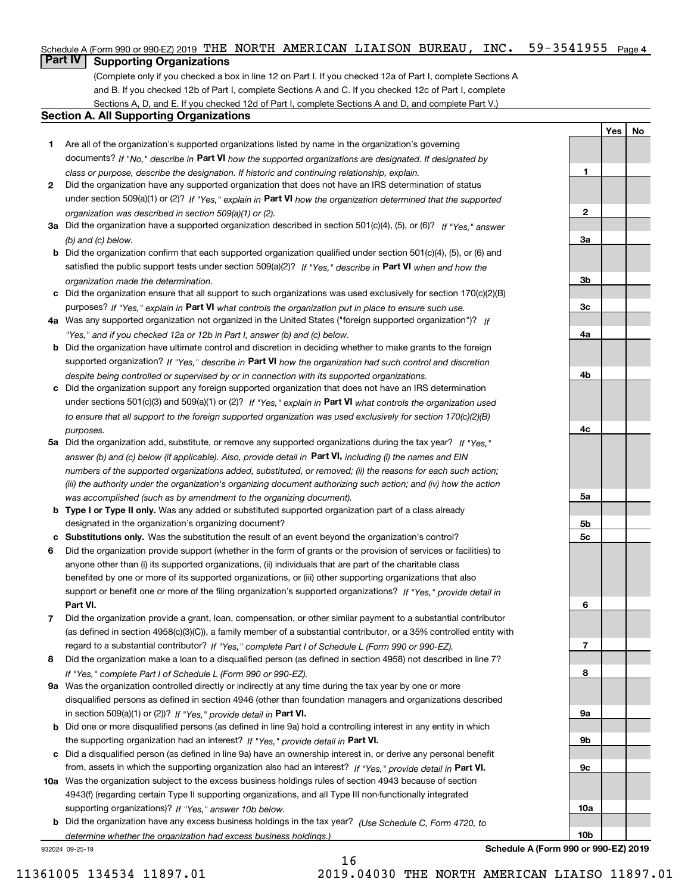# Schedule A (Form 990 or 990-EZ) 2019 THE NORTH AMERICAN LIAISON BUREAU, INC。 59-3541955 <sub>Page 4</sub>

# **Part IV Supporting Organizations**

(Complete only if you checked a box in line 12 on Part I. If you checked 12a of Part I, complete Sections A and B. If you checked 12b of Part I, complete Sections A and C. If you checked 12c of Part I, complete Sections A, D, and E. If you checked 12d of Part I, complete Sections A and D, and complete Part V.)

# **Section A. All Supporting Organizations**

- **1** Are all of the organization's supported organizations listed by name in the organization's governing documents? If "No," describe in **Part VI** how the supported organizations are designated. If designated by *class or purpose, describe the designation. If historic and continuing relationship, explain.*
- **2** Did the organization have any supported organization that does not have an IRS determination of status under section 509(a)(1) or (2)? If "Yes," explain in Part VI how the organization determined that the supported *organization was described in section 509(a)(1) or (2).*
- **3a** Did the organization have a supported organization described in section 501(c)(4), (5), or (6)? If "Yes," answer *(b) and (c) below.*
- **b** Did the organization confirm that each supported organization qualified under section 501(c)(4), (5), or (6) and satisfied the public support tests under section 509(a)(2)? If "Yes," describe in **Part VI** when and how the *organization made the determination.*
- **c**Did the organization ensure that all support to such organizations was used exclusively for section 170(c)(2)(B) purposes? If "Yes," explain in **Part VI** what controls the organization put in place to ensure such use.
- **4a***If* Was any supported organization not organized in the United States ("foreign supported organization")? *"Yes," and if you checked 12a or 12b in Part I, answer (b) and (c) below.*
- **b** Did the organization have ultimate control and discretion in deciding whether to make grants to the foreign supported organization? If "Yes," describe in **Part VI** how the organization had such control and discretion *despite being controlled or supervised by or in connection with its supported organizations.*
- **c** Did the organization support any foreign supported organization that does not have an IRS determination under sections 501(c)(3) and 509(a)(1) or (2)? If "Yes," explain in **Part VI** what controls the organization used *to ensure that all support to the foreign supported organization was used exclusively for section 170(c)(2)(B) purposes.*
- **5a** Did the organization add, substitute, or remove any supported organizations during the tax year? If "Yes," answer (b) and (c) below (if applicable). Also, provide detail in **Part VI,** including (i) the names and EIN *numbers of the supported organizations added, substituted, or removed; (ii) the reasons for each such action; (iii) the authority under the organization's organizing document authorizing such action; and (iv) how the action was accomplished (such as by amendment to the organizing document).*
- **b** Type I or Type II only. Was any added or substituted supported organization part of a class already designated in the organization's organizing document?
- **cSubstitutions only.**  Was the substitution the result of an event beyond the organization's control?
- **6** Did the organization provide support (whether in the form of grants or the provision of services or facilities) to **Part VI.** *If "Yes," provide detail in* support or benefit one or more of the filing organization's supported organizations? anyone other than (i) its supported organizations, (ii) individuals that are part of the charitable class benefited by one or more of its supported organizations, or (iii) other supporting organizations that also
- **7**Did the organization provide a grant, loan, compensation, or other similar payment to a substantial contributor *If "Yes," complete Part I of Schedule L (Form 990 or 990-EZ).* regard to a substantial contributor? (as defined in section 4958(c)(3)(C)), a family member of a substantial contributor, or a 35% controlled entity with
- **8** Did the organization make a loan to a disqualified person (as defined in section 4958) not described in line 7? *If "Yes," complete Part I of Schedule L (Form 990 or 990-EZ).*
- **9a** Was the organization controlled directly or indirectly at any time during the tax year by one or more in section 509(a)(1) or (2))? If "Yes," *provide detail in* <code>Part VI.</code> disqualified persons as defined in section 4946 (other than foundation managers and organizations described
- **b** Did one or more disqualified persons (as defined in line 9a) hold a controlling interest in any entity in which the supporting organization had an interest? If "Yes," provide detail in P**art VI**.
- **c**Did a disqualified person (as defined in line 9a) have an ownership interest in, or derive any personal benefit from, assets in which the supporting organization also had an interest? If "Yes," provide detail in P**art VI.**
- **10a** Was the organization subject to the excess business holdings rules of section 4943 because of section supporting organizations)? If "Yes," answer 10b below. 4943(f) (regarding certain Type II supporting organizations, and all Type III non-functionally integrated
- **b** Did the organization have any excess business holdings in the tax year? (Use Schedule C, Form 4720, to *determine whether the organization had excess business holdings.)*

16

932024 09-25-19

**10bSchedule A (Form 990 or 990-EZ) 2019**

**YesNo**

**1**

**2**

**3a**

**3b**

**3c**

**4a**

**4b**

**4c**

**5a**

**5b5c**

**6**

**7**

**8**

**9a**

**9b**

**9c**

**10a**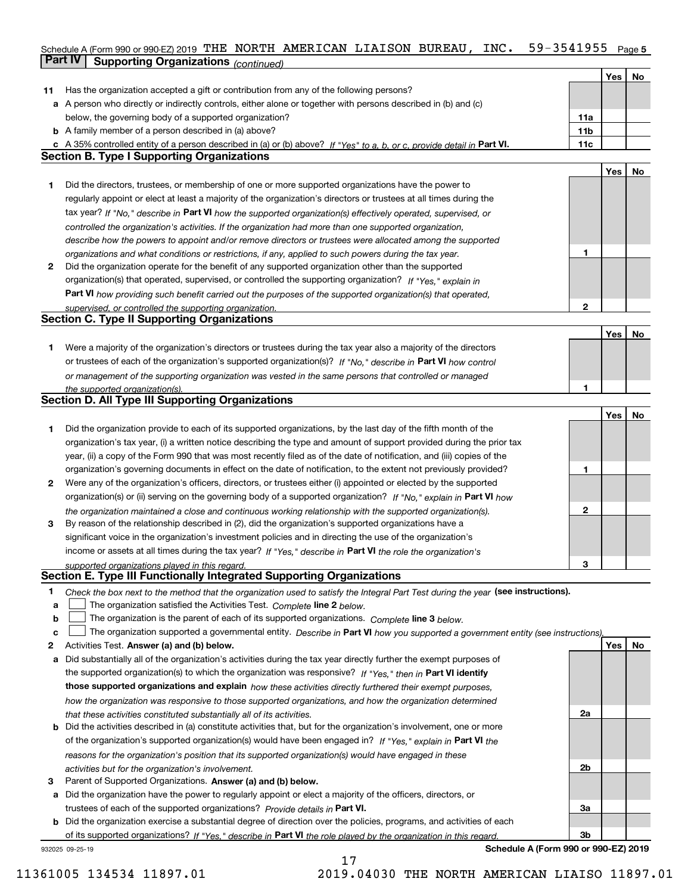# Schedule A (Form 990 or 990-EZ) 2019 THE NORTH AMERICAN LIAISON BUREAU , INC 59–3541955 <sub>Page 5</sub> **Part IV Supporting Organizations** *(continued)*

|    |                                                                                                                                   |     | Yes | No |
|----|-----------------------------------------------------------------------------------------------------------------------------------|-----|-----|----|
| 11 | Has the organization accepted a gift or contribution from any of the following persons?                                           |     |     |    |
|    | a A person who directly or indirectly controls, either alone or together with persons described in (b) and (c)                    |     |     |    |
|    | below, the governing body of a supported organization?                                                                            | 11a |     |    |
|    | <b>b</b> A family member of a person described in (a) above?                                                                      | 11b |     |    |
|    | c A 35% controlled entity of a person described in (a) or (b) above? If "Yes" to a, b, or c, provide detail in Part VI.           | 11c |     |    |
|    | Section B. Type I Supporting Organizations                                                                                        |     |     |    |
|    |                                                                                                                                   |     | Yes | No |
| 1  | Did the directors, trustees, or membership of one or more supported organizations have the power to                               |     |     |    |
|    | regularly appoint or elect at least a majority of the organization's directors or trustees at all times during the                |     |     |    |
|    | tax year? If "No," describe in Part VI how the supported organization(s) effectively operated, supervised, or                     |     |     |    |
|    | controlled the organization's activities. If the organization had more than one supported organization,                           |     |     |    |
|    | describe how the powers to appoint and/or remove directors or trustees were allocated among the supported                         |     |     |    |
|    | organizations and what conditions or restrictions, if any, applied to such powers during the tax year.                            | 1   |     |    |
| 2  | Did the organization operate for the benefit of any supported organization other than the supported                               |     |     |    |
|    | organization(s) that operated, supervised, or controlled the supporting organization? If "Yes," explain in                        |     |     |    |
|    | Part VI how providing such benefit carried out the purposes of the supported organization(s) that operated,                       |     |     |    |
|    | supervised, or controlled the supporting organization.                                                                            | 2   |     |    |
|    | <b>Section C. Type II Supporting Organizations</b>                                                                                |     |     |    |
|    |                                                                                                                                   |     | Yes | No |
| 1  | Were a majority of the organization's directors or trustees during the tax year also a majority of the directors                  |     |     |    |
|    | or trustees of each of the organization's supported organization(s)? If "No," describe in Part VI how control                     |     |     |    |
|    | or management of the supporting organization was vested in the same persons that controlled or managed                            |     |     |    |
|    | the supported organization(s).<br><b>Section D. All Type III Supporting Organizations</b>                                         |     |     |    |
|    |                                                                                                                                   |     | Yes |    |
| 1  | Did the organization provide to each of its supported organizations, by the last day of the fifth month of the                    |     |     | No |
|    | organization's tax year, (i) a written notice describing the type and amount of support provided during the prior tax             |     |     |    |
|    | year, (ii) a copy of the Form 990 that was most recently filed as of the date of notification, and (iii) copies of the            |     |     |    |
|    | organization's governing documents in effect on the date of notification, to the extent not previously provided?                  | 1   |     |    |
| 2  | Were any of the organization's officers, directors, or trustees either (i) appointed or elected by the supported                  |     |     |    |
|    | organization(s) or (ii) serving on the governing body of a supported organization? If "No," explain in Part VI how                |     |     |    |
|    | the organization maintained a close and continuous working relationship with the supported organization(s).                       | 2   |     |    |
| 3  | By reason of the relationship described in (2), did the organization's supported organizations have a                             |     |     |    |
|    | significant voice in the organization's investment policies and in directing the use of the organization's                        |     |     |    |
|    | income or assets at all times during the tax year? If "Yes," describe in Part VI the role the organization's                      |     |     |    |
|    | supported organizations played in this regard.                                                                                    | з   |     |    |
|    | Section E. Type III Functionally Integrated Supporting Organizations                                                              |     |     |    |
| 1  | Check the box next to the method that the organization used to satisfy the Integral Part Test during the year (see instructions). |     |     |    |
| a  | The organization satisfied the Activities Test. Complete line 2 below.                                                            |     |     |    |
| b  | The organization is the parent of each of its supported organizations. Complete line 3 below.                                     |     |     |    |
| c  | The organization supported a governmental entity. Describe in Part VI how you supported a government entity (see instructions).   |     |     |    |
| 2  | Activities Test. Answer (a) and (b) below.                                                                                        |     | Yes | No |
| а  | Did substantially all of the organization's activities during the tax year directly further the exempt purposes of                |     |     |    |
|    | the supported organization(s) to which the organization was responsive? If "Yes." then in Part VI identify                        |     |     |    |
|    | those supported organizations and explain how these activities directly furthered their exempt purposes,                          |     |     |    |
|    | how the organization was responsive to those supported organizations, and how the organization determined                         |     |     |    |
|    | that these activities constituted substantially all of its activities.                                                            | 2a  |     |    |
|    | <b>b</b> Did the activities described in (a) constitute activities that, but for the organization's involvement, one or more      |     |     |    |
|    | of the organization's supported organization(s) would have been engaged in? If "Yes," explain in Part VI the                      |     |     |    |
|    | reasons for the organization's position that its supported organization(s) would have engaged in these                            |     |     |    |
|    | activities but for the organization's involvement.                                                                                | 2b  |     |    |
| з  | Parent of Supported Organizations. Answer (a) and (b) below.                                                                      |     |     |    |
| a  | Did the organization have the power to regularly appoint or elect a majority of the officers, directors, or                       |     |     |    |
|    | trustees of each of the supported organizations? Provide details in Part VI.                                                      | За  |     |    |
|    | <b>b</b> Did the organization exercise a substantial degree of direction over the policies, programs, and activities of each      |     |     |    |
|    | of its supported organizations? If "Yes." describe in Part VI the role played by the organization in this regard                  | Зb  |     |    |
|    | Schedule A (Form 990 or 990-EZ) 2019<br>932025 09-25-19                                                                           |     |     |    |

17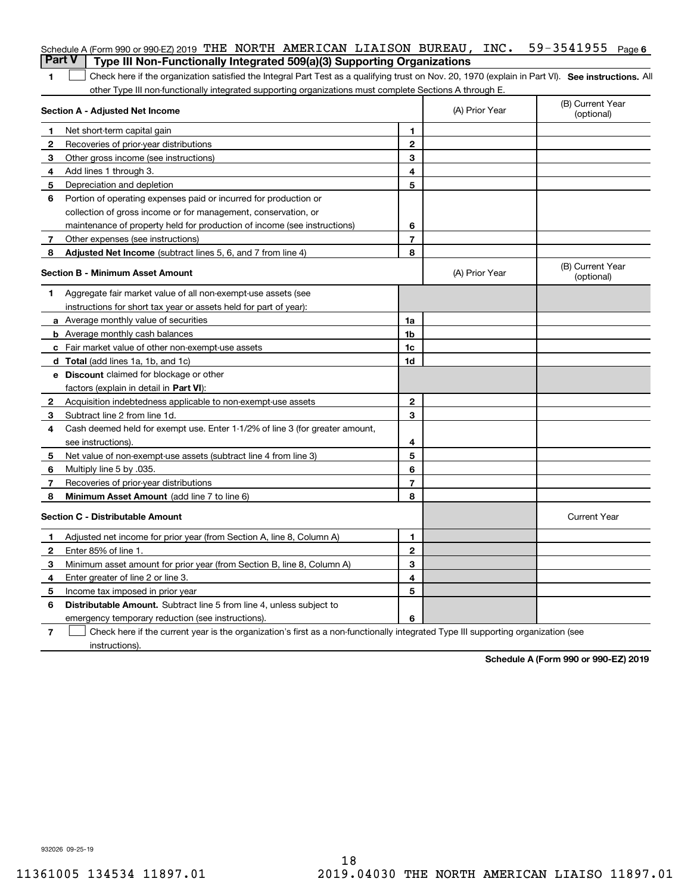| <b>Part V</b> | Schedule A (Form 990 or 990-EZ) 2019 THE NORTH AMERICAN LIAISON BUREAU, INC. 59-3541955<br>Type III Non-Functionally Integrated 509(a)(3) Supporting Organizations |                |                | Page 6                         |
|---------------|--------------------------------------------------------------------------------------------------------------------------------------------------------------------|----------------|----------------|--------------------------------|
| 1             | Check here if the organization satisfied the Integral Part Test as a qualifying trust on Nov. 20, 1970 (explain in Part VI). See instructions. Al                  |                |                |                                |
|               | other Type III non-functionally integrated supporting organizations must complete Sections A through E.                                                            |                |                |                                |
|               | <b>Section A - Adjusted Net Income</b>                                                                                                                             |                | (A) Prior Year | (B) Current Year<br>(optional) |
| 1             | Net short-term capital gain                                                                                                                                        | 1              |                |                                |
| 2             | Recoveries of prior-year distributions                                                                                                                             | $\mathbf{2}$   |                |                                |
| 3             | Other gross income (see instructions)                                                                                                                              | 3              |                |                                |
| 4             | Add lines 1 through 3.                                                                                                                                             | 4              |                |                                |
| 5             | Depreciation and depletion                                                                                                                                         | 5              |                |                                |
| 6             | Portion of operating expenses paid or incurred for production or                                                                                                   |                |                |                                |
|               | collection of gross income or for management, conservation, or                                                                                                     |                |                |                                |
|               | maintenance of property held for production of income (see instructions)                                                                                           | 6              |                |                                |
| 7             | Other expenses (see instructions)                                                                                                                                  | $\overline{7}$ |                |                                |
| 8             | <b>Adjusted Net Income</b> (subtract lines 5, 6, and 7 from line 4)                                                                                                | 8              |                |                                |
|               | <b>Section B - Minimum Asset Amount</b>                                                                                                                            |                | (A) Prior Year | (B) Current Year<br>(optional) |
| 1             | Aggregate fair market value of all non-exempt-use assets (see                                                                                                      |                |                |                                |
|               | instructions for short tax year or assets held for part of year):                                                                                                  |                |                |                                |
|               | a Average monthly value of securities                                                                                                                              | 1a             |                |                                |
|               | <b>b</b> Average monthly cash balances                                                                                                                             | 1b             |                |                                |
|               | c Fair market value of other non-exempt-use assets                                                                                                                 | 1c             |                |                                |
|               | <b>d</b> Total (add lines 1a, 1b, and 1c)                                                                                                                          | 1d             |                |                                |
|               | <b>e</b> Discount claimed for blockage or other                                                                                                                    |                |                |                                |
|               | factors (explain in detail in <b>Part VI</b> ):                                                                                                                    |                |                |                                |
| $\mathbf{2}$  | Acquisition indebtedness applicable to non-exempt-use assets                                                                                                       | $\mathbf{2}$   |                |                                |
| 3             | Subtract line 2 from line 1d.                                                                                                                                      | 3              |                |                                |
| 4             | Cash deemed held for exempt use. Enter 1-1/2% of line 3 (for greater amount,                                                                                       |                |                |                                |
|               | see instructions).                                                                                                                                                 | 4              |                |                                |
| 5             | Net value of non-exempt-use assets (subtract line 4 from line 3)                                                                                                   | 5              |                |                                |
| 6             | Multiply line 5 by .035.                                                                                                                                           | 6              |                |                                |
| 7             | Recoveries of prior-year distributions                                                                                                                             | 7              |                |                                |
| 8             | Minimum Asset Amount (add line 7 to line 6)                                                                                                                        | 8              |                |                                |
|               | <b>Section C - Distributable Amount</b>                                                                                                                            |                |                | <b>Current Year</b>            |
| 1.            | Adjusted net income for prior year (from Section A, line 8, Column A)                                                                                              | 1              |                |                                |
| 2             | Enter 85% of line 1.                                                                                                                                               | 2              |                |                                |
| 3             | Minimum asset amount for prior year (from Section B, line 8, Column A)                                                                                             | 3              |                |                                |
| 4             | Enter greater of line 2 or line 3.                                                                                                                                 | 4              |                |                                |
| 5             | Income tax imposed in prior year                                                                                                                                   | 5              |                |                                |
| 6             | Distributable Amount. Subtract line 5 from line 4, unless subject to                                                                                               |                |                |                                |
|               | emergency temporary reduction (see instructions).                                                                                                                  | 6              |                |                                |
| 7             | Check here if the current year is the organization's first as a non-functionally integrated Type III supporting organization (see                                  |                |                |                                |

instructions).

**Schedule A (Form 990 or 990-EZ) 2019**

932026 09-25-19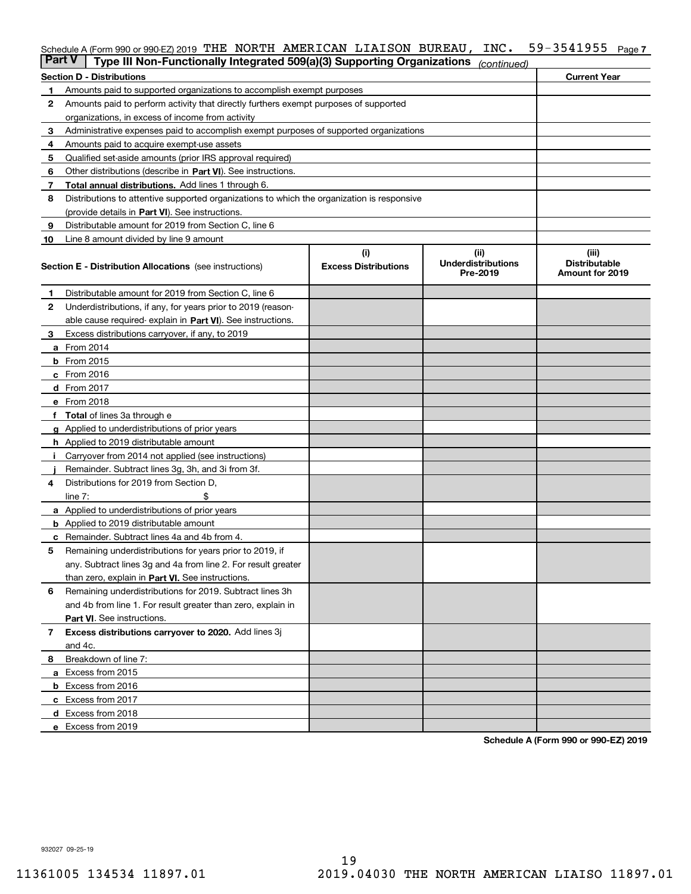# Schedule A (Form 990 or 990-EZ) 2019 THE NORTH AMERICAN LIAISON BUREAU , INC 59–3541955 <sub>Page 7</sub>

| <b>Part V</b> | Type III Non-Functionally Integrated 509(a)(3) Supporting Organizations                    |                                    | (continued)                                   |                                                         |
|---------------|--------------------------------------------------------------------------------------------|------------------------------------|-----------------------------------------------|---------------------------------------------------------|
|               | <b>Section D - Distributions</b>                                                           |                                    |                                               | <b>Current Year</b>                                     |
| 1             | Amounts paid to supported organizations to accomplish exempt purposes                      |                                    |                                               |                                                         |
| 2             | Amounts paid to perform activity that directly furthers exempt purposes of supported       |                                    |                                               |                                                         |
|               | organizations, in excess of income from activity                                           |                                    |                                               |                                                         |
| 3             | Administrative expenses paid to accomplish exempt purposes of supported organizations      |                                    |                                               |                                                         |
| 4             | Amounts paid to acquire exempt-use assets                                                  |                                    |                                               |                                                         |
| 5             | Qualified set-aside amounts (prior IRS approval required)                                  |                                    |                                               |                                                         |
| 6             | Other distributions (describe in Part VI). See instructions.                               |                                    |                                               |                                                         |
| 7             | <b>Total annual distributions.</b> Add lines 1 through 6.                                  |                                    |                                               |                                                         |
| 8             | Distributions to attentive supported organizations to which the organization is responsive |                                    |                                               |                                                         |
|               | (provide details in Part VI). See instructions.                                            |                                    |                                               |                                                         |
| 9             | Distributable amount for 2019 from Section C, line 6                                       |                                    |                                               |                                                         |
| 10            | Line 8 amount divided by line 9 amount                                                     |                                    |                                               |                                                         |
|               | <b>Section E - Distribution Allocations</b> (see instructions)                             | (i)<br><b>Excess Distributions</b> | (ii)<br><b>Underdistributions</b><br>Pre-2019 | (iii)<br><b>Distributable</b><br><b>Amount for 2019</b> |
| 1             | Distributable amount for 2019 from Section C, line 6                                       |                                    |                                               |                                                         |
| 2             | Underdistributions, if any, for years prior to 2019 (reason-                               |                                    |                                               |                                                         |
|               | able cause required- explain in Part VI). See instructions.                                |                                    |                                               |                                                         |
| З             | Excess distributions carryover, if any, to 2019                                            |                                    |                                               |                                                         |
|               | <b>a</b> From 2014                                                                         |                                    |                                               |                                                         |
|               | <b>b</b> From $2015$                                                                       |                                    |                                               |                                                         |
|               | $c$ From 2016                                                                              |                                    |                                               |                                                         |
|               | d From 2017                                                                                |                                    |                                               |                                                         |
|               | e From 2018                                                                                |                                    |                                               |                                                         |
|               | Total of lines 3a through e                                                                |                                    |                                               |                                                         |
| g             | Applied to underdistributions of prior years                                               |                                    |                                               |                                                         |
|               | h Applied to 2019 distributable amount                                                     |                                    |                                               |                                                         |
|               | Carryover from 2014 not applied (see instructions)                                         |                                    |                                               |                                                         |
|               | Remainder. Subtract lines 3g, 3h, and 3i from 3f.                                          |                                    |                                               |                                                         |
| 4             | Distributions for 2019 from Section D,                                                     |                                    |                                               |                                                         |
|               | line $7:$                                                                                  |                                    |                                               |                                                         |
|               | <b>a</b> Applied to underdistributions of prior years                                      |                                    |                                               |                                                         |
|               | <b>b</b> Applied to 2019 distributable amount                                              |                                    |                                               |                                                         |
|               | c Remainder. Subtract lines 4a and 4b from 4.                                              |                                    |                                               |                                                         |
| 5             | Remaining underdistributions for years prior to 2019, if                                   |                                    |                                               |                                                         |
|               | any. Subtract lines 3g and 4a from line 2. For result greater                              |                                    |                                               |                                                         |
|               | than zero, explain in Part VI. See instructions.                                           |                                    |                                               |                                                         |
| 6             | Remaining underdistributions for 2019. Subtract lines 3h                                   |                                    |                                               |                                                         |
|               | and 4b from line 1. For result greater than zero, explain in                               |                                    |                                               |                                                         |
|               | Part VI. See instructions.                                                                 |                                    |                                               |                                                         |
| 7             | Excess distributions carryover to 2020. Add lines 3j                                       |                                    |                                               |                                                         |
|               | and 4c.                                                                                    |                                    |                                               |                                                         |
| 8             | Breakdown of line 7:                                                                       |                                    |                                               |                                                         |
|               | a Excess from 2015                                                                         |                                    |                                               |                                                         |
|               | <b>b</b> Excess from 2016                                                                  |                                    |                                               |                                                         |
|               | c Excess from 2017                                                                         |                                    |                                               |                                                         |
|               | d Excess from 2018                                                                         |                                    |                                               |                                                         |
|               | e Excess from 2019                                                                         |                                    |                                               |                                                         |

**Schedule A (Form 990 or 990-EZ) 2019**

932027 09-25-19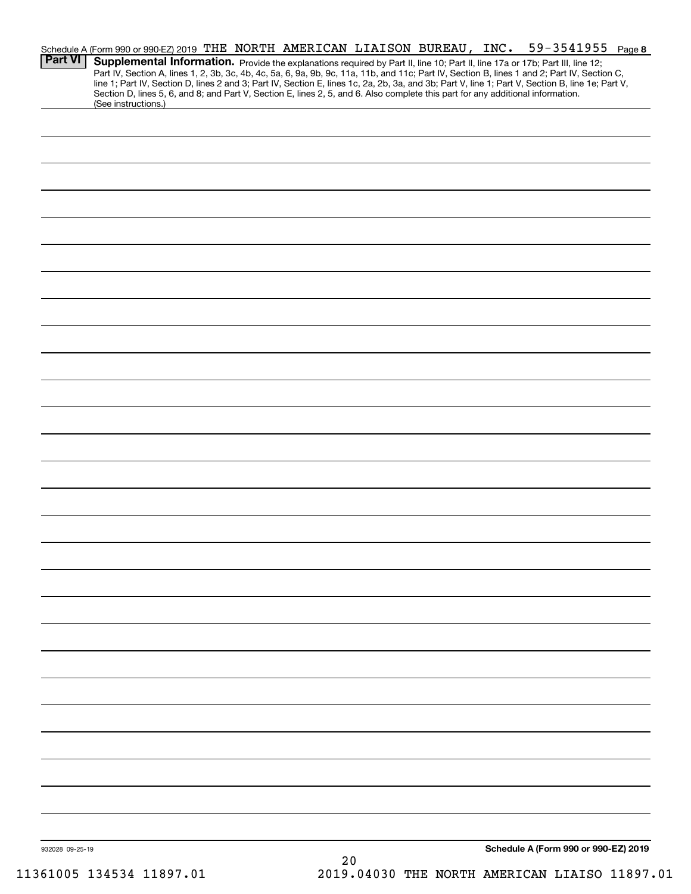| <b>Part VI</b>  | Schedule A (Form 990 or 990-EZ) 2019 THE NORTH AMERICAN LIAISON BUREAU, INC.<br>Supplemental Information. Provide the explanations required by Part II, line 10; Part II, line 17a or 17b; Part III, line 12;                                                                                                                                                                                                                                              |  |      |  | 59-3541955                           | Page 8 |
|-----------------|------------------------------------------------------------------------------------------------------------------------------------------------------------------------------------------------------------------------------------------------------------------------------------------------------------------------------------------------------------------------------------------------------------------------------------------------------------|--|------|--|--------------------------------------|--------|
|                 | Part IV, Section A, lines 1, 2, 3b, 3c, 4b, 4c, 5a, 6, 9a, 9b, 9c, 11a, 11b, and 11c; Part IV, Section B, lines 1 and 2; Part IV, Section C,<br>line 1; Part IV, Section D, lines 2 and 3; Part IV, Section E, lines 1c, 2a, 2b, 3a, and 3b; Part V, line 1; Part V, Section B, line 1e; Part V,<br>Section D, lines 5, 6, and 8; and Part V, Section E, lines 2, 5, and 6. Also complete this part for any additional information.<br>(See instructions.) |  |      |  |                                      |        |
|                 |                                                                                                                                                                                                                                                                                                                                                                                                                                                            |  |      |  |                                      |        |
|                 |                                                                                                                                                                                                                                                                                                                                                                                                                                                            |  |      |  |                                      |        |
|                 |                                                                                                                                                                                                                                                                                                                                                                                                                                                            |  |      |  |                                      |        |
|                 |                                                                                                                                                                                                                                                                                                                                                                                                                                                            |  |      |  |                                      |        |
|                 |                                                                                                                                                                                                                                                                                                                                                                                                                                                            |  |      |  |                                      |        |
|                 |                                                                                                                                                                                                                                                                                                                                                                                                                                                            |  |      |  |                                      |        |
|                 |                                                                                                                                                                                                                                                                                                                                                                                                                                                            |  |      |  |                                      |        |
|                 |                                                                                                                                                                                                                                                                                                                                                                                                                                                            |  |      |  |                                      |        |
|                 |                                                                                                                                                                                                                                                                                                                                                                                                                                                            |  |      |  |                                      |        |
|                 |                                                                                                                                                                                                                                                                                                                                                                                                                                                            |  |      |  |                                      |        |
|                 |                                                                                                                                                                                                                                                                                                                                                                                                                                                            |  |      |  |                                      |        |
|                 |                                                                                                                                                                                                                                                                                                                                                                                                                                                            |  |      |  |                                      |        |
|                 |                                                                                                                                                                                                                                                                                                                                                                                                                                                            |  |      |  |                                      |        |
|                 |                                                                                                                                                                                                                                                                                                                                                                                                                                                            |  |      |  |                                      |        |
|                 |                                                                                                                                                                                                                                                                                                                                                                                                                                                            |  |      |  |                                      |        |
|                 |                                                                                                                                                                                                                                                                                                                                                                                                                                                            |  |      |  |                                      |        |
|                 |                                                                                                                                                                                                                                                                                                                                                                                                                                                            |  |      |  |                                      |        |
|                 |                                                                                                                                                                                                                                                                                                                                                                                                                                                            |  |      |  |                                      |        |
|                 |                                                                                                                                                                                                                                                                                                                                                                                                                                                            |  |      |  |                                      |        |
|                 |                                                                                                                                                                                                                                                                                                                                                                                                                                                            |  |      |  |                                      |        |
|                 |                                                                                                                                                                                                                                                                                                                                                                                                                                                            |  |      |  |                                      |        |
|                 |                                                                                                                                                                                                                                                                                                                                                                                                                                                            |  |      |  |                                      |        |
|                 |                                                                                                                                                                                                                                                                                                                                                                                                                                                            |  |      |  |                                      |        |
|                 |                                                                                                                                                                                                                                                                                                                                                                                                                                                            |  |      |  |                                      |        |
|                 |                                                                                                                                                                                                                                                                                                                                                                                                                                                            |  |      |  |                                      |        |
|                 |                                                                                                                                                                                                                                                                                                                                                                                                                                                            |  |      |  |                                      |        |
|                 |                                                                                                                                                                                                                                                                                                                                                                                                                                                            |  |      |  |                                      |        |
| 932028 09-25-19 |                                                                                                                                                                                                                                                                                                                                                                                                                                                            |  | $20$ |  | Schedule A (Form 990 or 990-EZ) 2019 |        |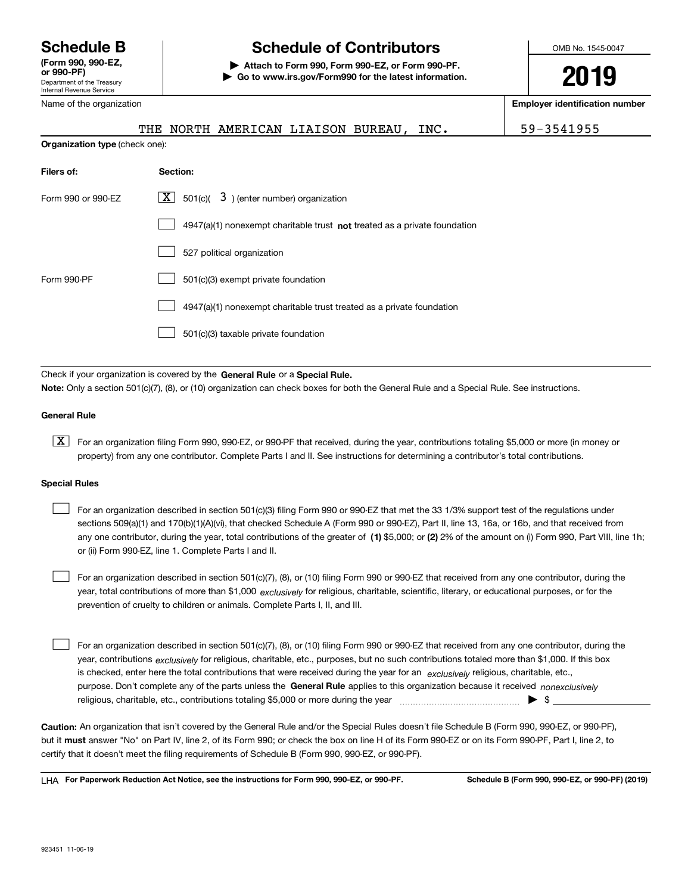Department of the Treasury Internal Revenue Service **(Form 990, 990-EZ, or 990-PF)** Name of the organization

# **Schedule B Schedule of Contributors**

**| Attach to Form 990, Form 990-EZ, or Form 990-PF. | Go to www.irs.gov/Form990 for the latest information.** OMB No. 1545-0047

**2019**

**Employer identification number**

|                                |          | THE NORTH AMERICAN LIAISON BUREAU,                                                 | INC. | 59-3541955 |
|--------------------------------|----------|------------------------------------------------------------------------------------|------|------------|
| Organization type (check one): |          |                                                                                    |      |            |
| Filers of:                     | Section: |                                                                                    |      |            |
| Form 990 or 990-EZ             |          | $\boxed{\mathbf{X}}$ 501(c)( 3) (enter number) organization                        |      |            |
|                                |          | $4947(a)(1)$ nonexempt charitable trust <b>not</b> treated as a private foundation |      |            |
|                                |          | ___ …                                                                              |      |            |

|             | 527 political organization                                            |
|-------------|-----------------------------------------------------------------------|
| Form 990-PF | 501(c)(3) exempt private foundation                                   |
|             | 4947(a)(1) nonexempt charitable trust treated as a private foundation |
|             | 501(c)(3) taxable private foundation                                  |

Check if your organization is covered by the **General Rule** or a **Special Rule. Note:**  Only a section 501(c)(7), (8), or (10) organization can check boxes for both the General Rule and a Special Rule. See instructions.

## **General Rule**

 $\boxed{\textbf{X}}$  For an organization filing Form 990, 990-EZ, or 990-PF that received, during the year, contributions totaling \$5,000 or more (in money or property) from any one contributor. Complete Parts I and II. See instructions for determining a contributor's total contributions.

## **Special Rules**

| For an organization described in section 501(c)(3) filing Form 990 or 990-EZ that met the 33 1/3% support test of the regulations under               |
|-------------------------------------------------------------------------------------------------------------------------------------------------------|
| sections 509(a)(1) and 170(b)(1)(A)(vi), that checked Schedule A (Form 990 or 990-EZ), Part II, line 13, 16a, or 16b, and that received from          |
| any one contributor, during the year, total contributions of the greater of (1) \$5,000; or (2) 2% of the amount on (i) Form 990, Part VIII, line 1h; |
| or (ii) Form 990-EZ, line 1. Complete Parts I and II.                                                                                                 |

year, total contributions of more than \$1,000 *exclusively* for religious, charitable, scientific, literary, or educational purposes, or for the For an organization described in section 501(c)(7), (8), or (10) filing Form 990 or 990-EZ that received from any one contributor, during the prevention of cruelty to children or animals. Complete Parts I, II, and III.  $\mathcal{L}^{\text{max}}$ 

purpose. Don't complete any of the parts unless the **General Rule** applies to this organization because it received *nonexclusively* year, contributions <sub>exclusively</sub> for religious, charitable, etc., purposes, but no such contributions totaled more than \$1,000. If this box is checked, enter here the total contributions that were received during the year for an  $\;$ exclusively religious, charitable, etc., For an organization described in section 501(c)(7), (8), or (10) filing Form 990 or 990-EZ that received from any one contributor, during the religious, charitable, etc., contributions totaling \$5,000 or more during the year  $\Box$ — $\Box$  =  $\Box$  $\mathcal{L}^{\text{max}}$ 

**Caution:**  An organization that isn't covered by the General Rule and/or the Special Rules doesn't file Schedule B (Form 990, 990-EZ, or 990-PF),  **must** but it answer "No" on Part IV, line 2, of its Form 990; or check the box on line H of its Form 990-EZ or on its Form 990-PF, Part I, line 2, to certify that it doesn't meet the filing requirements of Schedule B (Form 990, 990-EZ, or 990-PF).

**For Paperwork Reduction Act Notice, see the instructions for Form 990, 990-EZ, or 990-PF. Schedule B (Form 990, 990-EZ, or 990-PF) (2019)** LHA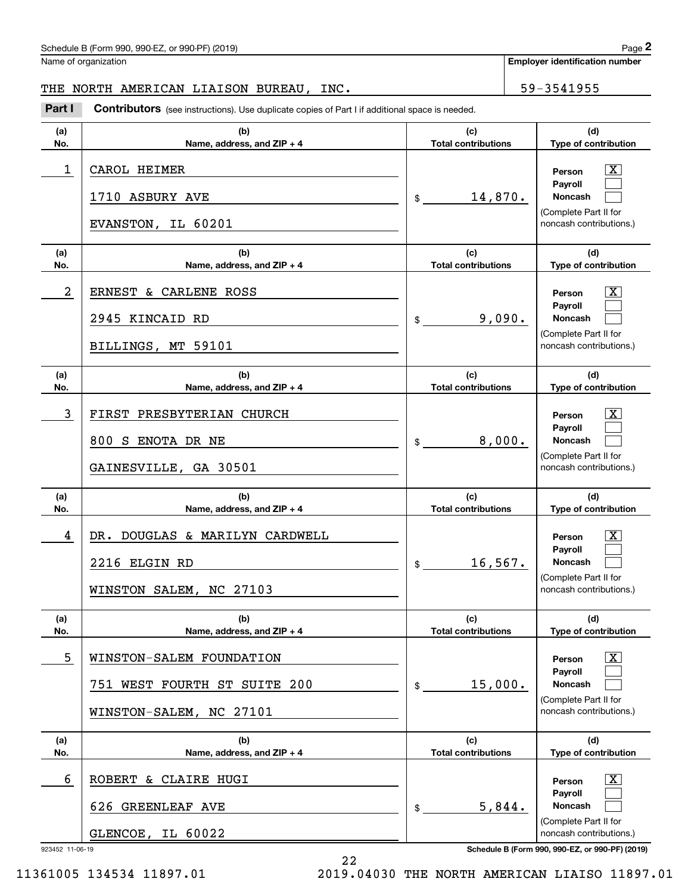# Schedule B (Form 990, 990-EZ, or 990-PF) (2019) Page 2

Name of organization

**Employer identification number**

# THE NORTH AMERICAN LIAISON BUREAU, INC. 59-3541955

(schedule B (Form 990, 990-EZ, or 990-PF) (2019)<br>
lame of organization<br> **29 - 2541955 - 2541955 - 2Part I Contributors** (see instructions). Use duplicate copies of Part I if additional space is needed.

| (a)                  | (b)                                                                                 | (c)                        | (d)                                                                                                                                                            |
|----------------------|-------------------------------------------------------------------------------------|----------------------------|----------------------------------------------------------------------------------------------------------------------------------------------------------------|
| No.                  | Name, address, and ZIP + 4                                                          | <b>Total contributions</b> | Type of contribution                                                                                                                                           |
| 1                    | CAROL HEIMER<br>1710 ASBURY AVE<br>EVANSTON, IL 60201                               | 14,870.<br>$\frac{1}{2}$   | x<br>Person<br>Payroll<br>Noncash<br>(Complete Part II for<br>noncash contributions.)                                                                          |
| (a)                  | (b)                                                                                 | (c)                        | (d)                                                                                                                                                            |
| No.                  | Name, address, and ZIP + 4                                                          | <b>Total contributions</b> | Type of contribution                                                                                                                                           |
| 2                    | ERNEST & CARLENE ROSS<br>2945 KINCAID RD<br>BILLINGS, MT 59101                      | 9,090.<br>$\frac{1}{2}$    | X,<br>Person<br>Payroll<br><b>Noncash</b><br>(Complete Part II for<br>noncash contributions.)                                                                  |
| (a)                  | (b)                                                                                 | (c)                        | (d)                                                                                                                                                            |
| No.                  | Name, address, and ZIP + 4                                                          | <b>Total contributions</b> | Type of contribution                                                                                                                                           |
| 3                    | FIRST PRESBYTERIAN CHURCH<br>800 S ENOTA DR NE<br>GAINESVILLE, GA 30501             | 8,000.<br>\$               | X,<br>Person<br>Payroll<br><b>Noncash</b><br>(Complete Part II for<br>noncash contributions.)                                                                  |
| (a)                  | (b)                                                                                 | (c)                        | (d)                                                                                                                                                            |
| No.                  | Name, address, and ZIP + 4                                                          | <b>Total contributions</b> | Type of contribution                                                                                                                                           |
| 4                    | DR. DOUGLAS & MARILYN CARDWELL<br>2216 ELGIN RD<br>WINSTON SALEM, NC 27103          | 16, 567.<br>$\frac{1}{2}$  | X,<br>Person<br>Payroll<br><b>Noncash</b><br>(Complete Part II for<br>noncash contributions.)                                                                  |
| (a)                  | (b)                                                                                 | (c)                        | (d)                                                                                                                                                            |
| No.                  | Name, address, and ZIP + 4                                                          | <b>Total contributions</b> | Type of contribution                                                                                                                                           |
| 5                    | WINSTON-SALEM FOUNDATION<br>751 WEST FOURTH ST SUITE 200<br>WINSTON-SALEM, NC 27101 | 15,000.<br>\$              | $\overline{\text{X}}$<br>Person<br>Payroll<br><b>Noncash</b><br>(Complete Part II for<br>noncash contributions.)                                               |
| (a)                  | (b)                                                                                 | (c)                        | (d)                                                                                                                                                            |
| No.                  | Name, address, and ZIP + 4                                                          | <b>Total contributions</b> | Type of contribution                                                                                                                                           |
| 6<br>923452 11-06-19 | <b>ROBERT</b><br>& CLAIRE HUGI<br>626 GREENLEAF AVE<br>IL 60022<br>GLENCOE,         | 5,844.<br>\$               | $\overline{\mathbf{X}}$<br>Person<br>Payroll<br>Noncash<br>(Complete Part II for<br>noncash contributions.)<br>Schedule B (Form 990, 990-EZ, or 990-PF) (2019) |

22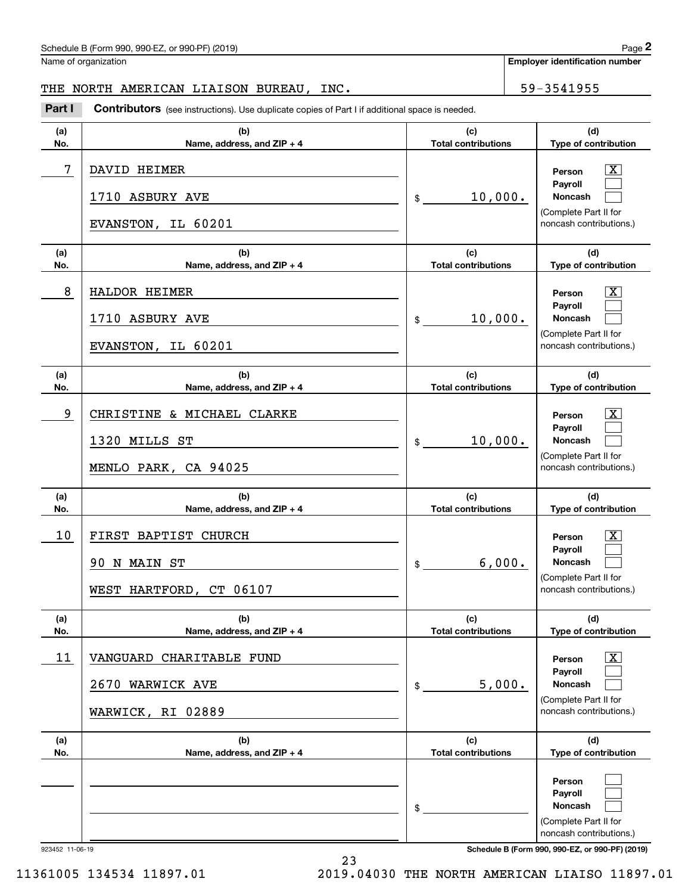# Schedule B (Form 990, 990-EZ, or 990-PF) (2019) Page 2

Name of organization

# THE NORTH AMERICAN LIAISON BUREAU, INC. 59-3541955

(schedule B (Form 990, 990-EZ, or 990-PF) (2019)<br>
lame of organization<br> **29 - 2541955 - 2541955 - 2Part I Contributors** (see instructions). Use duplicate copies of Part I if additional space is needed.

| (a)        | (b)                                                                 | (c)                                      | (d)                                                                                                              |
|------------|---------------------------------------------------------------------|------------------------------------------|------------------------------------------------------------------------------------------------------------------|
| No.        | Name, address, and ZIP + 4                                          | <b>Total contributions</b>               | Type of contribution                                                                                             |
| $\sqrt{7}$ | DAVID HEIMER<br>1710 ASBURY AVE<br>EVANSTON, IL 60201               | 10,000.<br>$$\overline{\phantom{a}}$$    | х<br>Person<br>Payroll<br>Noncash<br>(Complete Part II for<br>noncash contributions.)                            |
| (a)        | (b)                                                                 | (c)                                      | (d)                                                                                                              |
| No.        | Name, address, and ZIP + 4                                          | <b>Total contributions</b>               | Type of contribution                                                                                             |
| 8          | HALDOR HEIMER<br>1710 ASBURY AVE<br>EVANSTON, IL 60201              | 10,000.<br>$$\overline{\hspace{1.5em}}$$ | х<br>Person<br>Payroll<br>Noncash<br>(Complete Part II for<br>noncash contributions.)                            |
| (a)        | (b)                                                                 | (c)                                      | (d)                                                                                                              |
| No.        | Name, address, and ZIP + 4                                          | <b>Total contributions</b>               | Type of contribution                                                                                             |
| 9          | CHRISTINE & MICHAEL CLARKE<br>1320 MILLS ST<br>MENLO PARK, CA 94025 | 10,000.<br>$$\overline{\phantom{a}}$$    | х<br>Person<br>Payroll<br>Noncash<br>(Complete Part II for<br>noncash contributions.)                            |
| (a)        | (b)                                                                 | (c)                                      | (d)                                                                                                              |
| No.        | Name, address, and $ZIP + 4$                                        | <b>Total contributions</b>               | Type of contribution                                                                                             |
|            |                                                                     |                                          | х                                                                                                                |
| 10         | FIRST BAPTIST CHURCH<br>90 N MAIN ST<br>WEST HARTFORD, CT 06107     | 6,000.<br>$\frac{1}{2}$                  | Person<br>Payroll<br>Noncash<br>(Complete Part II for<br>noncash contributions.)                                 |
| (a)        | (b)                                                                 | (c)                                      | (d)                                                                                                              |
| No.        | Name, address, and ZIP + 4                                          | <b>Total contributions</b>               | Type of contribution                                                                                             |
| 11         | VANGUARD CHARITABLE FUND<br>2670 WARWICK AVE<br>WARWICK, RI 02889   | 5,000.<br>$\mathfrak s$                  | $\overline{\text{X}}$<br>Person<br>Pavroll<br><b>Noncash</b><br>(Complete Part II for<br>noncash contributions.) |
| (a)        | (b)                                                                 | (c)                                      | (d)                                                                                                              |
| No.        | Name, address, and ZIP + 4                                          | <b>Total contributions</b>               | Type of contribution                                                                                             |

23

923452 11-06-19 **Schedule B (Form 990, 990-EZ, or 990-PF) (2019)**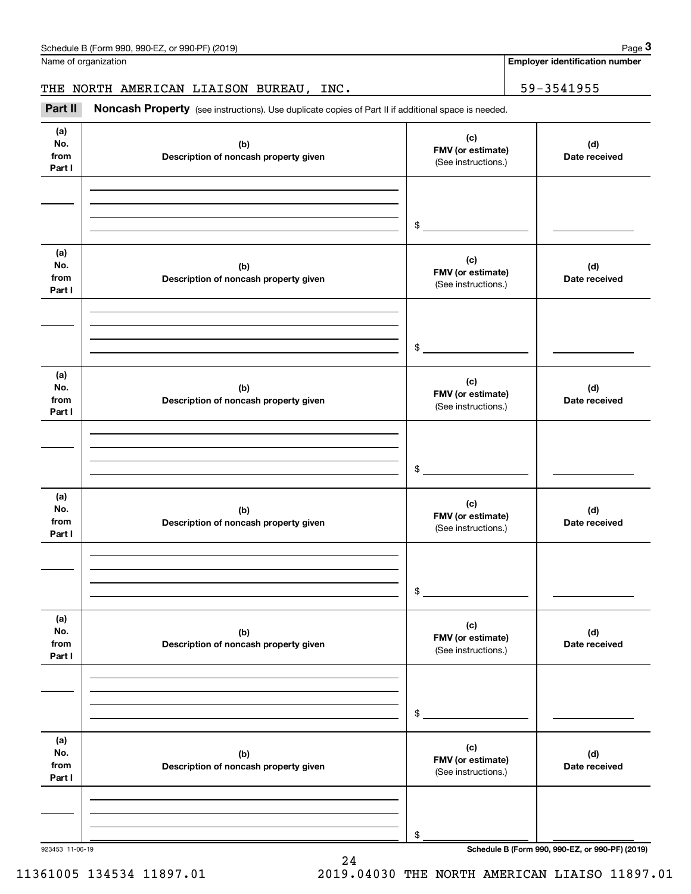Name of organization

**Employer identification number**

# THE NORTH AMERICAN LIAISON BUREAU, INC. | 59-3541955

(see instructions). Use duplicate copies of Part II if additional space is needed.<br> **2Part II Noncash Property** (see instructions). Use duplicate copies of Part II if additional space is needed.<br> **2Part II Noncash Prop** 

| (a)<br>No.<br>from<br>Part I | (b)<br>Description of noncash property given | (c)<br>FMV (or estimate)<br>(See instructions.) | (d)<br>Date received |
|------------------------------|----------------------------------------------|-------------------------------------------------|----------------------|
|                              |                                              | \$                                              |                      |
| (a)<br>No.<br>from<br>Part I | (b)<br>Description of noncash property given | (c)<br>FMV (or estimate)<br>(See instructions.) | (d)<br>Date received |
|                              |                                              | \$                                              |                      |
| (a)<br>No.<br>from<br>Part I | (b)<br>Description of noncash property given | (c)<br>FMV (or estimate)<br>(See instructions.) | (d)<br>Date received |
|                              |                                              | $$\circ$$                                       |                      |
| (a)<br>No.<br>from<br>Part I | (b)<br>Description of noncash property given | (c)<br>FMV (or estimate)<br>(See instructions.) | (d)<br>Date received |
|                              |                                              | \$                                              |                      |
| (a)<br>No.<br>from<br>Part I | (b)<br>Description of noncash property given | (c)<br>FMV (or estimate)<br>(See instructions.) | (d)<br>Date received |
|                              |                                              | \$                                              |                      |
| (a)<br>No.<br>from<br>Part I | (b)<br>Description of noncash property given | (c)<br>FMV (or estimate)<br>(See instructions.) | (d)<br>Date received |
|                              |                                              | \$                                              |                      |

24

11361005 134534 11897.01 2019.04030 THE NORTH AMERICAN LIAISO 11897.01

923453 11-06-19 **Schedule B (Form 990, 990-EZ, or 990-PF) (2019)**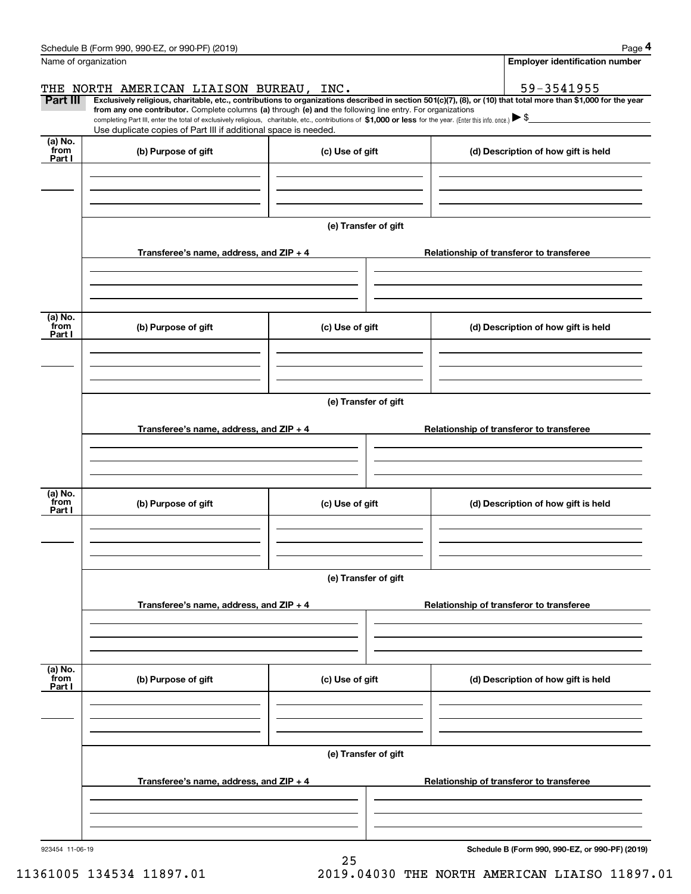| Schedule B (Form 990, 990-EZ, or 990-PF) (2019)                                                                                                                                                                                                      |                      | Page 4                                                                                                                                                         |  |  |  |
|------------------------------------------------------------------------------------------------------------------------------------------------------------------------------------------------------------------------------------------------------|----------------------|----------------------------------------------------------------------------------------------------------------------------------------------------------------|--|--|--|
| Name of organization                                                                                                                                                                                                                                 |                      | <b>Employer identification number</b>                                                                                                                          |  |  |  |
| THE NORTH AMERICAN LIAISON BUREAU, INC.                                                                                                                                                                                                              |                      | 59-3541955                                                                                                                                                     |  |  |  |
| Part III<br>from any one contributor. Complete columns (a) through (e) and the following line entry. For organizations                                                                                                                               |                      | Exclusively religious, charitable, etc., contributions to organizations described in section 501(c)(7), (8), or (10) that total more than \$1,000 for the year |  |  |  |
| completing Part III, enter the total of exclusively religious, charitable, etc., contributions of \$1,000 or less for the year. (Enter this info. once.) $\blacktriangleright$ \$<br>Use duplicate copies of Part III if additional space is needed. |                      |                                                                                                                                                                |  |  |  |
| (a) No.<br>from<br>(b) Purpose of gift<br>Part I                                                                                                                                                                                                     | (c) Use of gift      | (d) Description of how gift is held                                                                                                                            |  |  |  |
|                                                                                                                                                                                                                                                      |                      |                                                                                                                                                                |  |  |  |
|                                                                                                                                                                                                                                                      | (e) Transfer of gift |                                                                                                                                                                |  |  |  |
| Transferee's name, address, and ZIP + 4                                                                                                                                                                                                              |                      | Relationship of transferor to transferee                                                                                                                       |  |  |  |
|                                                                                                                                                                                                                                                      |                      |                                                                                                                                                                |  |  |  |
| (a) No.<br>from<br>(b) Purpose of gift<br>Part I                                                                                                                                                                                                     | (c) Use of gift      | (d) Description of how gift is held                                                                                                                            |  |  |  |
|                                                                                                                                                                                                                                                      |                      |                                                                                                                                                                |  |  |  |
|                                                                                                                                                                                                                                                      | (e) Transfer of gift |                                                                                                                                                                |  |  |  |
| Transferee's name, address, and ZIP + 4                                                                                                                                                                                                              |                      | Relationship of transferor to transferee                                                                                                                       |  |  |  |
|                                                                                                                                                                                                                                                      |                      |                                                                                                                                                                |  |  |  |
| (a) No.<br>from<br>(b) Purpose of gift<br>Part I                                                                                                                                                                                                     | (c) Use of gift      | (d) Description of how gift is held                                                                                                                            |  |  |  |
|                                                                                                                                                                                                                                                      |                      |                                                                                                                                                                |  |  |  |
|                                                                                                                                                                                                                                                      | (e) Transfer of gift |                                                                                                                                                                |  |  |  |
| Transferee's name, address, and $ZIP + 4$                                                                                                                                                                                                            |                      | Relationship of transferor to transferee                                                                                                                       |  |  |  |
|                                                                                                                                                                                                                                                      |                      |                                                                                                                                                                |  |  |  |
| (a) No.<br>from<br>(b) Purpose of gift<br>Part I                                                                                                                                                                                                     | (c) Use of gift      | (d) Description of how gift is held                                                                                                                            |  |  |  |
|                                                                                                                                                                                                                                                      |                      |                                                                                                                                                                |  |  |  |
|                                                                                                                                                                                                                                                      | (e) Transfer of gift |                                                                                                                                                                |  |  |  |
| Transferee's name, address, and $ZIP + 4$                                                                                                                                                                                                            |                      | Relationship of transferor to transferee                                                                                                                       |  |  |  |
|                                                                                                                                                                                                                                                      |                      |                                                                                                                                                                |  |  |  |
| 923454 11-06-19                                                                                                                                                                                                                                      | 25                   | Schedule B (Form 990, 990-EZ, or 990-PF) (2019)                                                                                                                |  |  |  |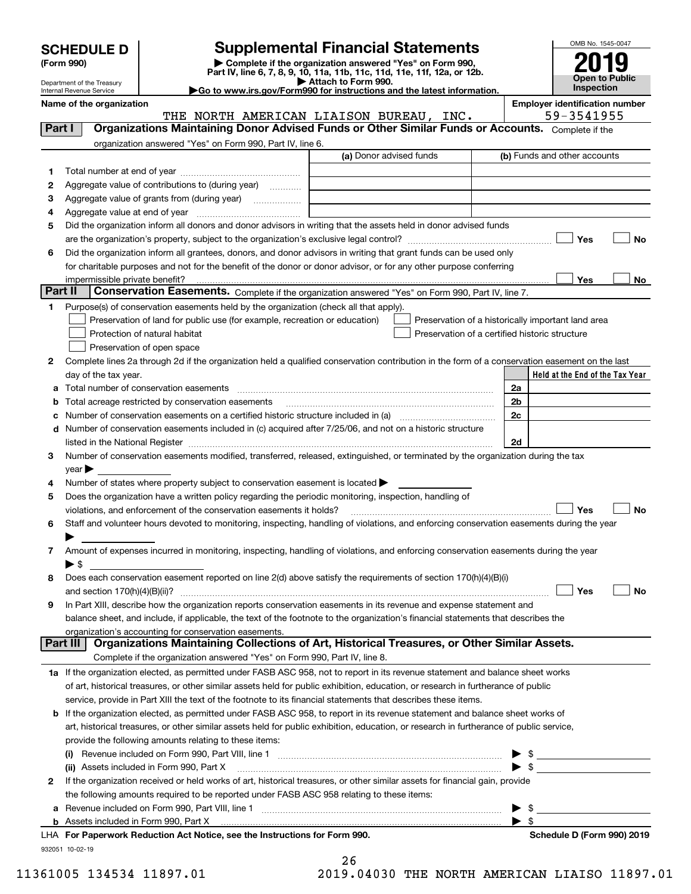| <b>SCHEDULE D</b> |  |
|-------------------|--|
|-------------------|--|

| (Form 990) |  |
|------------|--|
|------------|--|

**6**

**1**

# **Supplemental Financial Statements**

**(Form 990)** (**Form 990,**<br>Part IV, line 6, 7, 8, 9, 10, 11a, 11b, 11c, 11d, 11e, 11f, 12a, or 12b.<br>Department of the Treasury **and Exercise Connect Connect Connect Connect Connect Connect Connect Connect Connect** 



**No**

**No**

Department of the Treasury Internal Revenue Service

**|Go to www.irs.gov/Form990 for instructions and the latest information.**

**Held at the End of the Tax Year Name of the organization Employer identification number** (a) Donor advised funds **Yes Yes**<u>es \_\_\_\_\_\_\_\_ No</u> **2**Complete lines 2a through 2d if the organization held a qualified conservation contribution in the form of a conservation easement on the last **abc** Number of conservation easements on a certified historic structure included in (a) www.communically **d2a2b2c**Complete if the organization answered "Yes" on Form 990, Part IV, line 6. (b) Funds and other accounts Total number at end of year ~~~~~~~~~~~~~~~ Aggregate value of contributions to (during year) will also Aggregate value of grants from (during year) www.community Aggregate value at end of year ~~~~~~~~~~~~~ Did the organization inform all donors and donor advisors in writing that the assets held in donor advised funds are the organization's property, subject to the organization's exclusive legal control? ~~~~~~~~~~~~~~~~~~ Did the organization inform all grantees, donors, and donor advisors in writing that grant funds can be used only for charitable purposes and not for the benefit of the donor or donor advisor, or for any other purpose conferring impermissible private benefit? **Part II | Conservation Easements.** Complete if the organization answered "Yes" on Form 990, Part IV, line 7. Purpose(s) of conservation easements held by the organization (check all that apply). Preservation of land for public use (for example, recreation or education) **Protection of natural habitat Example 2014** Preservation of open space Preservation of a historically important land area Preservation of a certified historic structure day of the tax year. Total number of conservation easements Total acreage restricted by conservation easements Number of conservation easements included in (c) acquired after 7/25/06, and not on a historic structure **Part I Organizations Maintaining Donor Advised Funds or Other Similar Funds or Accounts.**   $\mathcal{L}^{\text{max}}$  $\mathcal{L}^{\text{max}}$  $\Box$  Yes  $\Box$  $\mathcal{L}^{\text{max}}$  $\mathcal{L}^{\text{max}}$  $\mathcal{L}^{\text{max}}$ THE NORTH AMERICAN LIAISON BUREAU, INC. 59-3541955

**32d**listed in the National Register ~~~~~~~~~~~~~~~~~~~~~~~~~~~~~~~~~~~~~~ Number of conservation easements modified, transferred, released, extinguished, or terminated by the organization during the tax  $\vee$ ear $\blacktriangleright$ 

**4**Number of states where property subject to conservation easement is located  $\blacktriangleright$ 

| 5 Does the organization have a written policy regarding the periodic monitoring, inspection, handling of                                    |           |
|---------------------------------------------------------------------------------------------------------------------------------------------|-----------|
| $\Box$ Yes<br>violations, and enforcement of the conservation easements it holds?                                                           | $\Box$ No |
| 6 Staff and volunteer hours devoted to monitoring, inspecting, handling of violations, and enforcing conservation easements during the year |           |

| 7 Amount of expenses incurred in monitoring, inspecting, handling of violations, and enforcing conservation easements during the year |
|---------------------------------------------------------------------------------------------------------------------------------------|
|                                                                                                                                       |

| 8 | onservation easement reported on line 2(d) above satisfy the requireme<br>section. |  |  |
|---|------------------------------------------------------------------------------------|--|--|
|   |                                                                                    |  |  |

| 9 In Part XIII, describe how the organization reports conservation easements in its revenue and expense statement and             |
|-----------------------------------------------------------------------------------------------------------------------------------|
| balance sheet, and include, if applicable, the text of the footnote to the organization's financial statements that describes the |
| organization's accounting for conservation easements.                                                                             |

| Part III   Organizations Maintaining Collections of Art, Historical Treasures, or Other Similar Assets. |
|---------------------------------------------------------------------------------------------------------|
| Complete if the organization answered "Yes" on Form 990, Part IV, line 8.                               |
|                                                                                                         |

**1a** If the organization elected, as permitted under FASB ASC 958, not to report in its revenue statement and balance sheet works of art, historical treasures, or other similar assets held for public exhibition, education, or research in furtherance of public service, provide in Part XIII the text of the footnote to its financial statements that describes these items.

| <b>b</b> If the organization elected, as permitted under FASB ASC 958, to report in its revenue statement and balance sheet works of    |  |
|-----------------------------------------------------------------------------------------------------------------------------------------|--|
| art, historical treasures, or other similar assets held for public exhibition, education, or research in furtherance of public service, |  |
| provide the following amounts relating to these items:                                                                                  |  |
| (5) December in alcohol and Faute 000, David VIII, line 4.                                                                              |  |

| Revenue included on Form 990, Part VIII, line 1<br>(i)                                                                         |  |
|--------------------------------------------------------------------------------------------------------------------------------|--|
| (ii) Assets included in Form 990, Part X [11] Marten and Martin Martin Marten and Martin Martin Marten and Mar                 |  |
| 2 If the organization received or held works of art, historical treasures, or other similar assets for financial gain, provide |  |
| the following amounts required to be reported under FASB ASC 958 relating to these items:                                      |  |
| a Revenue included on Form 990, Part VIII, line 1                                                                              |  |
| <b>b</b> Assets included in Form 990, Part X                                                                                   |  |

| LHA For Paperwork Reduction Act Notice, see the Instructions for Form 990 |  |
|---------------------------------------------------------------------------|--|
| 932051 10-02-19                                                           |  |

|             | 26 |  |              |  |
|-------------|----|--|--------------|--|
| <b>11 Q</b> |    |  | <b>0 1 0</b> |  |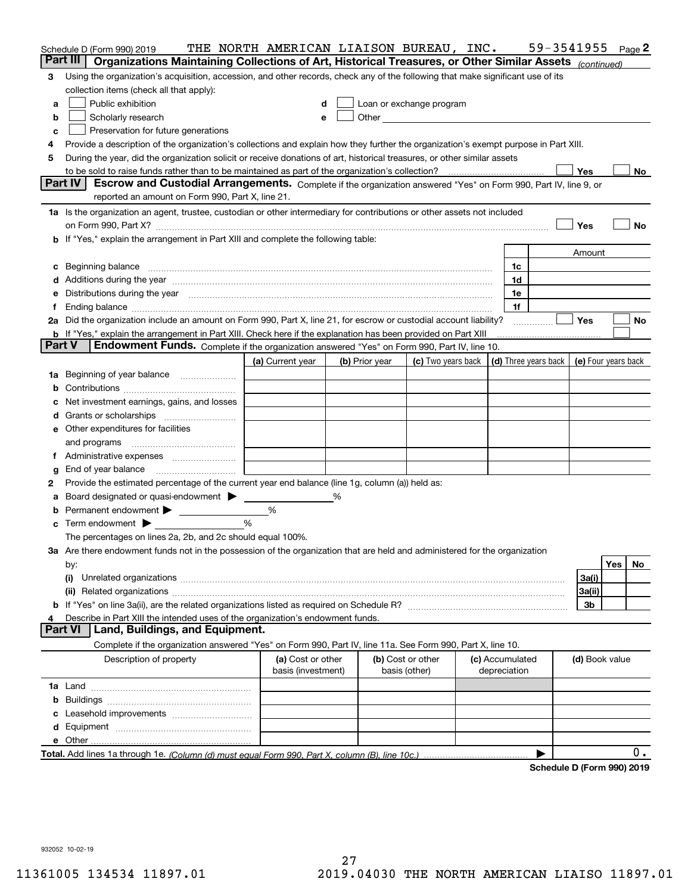|               | Schedule D (Form 990) 2019                                                                                                                                                                                                     | THE NORTH AMERICAN LIAISON BUREAU, INC. |  |                |                                                                                                                                                                                                                                |  |                                 | 59-3541955                                       |                |     | Page 2 |
|---------------|--------------------------------------------------------------------------------------------------------------------------------------------------------------------------------------------------------------------------------|-----------------------------------------|--|----------------|--------------------------------------------------------------------------------------------------------------------------------------------------------------------------------------------------------------------------------|--|---------------------------------|--------------------------------------------------|----------------|-----|--------|
| Part III      | Organizations Maintaining Collections of Art, Historical Treasures, or Other Similar Assets (continued)                                                                                                                        |                                         |  |                |                                                                                                                                                                                                                                |  |                                 |                                                  |                |     |        |
| 3             | Using the organization's acquisition, accession, and other records, check any of the following that make significant use of its                                                                                                |                                         |  |                |                                                                                                                                                                                                                                |  |                                 |                                                  |                |     |        |
|               | collection items (check all that apply):                                                                                                                                                                                       |                                         |  |                |                                                                                                                                                                                                                                |  |                                 |                                                  |                |     |        |
| a             | Public exhibition                                                                                                                                                                                                              | d                                       |  |                | Loan or exchange program                                                                                                                                                                                                       |  |                                 |                                                  |                |     |        |
| b             | Scholarly research                                                                                                                                                                                                             | е                                       |  |                | Other and the control of the control of the control of the control of the control of the control of the control of the control of the control of the control of the control of the control of the control of the control of th |  |                                 |                                                  |                |     |        |
| c             | Preservation for future generations                                                                                                                                                                                            |                                         |  |                |                                                                                                                                                                                                                                |  |                                 |                                                  |                |     |        |
| 4             | Provide a description of the organization's collections and explain how they further the organization's exempt purpose in Part XIII.                                                                                           |                                         |  |                |                                                                                                                                                                                                                                |  |                                 |                                                  |                |     |        |
| 5             | During the year, did the organization solicit or receive donations of art, historical treasures, or other similar assets                                                                                                       |                                         |  |                |                                                                                                                                                                                                                                |  |                                 |                                                  |                |     |        |
|               |                                                                                                                                                                                                                                |                                         |  |                |                                                                                                                                                                                                                                |  |                                 |                                                  | Yes            |     | No     |
|               | Part IV<br>Escrow and Custodial Arrangements. Complete if the organization answered "Yes" on Form 990, Part IV, line 9, or                                                                                                     |                                         |  |                |                                                                                                                                                                                                                                |  |                                 |                                                  |                |     |        |
|               | reported an amount on Form 990, Part X, line 21.                                                                                                                                                                               |                                         |  |                |                                                                                                                                                                                                                                |  |                                 |                                                  |                |     |        |
|               | 1a Is the organization an agent, trustee, custodian or other intermediary for contributions or other assets not included                                                                                                       |                                         |  |                |                                                                                                                                                                                                                                |  |                                 |                                                  |                |     |        |
|               |                                                                                                                                                                                                                                |                                         |  |                |                                                                                                                                                                                                                                |  |                                 |                                                  | Yes            |     | No     |
|               | b If "Yes," explain the arrangement in Part XIII and complete the following table:                                                                                                                                             |                                         |  |                |                                                                                                                                                                                                                                |  |                                 |                                                  |                |     |        |
|               |                                                                                                                                                                                                                                |                                         |  |                |                                                                                                                                                                                                                                |  |                                 |                                                  | Amount         |     |        |
| c             | Beginning balance <b>contract to the contract of the contract of the contract of the contract of the contract of t</b>                                                                                                         |                                         |  |                |                                                                                                                                                                                                                                |  | 1c                              |                                                  |                |     |        |
|               | Additions during the year manufactured and an according to the year manufactured and according the year manufactured and according the year manufactured and according the year manufactured and according the year manufactur |                                         |  |                |                                                                                                                                                                                                                                |  | 1d                              |                                                  |                |     |        |
| е             | Distributions during the year measurements are all the set of the set of the set of the set of the set of the set of the set of the set of the set of the set of the set of the set of the set of the set of the set of the se |                                         |  |                |                                                                                                                                                                                                                                |  | 1e                              |                                                  |                |     |        |
| Ť.            |                                                                                                                                                                                                                                |                                         |  |                |                                                                                                                                                                                                                                |  | 1f                              |                                                  |                |     |        |
|               | 2a Did the organization include an amount on Form 990, Part X, line 21, for escrow or custodial account liability?                                                                                                             |                                         |  |                |                                                                                                                                                                                                                                |  |                                 |                                                  | <b>Yes</b>     |     | No     |
|               | <b>b</b> If "Yes," explain the arrangement in Part XIII. Check here if the explanation has been provided on Part XIII                                                                                                          |                                         |  |                |                                                                                                                                                                                                                                |  |                                 |                                                  |                |     |        |
| <b>Part V</b> | Endowment Funds. Complete if the organization answered "Yes" on Form 990, Part IV, line 10.                                                                                                                                    |                                         |  |                |                                                                                                                                                                                                                                |  |                                 |                                                  |                |     |        |
|               |                                                                                                                                                                                                                                | (a) Current year                        |  | (b) Prior year | (c) Two years back                                                                                                                                                                                                             |  |                                 | (d) Three years back $\vert$ (e) Four years back |                |     |        |
|               | 1a Beginning of year balance                                                                                                                                                                                                   |                                         |  |                |                                                                                                                                                                                                                                |  |                                 |                                                  |                |     |        |
| b             |                                                                                                                                                                                                                                |                                         |  |                |                                                                                                                                                                                                                                |  |                                 |                                                  |                |     |        |
|               | Net investment earnings, gains, and losses                                                                                                                                                                                     |                                         |  |                |                                                                                                                                                                                                                                |  |                                 |                                                  |                |     |        |
| d             |                                                                                                                                                                                                                                |                                         |  |                |                                                                                                                                                                                                                                |  |                                 |                                                  |                |     |        |
|               | <b>e</b> Other expenditures for facilities                                                                                                                                                                                     |                                         |  |                |                                                                                                                                                                                                                                |  |                                 |                                                  |                |     |        |
|               | and programs                                                                                                                                                                                                                   |                                         |  |                |                                                                                                                                                                                                                                |  |                                 |                                                  |                |     |        |
| Ť.            |                                                                                                                                                                                                                                |                                         |  |                |                                                                                                                                                                                                                                |  |                                 |                                                  |                |     |        |
| g             | End of year balance                                                                                                                                                                                                            |                                         |  |                |                                                                                                                                                                                                                                |  |                                 |                                                  |                |     |        |
| 2             | Provide the estimated percentage of the current year end balance (line 1g, column (a)) held as:                                                                                                                                |                                         |  |                |                                                                                                                                                                                                                                |  |                                 |                                                  |                |     |        |
| а             | Board designated or quasi-endowment >                                                                                                                                                                                          |                                         |  |                |                                                                                                                                                                                                                                |  |                                 |                                                  |                |     |        |
| b             | Permanent endowment                                                                                                                                                                                                            | %                                       |  |                |                                                                                                                                                                                                                                |  |                                 |                                                  |                |     |        |
| c             | Term endowment $\blacktriangleright$                                                                                                                                                                                           | %                                       |  |                |                                                                                                                                                                                                                                |  |                                 |                                                  |                |     |        |
|               | The percentages on lines 2a, 2b, and 2c should equal 100%.                                                                                                                                                                     |                                         |  |                |                                                                                                                                                                                                                                |  |                                 |                                                  |                |     |        |
|               | 3a Are there endowment funds not in the possession of the organization that are held and administered for the organization                                                                                                     |                                         |  |                |                                                                                                                                                                                                                                |  |                                 |                                                  |                |     |        |
|               | by:                                                                                                                                                                                                                            |                                         |  |                |                                                                                                                                                                                                                                |  |                                 |                                                  |                | Yes | No.    |
|               | (i)                                                                                                                                                                                                                            |                                         |  |                |                                                                                                                                                                                                                                |  |                                 |                                                  | 3a(i)          |     |        |
|               |                                                                                                                                                                                                                                |                                         |  |                |                                                                                                                                                                                                                                |  |                                 |                                                  | 3a(ii)         |     |        |
|               |                                                                                                                                                                                                                                |                                         |  |                |                                                                                                                                                                                                                                |  |                                 |                                                  | 3b             |     |        |
|               | Describe in Part XIII the intended uses of the organization's endowment funds.                                                                                                                                                 |                                         |  |                |                                                                                                                                                                                                                                |  |                                 |                                                  |                |     |        |
|               | <b>Part VI</b><br>Land, Buildings, and Equipment.                                                                                                                                                                              |                                         |  |                |                                                                                                                                                                                                                                |  |                                 |                                                  |                |     |        |
|               | Complete if the organization answered "Yes" on Form 990, Part IV, line 11a. See Form 990, Part X, line 10.                                                                                                                     |                                         |  |                |                                                                                                                                                                                                                                |  |                                 |                                                  |                |     |        |
|               | Description of property                                                                                                                                                                                                        | (a) Cost or other<br>basis (investment) |  |                | (b) Cost or other<br>basis (other)                                                                                                                                                                                             |  | (c) Accumulated<br>depreciation |                                                  | (d) Book value |     |        |
|               |                                                                                                                                                                                                                                |                                         |  |                |                                                                                                                                                                                                                                |  |                                 |                                                  |                |     |        |
| b             |                                                                                                                                                                                                                                |                                         |  |                |                                                                                                                                                                                                                                |  |                                 |                                                  |                |     |        |
|               |                                                                                                                                                                                                                                |                                         |  |                |                                                                                                                                                                                                                                |  |                                 |                                                  |                |     |        |
|               |                                                                                                                                                                                                                                |                                         |  |                |                                                                                                                                                                                                                                |  |                                 |                                                  |                |     |        |
|               |                                                                                                                                                                                                                                |                                         |  |                |                                                                                                                                                                                                                                |  |                                 |                                                  |                |     |        |
|               |                                                                                                                                                                                                                                |                                         |  |                |                                                                                                                                                                                                                                |  |                                 |                                                  |                |     | 0.     |
|               |                                                                                                                                                                                                                                |                                         |  |                |                                                                                                                                                                                                                                |  |                                 | Cabadule D (Faunt 000) 0040                      |                |     |        |

**Schedule D (Form 990) 2019**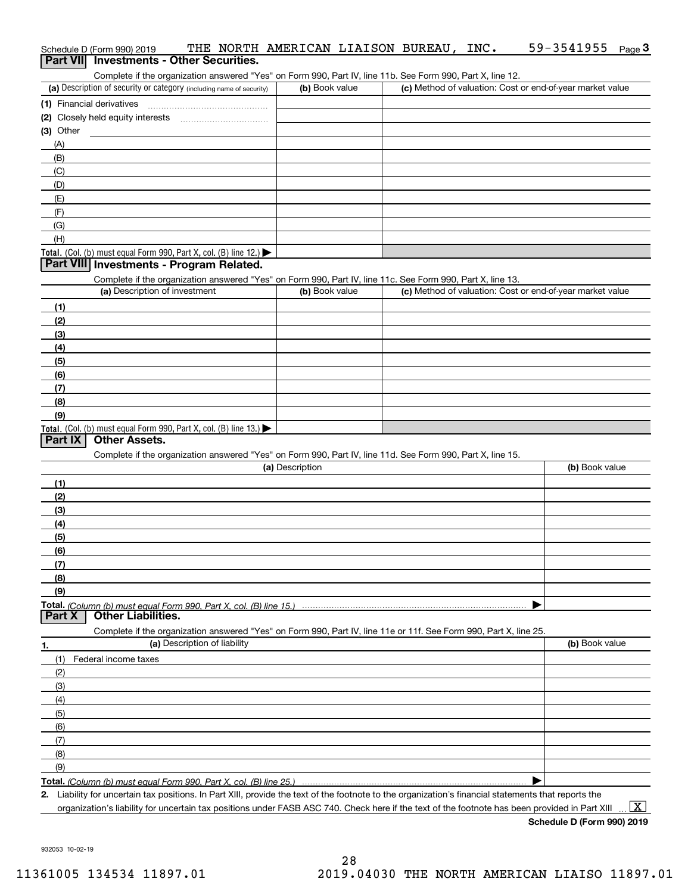| Schedule D (Form 990) 2019                      |  | THE NORTH AMERICAN LIAISON BUREAU, |  | INC. | 59-3541955 $_{Page}$ 3 |  |
|-------------------------------------------------|--|------------------------------------|--|------|------------------------|--|
| <b>Part VII</b> Investments - Other Securities. |  |                                    |  |      |                        |  |

Complete if the organization answered "Yes" on Form 990, Part IV, line 11b. See Form 990, Part X, line 12.

| (a) Description of security or category (including name of security)                   | (b) Book value | (c) Method of valuation: Cost or end-of-year market value |
|----------------------------------------------------------------------------------------|----------------|-----------------------------------------------------------|
| (1) Financial derivatives                                                              |                |                                                           |
| (2) Closely held equity interests                                                      |                |                                                           |
| $(3)$ Other                                                                            |                |                                                           |
| (A)                                                                                    |                |                                                           |
| (B)                                                                                    |                |                                                           |
| (C)                                                                                    |                |                                                           |
| (D)                                                                                    |                |                                                           |
| (E)                                                                                    |                |                                                           |
| (F)                                                                                    |                |                                                           |
| (G)                                                                                    |                |                                                           |
| (H)                                                                                    |                |                                                           |
| Total. (Col. (b) must equal Form 990, Part X, col. (B) line 12.) $\blacktriangleright$ |                |                                                           |

## **Part VIII Investments - Program Related.**

Complete if the organization answered "Yes" on Form 990, Part IV, line 11c. See Form 990, Part X, line 13.

| (a) Description of investment                                                          | (b) Book value | (c) Method of valuation: Cost or end-of-year market value |
|----------------------------------------------------------------------------------------|----------------|-----------------------------------------------------------|
| (1)                                                                                    |                |                                                           |
| (2)                                                                                    |                |                                                           |
| $\frac{1}{2}$                                                                          |                |                                                           |
| (4)                                                                                    |                |                                                           |
| (5)                                                                                    |                |                                                           |
| (6)                                                                                    |                |                                                           |
| (7)                                                                                    |                |                                                           |
| (8)                                                                                    |                |                                                           |
| (9)                                                                                    |                |                                                           |
| Total. (Col. (b) must equal Form 990, Part X, col. (B) line 13.) $\blacktriangleright$ |                |                                                           |

# **Part IX Other Assets.**

Complete if the organization answered "Yes" on Form 990, Part IV, line 11d. See Form 990, Part X, line 15.

| (a) Description                                                                                                   | (b) Book value |
|-------------------------------------------------------------------------------------------------------------------|----------------|
| (1)                                                                                                               |                |
| (2)                                                                                                               |                |
| (3)                                                                                                               |                |
| (4)                                                                                                               |                |
| (5)                                                                                                               |                |
| (6)                                                                                                               |                |
|                                                                                                                   |                |
| <u>(8)</u>                                                                                                        |                |
| (9)                                                                                                               |                |
|                                                                                                                   |                |
| <b>Part X</b> Other Liabilities.                                                                                  |                |
| Complete if the organization answered "Yes" on Form 990, Part IV, line 11e or 11f. See Form 990, Part X, line 25. |                |

| 1.            | (a) Description of liability | (b) Book value |
|---------------|------------------------------|----------------|
| (1)           | Federal income taxes         |                |
| (2)           |                              |                |
| $\frac{1}{2}$ |                              |                |
| (4)           |                              |                |
| (5)           |                              |                |
| (6)           |                              |                |
| (7)           |                              |                |
| (8)           |                              |                |
| (9)           |                              |                |
|               |                              |                |

**Total.**  *(Column (b) must equal Form 990, Part X, col. (B) line 25.)* 

**2.**Liability for uncertain tax positions. In Part XIII, provide the text of the footnote to the organization's financial statements that reports the organization's liability for uncertain tax positions under FASB ASC 740. Check here if the text of the footnote has been provided in Part XIII

 $\boxed{\text{X}}$ 

**Schedule D (Form 990) 2019**

932053 10-02-19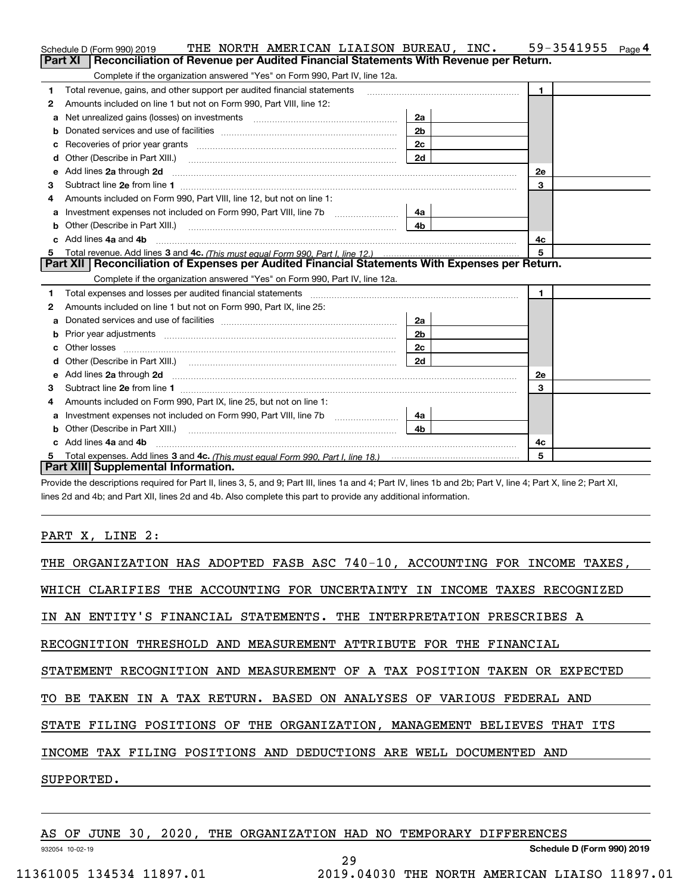|    | THE NORTH AMERICAN LIAISON BUREAU, INC.<br>Schedule D (Form 990) 2019                                                                                                                                                               |                | 59-3541955<br>Page <sup>4</sup> |
|----|-------------------------------------------------------------------------------------------------------------------------------------------------------------------------------------------------------------------------------------|----------------|---------------------------------|
|    | Reconciliation of Revenue per Audited Financial Statements With Revenue per Return.<br>Part XI                                                                                                                                      |                |                                 |
|    | Complete if the organization answered "Yes" on Form 990, Part IV, line 12a.                                                                                                                                                         |                |                                 |
| 1  | Total revenue, gains, and other support per audited financial statements                                                                                                                                                            |                | $\mathbf{1}$                    |
| 2  | Amounts included on line 1 but not on Form 990, Part VIII, line 12:                                                                                                                                                                 |                |                                 |
| a  |                                                                                                                                                                                                                                     | 2a             |                                 |
|    |                                                                                                                                                                                                                                     | 2 <sub>b</sub> |                                 |
|    |                                                                                                                                                                                                                                     | 2c             |                                 |
| d  | Other (Describe in Part XIII.) <b>Construction Contract Construction</b> Chern Construction Construction Construction                                                                                                               | 2d             |                                 |
| е  | Add lines 2a through 2d                                                                                                                                                                                                             |                | <b>2e</b>                       |
| з  |                                                                                                                                                                                                                                     |                | 3                               |
| 4  | Amounts included on Form 990, Part VIII, line 12, but not on line 1:                                                                                                                                                                |                |                                 |
|    | Investment expenses not included on Form 990, Part VIII, line 7b [1000000000000000000000000000000000                                                                                                                                | 4a             |                                 |
| b  |                                                                                                                                                                                                                                     | 4 <sub>b</sub> |                                 |
| c. | Add lines 4a and 4b                                                                                                                                                                                                                 |                | 4c                              |
|    |                                                                                                                                                                                                                                     |                | 5                               |
|    |                                                                                                                                                                                                                                     |                |                                 |
|    | Part XII   Reconciliation of Expenses per Audited Financial Statements With Expenses per Return.                                                                                                                                    |                |                                 |
|    | Complete if the organization answered "Yes" on Form 990, Part IV, line 12a.                                                                                                                                                         |                |                                 |
| 1  |                                                                                                                                                                                                                                     |                | $\mathbf{1}$                    |
| 2  | Amounts included on line 1 but not on Form 990, Part IX, line 25:                                                                                                                                                                   |                |                                 |
| a  |                                                                                                                                                                                                                                     | 2a             |                                 |
| b  |                                                                                                                                                                                                                                     | 2 <sub>b</sub> |                                 |
| c  |                                                                                                                                                                                                                                     | 2c             |                                 |
| d  |                                                                                                                                                                                                                                     | 2d             |                                 |
| e  | Add lines 2a through 2d <b>contained a contained a contained a contained a</b> contained a contained a contained a contained a contained a contained a contained a contained a contained a contained a contained a contained a cont |                | 2e                              |
| з  |                                                                                                                                                                                                                                     |                | 3                               |
| 4  | Amounts included on Form 990, Part IX, line 25, but not on line 1:                                                                                                                                                                  |                |                                 |
| a  | Investment expenses not included on Form 990, Part VIII, line 7b [1000000000000000000000000000000000                                                                                                                                | 4a             |                                 |
| b  | Other (Describe in Part XIII.)                                                                                                                                                                                                      | 4 <sub>b</sub> |                                 |
| c. | Add lines 4a and 4b                                                                                                                                                                                                                 |                | 4c                              |
|    | Part XIII Supplemental Information.                                                                                                                                                                                                 |                | 5                               |

Provide the descriptions required for Part II, lines 3, 5, and 9; Part III, lines 1a and 4; Part IV, lines 1b and 2b; Part V, line 4; Part X, line 2; Part XI, lines 2d and 4b; and Part XII, lines 2d and 4b. Also complete this part to provide any additional information.

PART X, LINE 2:

| THE ORGANIZATION HAS ADOPTED FASB ASC 740-10, ACCOUNTING FOR INCOME TAXES, |
|----------------------------------------------------------------------------|
| WHICH CLARIFIES THE ACCOUNTING FOR UNCERTAINTY IN INCOME TAXES RECOGNIZED  |
| IN AN ENTITY'S FINANCIAL STATEMENTS. THE INTERPRETATION PRESCRIBES A       |
| RECOGNITION THRESHOLD AND MEASUREMENT ATTRIBUTE FOR THE FINANCIAL          |
| STATEMENT RECOGNITION AND MEASUREMENT OF A TAX POSITION TAKEN OR EXPECTED  |
| TO BE TAKEN IN A TAX RETURN. BASED ON ANALYSES OF VARIOUS FEDERAL AND      |
| STATE FILING POSITIONS OF THE ORGANIZATION, MANAGEMENT BELIEVES THAT ITS   |
| INCOME TAX FILING POSITIONS AND DEDUCTIONS ARE WELL DOCUMENTED AND         |
| SUPPORTED.                                                                 |
|                                                                            |
| AS OF JUNE 30, 2020, THE ORGANIZATION HAD NO TEMPORARY DIFFERENCES         |

29

932054 10-02-19

**Schedule D (Form 990) 2019**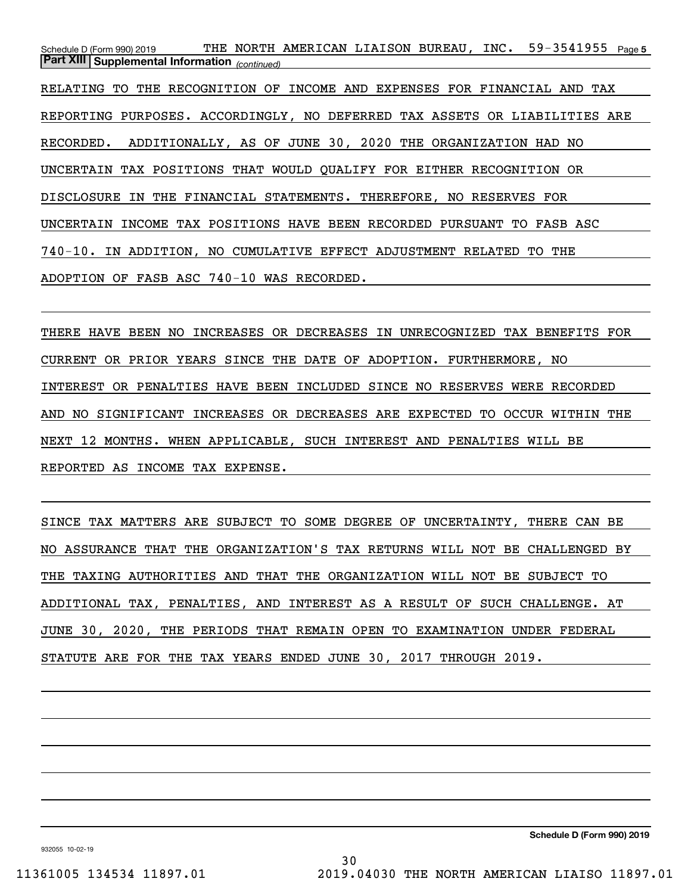Schedule D (Form 990) 2019 THE NORTH AMERICAN LIAISON BUREAU, INC。 59-3541955 <sub>Page 5</sub> *(continued)* **Part XIII Supplemental Information**  RELATING TO THE RECOGNITION OF INCOME AND EXPENSES FOR FINANCIAL AND TAX REPORTING PURPOSES. ACCORDINGLY, NO DEFERRED TAX ASSETS OR LIABILITIES ARE RECORDED. ADDITIONALLY, AS OF JUNE 30, 2020 THE ORGANIZATION HAD NO UNCERTAIN TAX POSITIONS THAT WOULD QUALIFY FOR EITHER RECOGNITION OR DISCLOSURE IN THE FINANCIAL STATEMENTS. THEREFORE, NO RESERVES FOR UNCERTAIN INCOME TAX POSITIONS HAVE BEEN RECORDED PURSUANT TO FASB ASC 740-10. IN ADDITION, NO CUMULATIVE EFFECT ADJUSTMENT RELATED TO THE ADOPTION OF FASB ASC 740-10 WAS RECORDED.

THERE HAVE BEEN NO INCREASES OR DECREASES IN UNRECOGNIZED TAX BENEFITS FOR CURRENT OR PRIOR YEARS SINCE THE DATE OF ADOPTION. FURTHERMORE, NO INTEREST OR PENALTIES HAVE BEEN INCLUDED SINCE NO RESERVES WERE RECORDED AND NO SIGNIFICANT INCREASES OR DECREASES ARE EXPECTED TO OCCUR WITHIN THE NEXT 12 MONTHS. WHEN APPLICABLE, SUCH INTEREST AND PENALTIES WILL BE REPORTED AS INCOME TAX EXPENSE.

SINCE TAX MATTERS ARE SUBJECT TO SOME DEGREE OF UNCERTAINTY, THERE CAN BE NO ASSURANCE THAT THE ORGANIZATION'S TAX RETURNS WILL NOT BE CHALLENGED BY THE TAXING AUTHORITIES AND THAT THE ORGANIZATION WILL NOT BE SUBJECT TO ADDITIONAL TAX, PENALTIES, AND INTEREST AS A RESULT OF SUCH CHALLENGE. AT JUNE 30, 2020, THE PERIODS THAT REMAIN OPEN TO EXAMINATION UNDER FEDERAL STATUTE ARE FOR THE TAX YEARS ENDED JUNE 30, 2017 THROUGH 2019.

**Schedule D (Form 990) 2019**

932055 10-02-19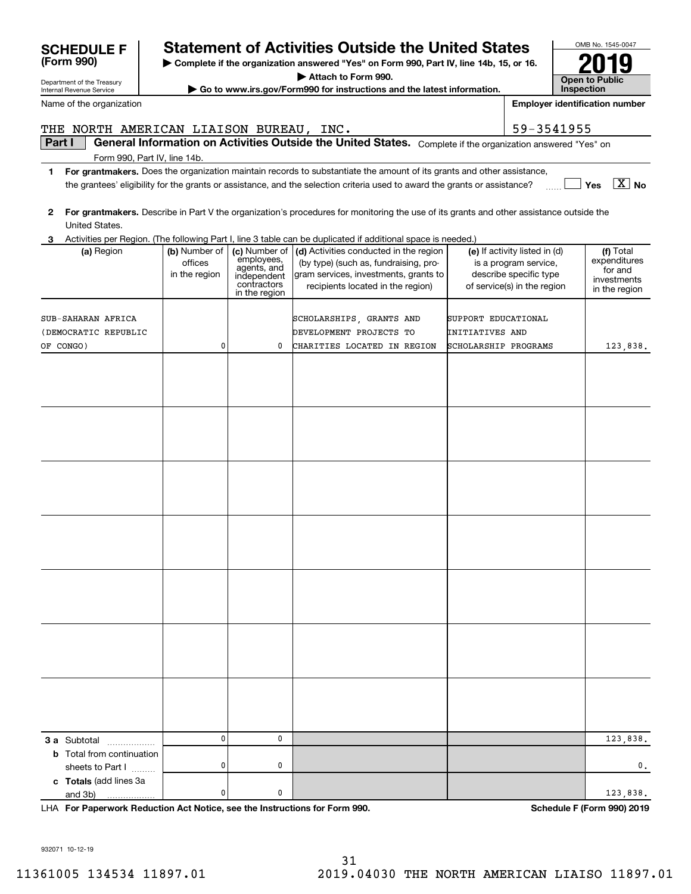# **F Statement of Activities Outside the United States**

**| Complete if the organization answered "Yes" on Form 990, Part IV, line 14b, 15, or 16.**

**| Attach to Form 990.**

**| Go to www.irs.gov/Form990 for instructions and the latest information.**

**2For grantmakers.**  Describe in Part V the organization's procedures for monitoring the use of its grants and other assistance outside the **3** Activities per Region. (The following Part I, line 3 table can be duplicated if additional space is needed.) **(a)** Region  $\vert$  **(b)** Number of  $\vert$  **(c)** Number of  $\vert$  **(d)** Activities conducted in the region  $\vert$  **(e)** If activity listed in (d)  $\vert$  **(f) 3 a** Subtotal .................. **b** Total from continuation **c Totals**  (add lines 3a United States. officesin the region Number of employees, agents, and independentcontractorsin the region Activities conducted in the region (by type) (such as, fundraising, program services, investments, grants to recipients located in the region) If activity listed in (d) is a program service, describe specific type of service(s) in the region Total expenditures for and investments in the region sheets to Part  $1$  ......... and 3b) CHARITIES LOCATED IN REGION SCHOLARSHIP PROGRAMS 123,838. 123,838. SCHOLARSHIPS, GRANTS AND SUPPORT EDUCATIONAL (DEMOCRATIC REPUBLIC SUB-SAHARAN AFRICA 0000OF CONGO) EVELOPMENT PROJECTS TO INITIATIVES AND 0 0. 0 123,838. 00

**For Paperwork Reduction Act Notice, see the Instructions for Form 990. Schedule F (Form 990) 2019** LHA

**Inspection***<u><b>Ientification number</u>* 

**Open to Public** 

OMB No. 1545-0047

**2019**

| ame of the organization                  |                                           |                                                                          |                                                                                                                                                                                 |                                        | <b>Employer identification number</b>                                                                           |                                                                      |
|------------------------------------------|-------------------------------------------|--------------------------------------------------------------------------|---------------------------------------------------------------------------------------------------------------------------------------------------------------------------------|----------------------------------------|-----------------------------------------------------------------------------------------------------------------|----------------------------------------------------------------------|
| HE NORTH AMERICAN LIAISON BUREAU, INC.   |                                           |                                                                          |                                                                                                                                                                                 |                                        | 59-3541955                                                                                                      |                                                                      |
| Part I                                   |                                           |                                                                          | General Information on Activities Outside the United States.                                                                                                                    |                                        | Complete if the organization answered "Yes" on                                                                  |                                                                      |
| Form 990, Part IV, line 14b.             |                                           |                                                                          |                                                                                                                                                                                 |                                        |                                                                                                                 |                                                                      |
|                                          |                                           |                                                                          | For grantmakers. Does the organization maintain records to substantiate the amount of its grants and other assistance,                                                          |                                        |                                                                                                                 |                                                                      |
|                                          |                                           |                                                                          | the grantees' eligibility for the grants or assistance, and the selection criteria used to award the grants or assistance?                                                      |                                        |                                                                                                                 | No<br>Yes                                                            |
| United States.                           |                                           |                                                                          | For grantmakers. Describe in Part V the organization's procedures for monitoring the use of its grants and other assistance outside the                                         |                                        |                                                                                                                 |                                                                      |
|                                          |                                           |                                                                          | Activities per Region. (The following Part I, line 3 table can be duplicated if additional space is needed.)                                                                    |                                        |                                                                                                                 |                                                                      |
| (a) Region                               | (b) Number of<br>offices<br>in the region | employees,<br>agents, and<br>independent<br>contractors<br>in the region | (c) Number of $ $ (d) Activities conducted in the region<br>(by type) (such as, fundraising, pro-<br>gram services, investments, grants to<br>recipients located in the region) |                                        | (e) If activity listed in (d)<br>is a program service,<br>describe specific type<br>of service(s) in the region | (f) Total<br>expenditures<br>for and<br>investments<br>in the region |
| JB-SAHARAN AFRICA<br>OFMOCPATIC DEBIRITC |                                           |                                                                          | SCHOLARSHIPS, GRANTS AND<br>hrwriodwrwm ppotrome mo                                                                                                                             | SUPPORT EDUCATIONAL<br>חואג באזודותדות |                                                                                                                 |                                                                      |

| <b>SCHEDULE F</b> |  |
|-------------------|--|
| (Form 990)        |  |

Department of the Treasury Internal Revenue Service

Name of the organization

# **Part I** | General Information on Activities THE NORTH AMERICAN LIAISON BUREAU, INC.  $\vert$  59-3541955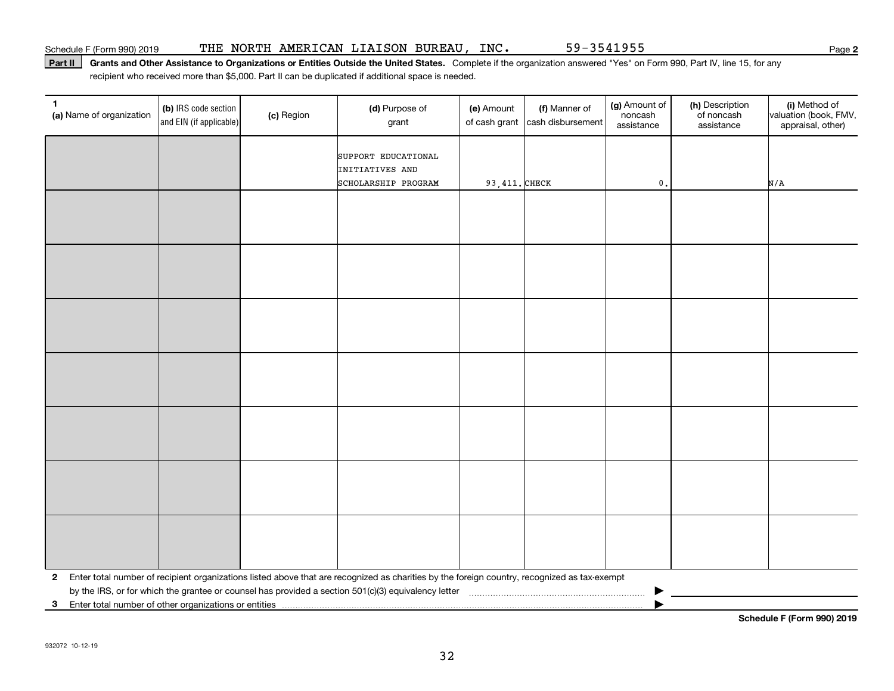## Part II | Grants and Other Assistance to Organizations or Entities Outside the United States. Complete if the organization answered "Yes" on Form 990, Part IV, line 15, for any recipient who received more than \$5,000. Part II can be duplicated if additional space is needed.

| 1<br>(a) Name of organization                           | (b) IRS code section<br>and EIN (if applicable) | (c) Region | (d) Purpose of<br>grant                                                                                                                      | (e) Amount<br>of cash grant | (f) Manner of<br>cash disbursement | (g) Amount of<br>noncash<br>assistance | (h) Description<br>of noncash<br>assistance | (i) Method of<br>valuation (book, FMV,<br>appraisal, other) |
|---------------------------------------------------------|-------------------------------------------------|------------|----------------------------------------------------------------------------------------------------------------------------------------------|-----------------------------|------------------------------------|----------------------------------------|---------------------------------------------|-------------------------------------------------------------|
|                                                         |                                                 |            | SUPPORT EDUCATIONAL<br>INITIATIVES AND<br>SCHOLARSHIP PROGRAM                                                                                | 93, 411. CHECK              |                                    | $\mathfrak o$ .                        |                                             | N/A                                                         |
|                                                         |                                                 |            |                                                                                                                                              |                             |                                    |                                        |                                             |                                                             |
|                                                         |                                                 |            |                                                                                                                                              |                             |                                    |                                        |                                             |                                                             |
|                                                         |                                                 |            |                                                                                                                                              |                             |                                    |                                        |                                             |                                                             |
|                                                         |                                                 |            |                                                                                                                                              |                             |                                    |                                        |                                             |                                                             |
|                                                         |                                                 |            |                                                                                                                                              |                             |                                    |                                        |                                             |                                                             |
|                                                         |                                                 |            |                                                                                                                                              |                             |                                    |                                        |                                             |                                                             |
|                                                         |                                                 |            |                                                                                                                                              |                             |                                    |                                        |                                             |                                                             |
|                                                         |                                                 |            |                                                                                                                                              |                             |                                    |                                        |                                             |                                                             |
|                                                         |                                                 |            |                                                                                                                                              |                             |                                    |                                        |                                             |                                                             |
|                                                         |                                                 |            |                                                                                                                                              |                             |                                    |                                        |                                             |                                                             |
|                                                         |                                                 |            |                                                                                                                                              |                             |                                    |                                        |                                             |                                                             |
|                                                         |                                                 |            |                                                                                                                                              |                             |                                    |                                        |                                             |                                                             |
|                                                         |                                                 |            |                                                                                                                                              |                             |                                    |                                        |                                             |                                                             |
|                                                         |                                                 |            |                                                                                                                                              |                             |                                    |                                        |                                             |                                                             |
| $\mathbf{2}$                                            |                                                 |            | Enter total number of recipient organizations listed above that are recognized as charities by the foreign country, recognized as tax-exempt |                             |                                    |                                        |                                             |                                                             |
| 3 Enter total number of other organizations or entities |                                                 |            |                                                                                                                                              |                             |                                    |                                        |                                             |                                                             |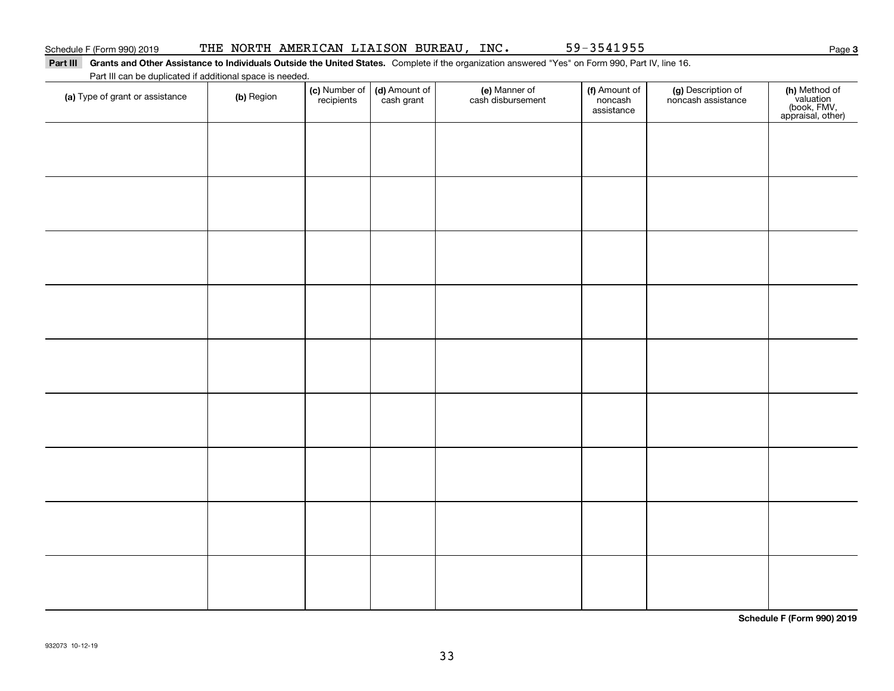### Part III Grants and Other Assistance to Individuals Outside the United States. Complete if the organization answered "Yes" on Form 990, Part IV, line 16. Part III can be duplicated if additional space is needed.

| Part iii can be duplicated if additional space is needed.<br>(a) Type of grant or assistance | (b) Region | (c) Number of<br>recipients | (d) Amount of<br>cash grant | (e) Manner of<br>cash disbursement | (f) Amount of<br>noncash<br>assistance | (g) Description of<br>noncash assistance | (h) Method of<br>valuation<br>(book, FMV,<br>appraisal, other) |
|----------------------------------------------------------------------------------------------|------------|-----------------------------|-----------------------------|------------------------------------|----------------------------------------|------------------------------------------|----------------------------------------------------------------|
|                                                                                              |            |                             |                             |                                    |                                        |                                          |                                                                |
|                                                                                              |            |                             |                             |                                    |                                        |                                          |                                                                |
|                                                                                              |            |                             |                             |                                    |                                        |                                          |                                                                |
|                                                                                              |            |                             |                             |                                    |                                        |                                          |                                                                |
|                                                                                              |            |                             |                             |                                    |                                        |                                          |                                                                |
|                                                                                              |            |                             |                             |                                    |                                        |                                          |                                                                |
|                                                                                              |            |                             |                             |                                    |                                        |                                          |                                                                |
|                                                                                              |            |                             |                             |                                    |                                        |                                          |                                                                |
|                                                                                              |            |                             |                             |                                    |                                        |                                          |                                                                |
|                                                                                              |            |                             |                             |                                    |                                        |                                          |                                                                |

**Schedule F (Form 990) 2019**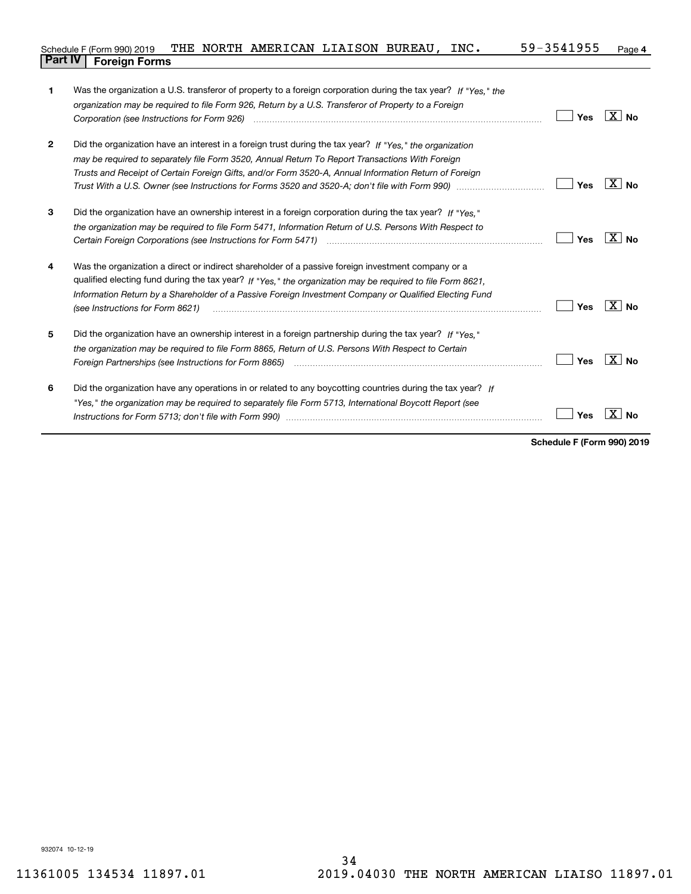### **4** Schedule F (Form 990) 2019 THE NORTH AMERICAN LIAISON BUREAU, INC  $\boldsymbol{\cdot}$  59-3541955 <sub>Page</sub> **Part IV Foreign Forms**

| 1            | Was the organization a U.S. transferor of property to a foreign corporation during the tax year? If "Yes." the<br>organization may be required to file Form 926, Return by a U.S. Transferor of Property to a Foreign |     |                   |
|--------------|-----------------------------------------------------------------------------------------------------------------------------------------------------------------------------------------------------------------------|-----|-------------------|
|              |                                                                                                                                                                                                                       | Yes | $\overline{X}$ No |
| $\mathbf{2}$ | Did the organization have an interest in a foreign trust during the tax year? If "Yes." the organization                                                                                                              |     |                   |
|              | may be required to separately file Form 3520, Annual Return To Report Transactions With Foreign                                                                                                                       |     |                   |
|              | Trusts and Receipt of Certain Foreign Gifts, and/or Form 3520-A, Annual Information Return of Foreign                                                                                                                 |     |                   |
|              |                                                                                                                                                                                                                       | Yes | $X \mid No$       |
| 3            | Did the organization have an ownership interest in a foreign corporation during the tax year? If "Yes,"                                                                                                               |     |                   |
|              | the organization may be required to file Form 5471, Information Return of U.S. Persons With Respect to                                                                                                                |     |                   |
|              |                                                                                                                                                                                                                       | Yes | $X $ No           |
| 4            | Was the organization a direct or indirect shareholder of a passive foreign investment company or a                                                                                                                    |     |                   |
|              | qualified electing fund during the tax year? If "Yes," the organization may be required to file Form 8621,                                                                                                            |     |                   |
|              | Information Return by a Shareholder of a Passive Foreign Investment Company or Qualified Electing Fund<br>(see Instructions for Form 8621)                                                                            | Yes | $X \mid No$       |
| 5            | Did the organization have an ownership interest in a foreign partnership during the tax year? If "Yes."                                                                                                               |     |                   |
|              | the organization may be reguired to file Form 8865, Return of U.S. Persons With Respect to Certain                                                                                                                    |     |                   |
|              |                                                                                                                                                                                                                       | Yes | $\overline{X}$ No |
| 6            | Did the organization have any operations in or related to any boycotting countries during the tax year? If                                                                                                            |     |                   |
|              | "Yes," the organization may be required to separately file Form 5713, International Boycott Report (see                                                                                                               |     |                   |
|              |                                                                                                                                                                                                                       | Yes | Nο                |
|              |                                                                                                                                                                                                                       |     |                   |

**Schedule F (Form 990) 2019**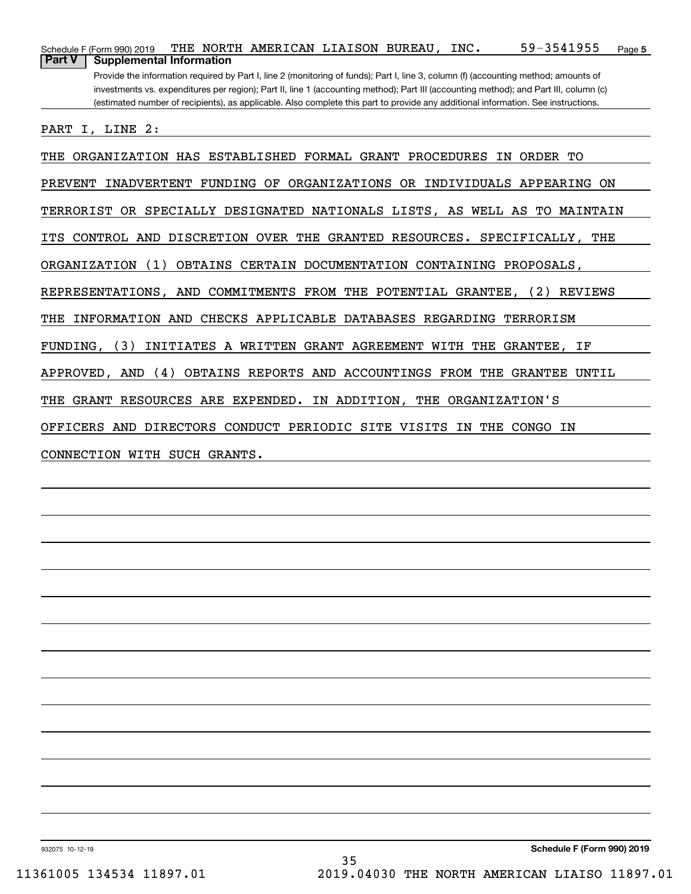| 59-3541955<br>THE NORTH AMERICAN LIAISON BUREAU, INC.<br>Schedule F (Form 990) 2019<br>Page 5                                                                                                                                                                                                                                                                                                                                                                         |
|-----------------------------------------------------------------------------------------------------------------------------------------------------------------------------------------------------------------------------------------------------------------------------------------------------------------------------------------------------------------------------------------------------------------------------------------------------------------------|
| <b>Part V</b><br><b>Supplemental Information</b><br>Provide the information required by Part I, line 2 (monitoring of funds); Part I, line 3, column (f) (accounting method; amounts of<br>investments vs. expenditures per region); Part II, line 1 (accounting method); Part III (accounting method); and Part III, column (c)<br>(estimated number of recipients), as applicable. Also complete this part to provide any additional information. See instructions. |
| I, LINE 2:<br>PART                                                                                                                                                                                                                                                                                                                                                                                                                                                    |
| ORGANIZATION HAS ESTABLISHED FORMAL GRANT PROCEDURES<br>IN<br>ORDER TO<br>THE                                                                                                                                                                                                                                                                                                                                                                                         |
| <b>PREVENT</b><br><b>INADVERTENT</b><br><b>FUNDING OF</b><br>ORGANIZATIONS OR INDIVIDUALS APPEARING ON                                                                                                                                                                                                                                                                                                                                                                |
| TERRORIST OR SPECIALLY DESIGNATED NATIONALS LISTS, AS WELL AS TO MAINTAIN                                                                                                                                                                                                                                                                                                                                                                                             |
| CONTROL AND DISCRETION OVER THE GRANTED RESOURCES. SPECIFICALLY, THE<br>ITS                                                                                                                                                                                                                                                                                                                                                                                           |
| (1)<br>OBTAINS CERTAIN DOCUMENTATION CONTAINING PROPOSALS,<br>ORGANIZATION                                                                                                                                                                                                                                                                                                                                                                                            |
| REPRESENTATIONS, AND COMMITMENTS FROM THE POTENTIAL GRANTEE,<br>(2) REVIEWS                                                                                                                                                                                                                                                                                                                                                                                           |
| INFORMATION AND CHECKS APPLICABLE DATABASES REGARDING TERRORISM<br>THE                                                                                                                                                                                                                                                                                                                                                                                                |
| FUNDING, (3)<br>INITIATES A WRITTEN GRANT AGREEMENT WITH THE GRANTEE,<br>ΙF                                                                                                                                                                                                                                                                                                                                                                                           |
| (4)<br>OBTAINS REPORTS AND ACCOUNTINGS FROM THE<br>UNTIL<br>APPROVED, AND<br>GRANTEE                                                                                                                                                                                                                                                                                                                                                                                  |
| RESOURCES ARE EXPENDED. IN ADDITION, THE ORGANIZATION'S<br>THE<br>GRANT                                                                                                                                                                                                                                                                                                                                                                                               |
| OFFICERS AND DIRECTORS CONDUCT PERIODIC SITE VISITS IN THE CONGO IN                                                                                                                                                                                                                                                                                                                                                                                                   |
| CONNECTION WITH SUCH GRANTS.                                                                                                                                                                                                                                                                                                                                                                                                                                          |
|                                                                                                                                                                                                                                                                                                                                                                                                                                                                       |